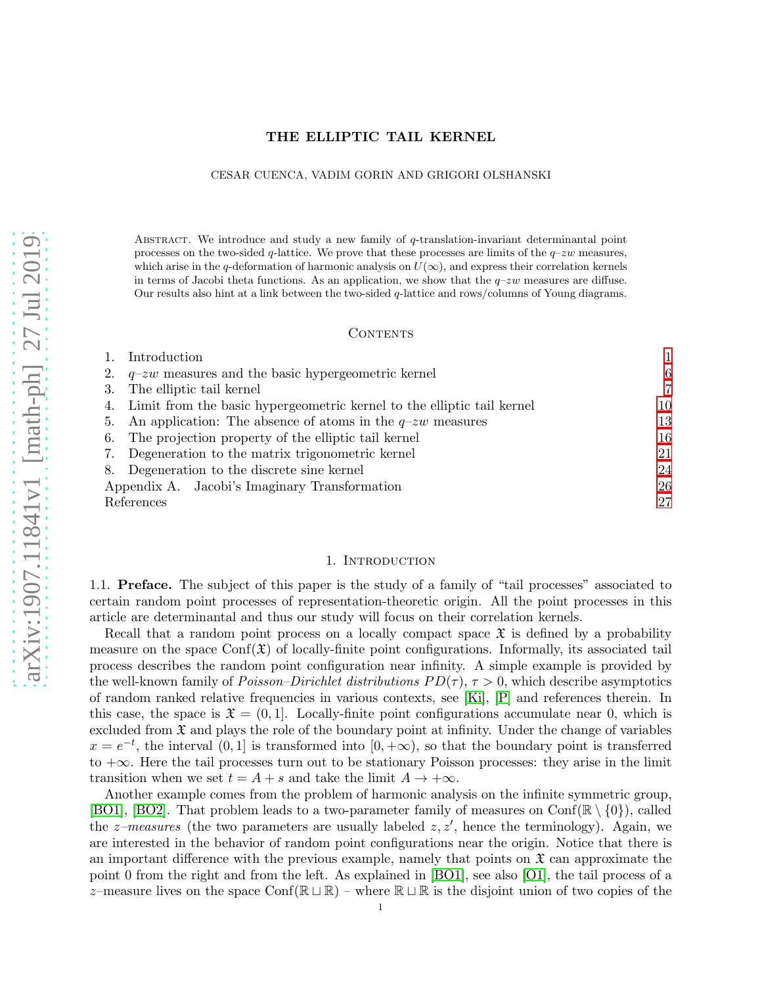# THE ELLIPTIC TAIL KERNEL

### CESAR CUENCA, VADIM GORIN AND GRIGORI OLSHANSKI

ABSTRACT. We introduce and study a new family of  $q$ -translation-invariant determinantal point processes on the two-sided q-lattice. We prove that these processes are limits of the  $q$ –zw measures, which arise in the q-deformation of harmonic analysis on  $U(\infty)$ , and express their correlation kernels in terms of Jacobi theta functions. As an application, we show that the  $q-zw$  measures are diffuse. Our results also hint at a link between the two-sided q-lattice and rows/columns of Young diagrams.

#### **CONTENTS**

|                                               | Introduction                                                              |    |
|-----------------------------------------------|---------------------------------------------------------------------------|----|
| 2.                                            | $q-zw$ measures and the basic hypergeometric kernel                       | 6  |
| 3.                                            | The elliptic tail kernel                                                  | 7  |
|                                               | 4. Limit from the basic hypergeometric kernel to the elliptic tail kernel | 10 |
|                                               | 5. An application: The absence of atoms in the $q-zw$ measures            | 13 |
|                                               | 6. The projection property of the elliptic tail kernel                    | 16 |
|                                               | 7. Degeneration to the matrix trigonometric kernel                        | 21 |
|                                               | 8. Degeneration to the discrete sine kernel                               | 24 |
| Appendix A. Jacobi's Imaginary Transformation |                                                                           | 26 |
| References                                    |                                                                           | 27 |

### 1. INTRODUCTION

<span id="page-0-0"></span>1.1. Preface. The subject of this paper is the study of a family of "tail processes" associated to certain random point processes of representation-theoretic origin. All the point processes in this article are determinantal and thus our study will focus on their correlation kernels.

Recall that a random point process on a locally compact space  $\mathfrak X$  is defined by a probability measure on the space  $Conf(\mathfrak{X})$  of locally-finite point configurations. Informally, its associated tail process describes the random point configuration near infinity. A simple example is provided by the well-known family of *Poisson–Dirichlet distributions PD(* $\tau$ *)*,  $\tau > 0$ , which describe asymptotics of random ranked relative frequencies in various contexts, see [\[Ki\]](#page-27-0), [\[P\]](#page-27-1) and references therein. In this case, the space is  $\mathfrak{X} = (0, 1]$ . Locally-finite point configurations accumulate near 0, which is excluded from  $\mathfrak X$  and plays the role of the boundary point at infinity. Under the change of variables  $x = e^{-t}$ , the interval  $(0, 1]$  is transformed into  $[0, +\infty)$ , so that the boundary point is transferred to +∞. Here the tail processes turn out to be stationary Poisson processes: they arise in the limit transition when we set  $t = A + s$  and take the limit  $A \rightarrow +\infty$ .

Another example comes from the problem of harmonic analysis on the infinite symmetric group, [\[BO1\]](#page-26-1), [\[BO2\]](#page-26-2). That problem leads to a two-parameter family of measures on  $\text{Conf}(\mathbb{R} \setminus \{0\})$ , called the *z*-measures (the two parameters are usually labeled  $z, z'$ , hence the terminology). Again, we are interested in the behavior of random point configurations near the origin. Notice that there is an important difference with the previous example, namely that points on  $\mathfrak{X}$  can approximate the point 0 from the right and from the left. As explained in [\[BO1\]](#page-26-1), see also [\[O1\]](#page-27-2), the tail process of a z–measure lives on the space Conf( $\mathbb{R} \sqcup \mathbb{R}$ ) – where  $\mathbb{R} \sqcup \mathbb{R}$  is the disjoint union of two copies of the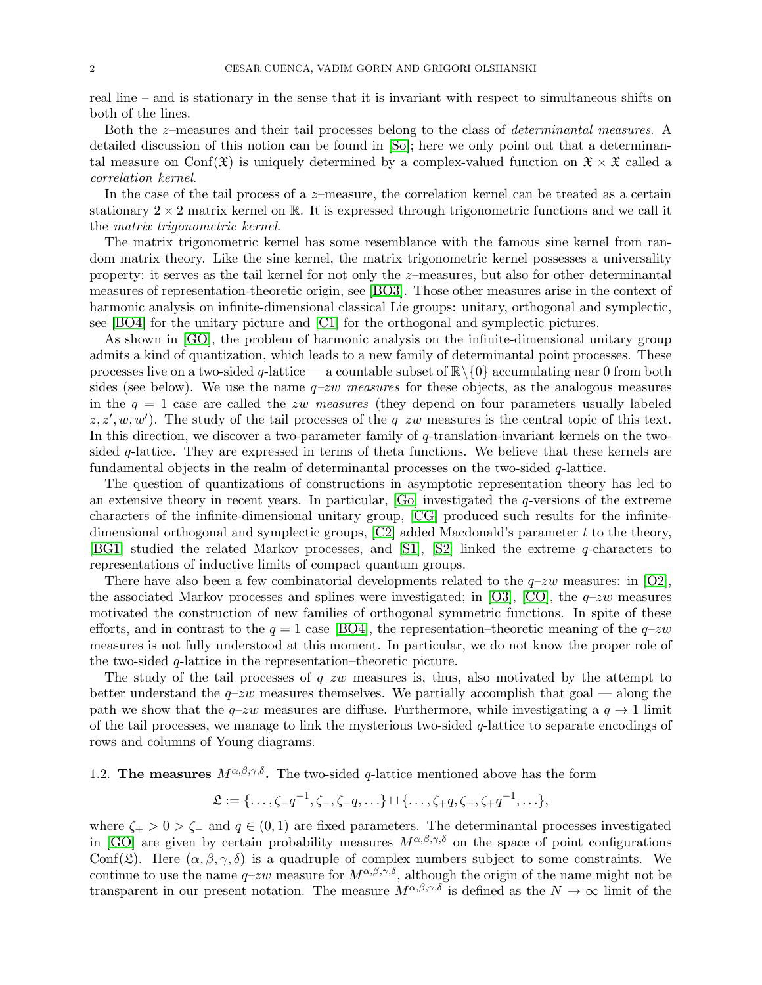real line – and is stationary in the sense that it is invariant with respect to simultaneous shifts on both of the lines.

Both the z–measures and their tail processes belong to the class of determinantal measures. A detailed discussion of this notion can be found in [\[So\]](#page-27-3); here we only point out that a determinantal measure on Conf( $\mathfrak{X}$ ) is uniquely determined by a complex-valued function on  $\mathfrak{X} \times \mathfrak{X}$  called a correlation kernel.

In the case of the tail process of a  $z$ –measure, the correlation kernel can be treated as a certain stationary  $2 \times 2$  matrix kernel on R. It is expressed through trigonometric functions and we call it the matrix trigonometric kernel.

The matrix trigonometric kernel has some resemblance with the famous sine kernel from random matrix theory. Like the sine kernel, the matrix trigonometric kernel possesses a universality property: it serves as the tail kernel for not only the z–measures, but also for other determinantal measures of representation-theoretic origin, see [\[BO3\]](#page-26-3). Those other measures arise in the context of harmonic analysis on infinite-dimensional classical Lie groups: unitary, orthogonal and symplectic, see [\[BO4\]](#page-26-4) for the unitary picture and [\[C1\]](#page-27-4) for the orthogonal and symplectic pictures.

As shown in [\[GO\]](#page-27-5), the problem of harmonic analysis on the infinite-dimensional unitary group admits a kind of quantization, which leads to a new family of determinantal point processes. These processes live on a two-sided q-lattice — a countable subset of  $\mathbb{R}\setminus\{0\}$  accumulating near 0 from both sides (see below). We use the name  $q\text{-}zw$  measures for these objects, as the analogous measures in the  $q = 1$  case are called the zw measures (they depend on four parameters usually labeled  $(z, z', w, w')$ . The study of the tail processes of the  $q$ -zw measures is the central topic of this text. In this direction, we discover a two-parameter family of q-translation-invariant kernels on the twosided q-lattice. They are expressed in terms of theta functions. We believe that these kernels are fundamental objects in the realm of determinantal processes on the two-sided  $q$ -lattice.

The question of quantizations of constructions in asymptotic representation theory has led to an extensive theory in recent years. In particular,  $[G_{\rm O}]$  investigated the q-versions of the extreme characters of the infinite-dimensional unitary group, [\[CG\]](#page-27-7) produced such results for the infinitedimensional orthogonal and symplectic groups,  $[C2]$  added Macdonald's parameter t to the theory, [\[BG1\]](#page-26-5) studied the related Markov processes, and [\[S1\]](#page-27-9), [\[S2\]](#page-27-10) linked the extreme q-characters to representations of inductive limits of compact quantum groups.

There have also been a few combinatorial developments related to the  $q$ -zw measures: in [\[O2\]](#page-27-11), the associated Markov processes and splines were investigated; in [\[O3\]](#page-27-12), [\[CO\]](#page-27-13), the  $q$ -zw measures motivated the construction of new families of orthogonal symmetric functions. In spite of these efforts, and in contrast to the  $q = 1$  case [\[BO4\]](#page-26-4), the representation–theoretic meaning of the  $q$ –zw measures is not fully understood at this moment. In particular, we do not know the proper role of the two-sided  $q$ -lattice in the representation–theoretic picture.

The study of the tail processes of  $q-zw$  measures is, thus, also motivated by the attempt to better understand the  $q-zw$  measures themselves. We partially accomplish that goal — along the path we show that the  $q$ –zw measures are diffuse. Furthermore, while investigating a  $q \to 1$  limit of the tail processes, we manage to link the mysterious two-sided  $q$ -lattice to separate encodings of rows and columns of Young diagrams.

# 1.2. The measures  $M^{\alpha,\beta,\gamma,\delta}$ . The two-sided q-lattice mentioned above has the form

$$
\mathfrak{L} := \{\ldots, \zeta - q^{-1}, \zeta_-, \zeta_-, q, \ldots\} \sqcup \{\ldots, \zeta_+ q, \zeta_+, \zeta_+ q^{-1}, \ldots\},\
$$

where  $\zeta_{+} > 0 > \zeta_{-}$  and  $q \in (0,1)$  are fixed parameters. The determinantal processes investigated in [\[GO\]](#page-27-5) are given by certain probability measures  $M^{\alpha,\beta,\gamma,\delta}$  on the space of point configurations Conf( $\mathfrak{L}$ ). Here  $(\alpha, \beta, \gamma, \delta)$  is a quadruple of complex numbers subject to some constraints. We continue to use the name  $q-zw$  measure for  $M^{\alpha,\beta,\gamma,\delta}$ , although the origin of the name might not be transparent in our present notation. The measure  $M^{\alpha,\beta,\gamma,\delta}$  is defined as the  $N \to \infty$  limit of the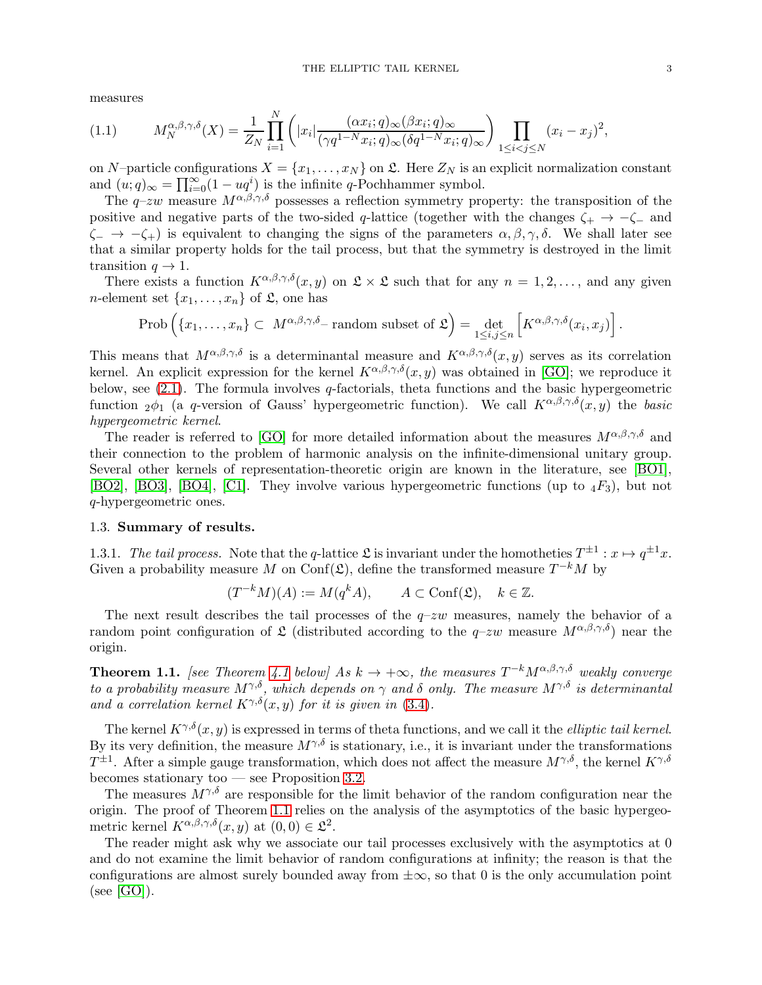measures

$$
(1.1) \tM_N^{\alpha,\beta,\gamma,\delta}(X) = \frac{1}{Z_N} \prod_{i=1}^N \left( |x_i| \frac{(\alpha x_i;q)_{\infty}(\beta x_i;q)_{\infty}}{(\gamma q^{1-N}x_i;q)_{\infty}(\delta q^{1-N}x_i;q)_{\infty}} \right) \prod_{1 \le i < j \le N} (x_i - x_j)^2,
$$

on N–particle configurations  $X = \{x_1, \ldots, x_N\}$  on  $\mathfrak{L}$ . Here  $Z_N$  is an explicit normalization constant and  $(u;q)_{\infty} = \prod_{i=0}^{\infty} (1 - uq^i)$  is the infinite q-Pochhammer symbol.

The q–zw measure  $M^{\alpha,\beta,\gamma,\delta}$  possesses a reflection symmetry property: the transposition of the positive and negative parts of the two-sided q-lattice (together with the changes  $\zeta_+ \to -\zeta_-$  and  $\zeta_-\rightarrow -\zeta_+$ ) is equivalent to changing the signs of the parameters  $\alpha, \beta, \gamma, \delta$ . We shall later see that a similar property holds for the tail process, but that the symmetry is destroyed in the limit transition  $q \to 1$ .

There exists a function  $K^{\alpha,\beta,\gamma,\delta}(x,y)$  on  $\mathfrak{L}\times\mathfrak{L}$  such that for any  $n=1,2,\ldots$ , and any given *n*-element set  $\{x_1, \ldots, x_n\}$  of  $\mathfrak{L}$ , one has

$$
\operatorname{Prob}\left(\{x_1,\ldots,x_n\}\subset M^{\alpha,\beta,\gamma,\delta_{-}}\text{ random subset of }\mathfrak{L}\right)=\det_{1\leq i,j\leq n}\left[K^{\alpha,\beta,\gamma,\delta}(x_i,x_j)\right].
$$

This means that  $M^{\alpha,\beta,\gamma,\delta}$  is a determinantal measure and  $K^{\alpha,\beta,\gamma,\delta}(x,y)$  serves as its correlation kernel. An explicit expression for the kernel  $K^{\alpha,\beta,\gamma,\delta}(x, y)$  was obtained in [\[GO\]](#page-27-5); we reproduce it below, see  $(2.1)$ . The formula involves q-factorials, theta functions and the basic hypergeometric function  $2\phi_1$  (a q-version of Gauss' hypergeometric function). We call  $K^{\alpha,\beta,\gamma,\delta}(x,y)$  the basic hypergeometric kernel.

The reader is referred to [\[GO\]](#page-27-5) for more detailed information about the measures  $M^{\alpha,\beta,\gamma,\delta}$  and their connection to the problem of harmonic analysis on the infinite-dimensional unitary group. Several other kernels of representation-theoretic origin are known in the literature, see [\[BO1\]](#page-26-1), [\[BO2\]](#page-26-2), [\[BO3\]](#page-26-3), [\[BO4\]](#page-26-4), [\[C1\]](#page-27-4). They involve various hypergeometric functions (up to  $_4F_3$ ), but not q-hypergeometric ones.

#### 1.3. Summary of results.

1.3.1. The tail process. Note that the q-lattice  $\mathfrak{L}$  is invariant under the homotheties  $T^{\pm 1}: x \mapsto q^{\pm 1}x$ . Given a probability measure M on Conf( $\mathfrak{L}$ ), define the transformed measure  $T^{-k}M$  by

$$
(T^{-k}M)(A) := M(q^k A), \qquad A \subset \text{Conf}(\mathfrak{L}), \quad k \in \mathbb{Z}.
$$

The next result describes the tail processes of the  $q$ -zw measures, namely the behavior of a random point configuration of  $\mathfrak L$  (distributed according to the  $q-zw$  measure  $M^{\alpha,\beta,\gamma,\delta}$ ) near the origin.

<span id="page-2-0"></span>**Theorem 1.1.** [see Theorem [4.1](#page-9-1) below] As  $k \to +\infty$ , the measures  $T^{-k}M^{\alpha,\beta,\gamma,\delta}$  weakly converge to a probability measure  $M^{\gamma,\delta}$ , which depends on  $\gamma$  and  $\delta$  only. The measure  $M^{\gamma,\delta}$  is determinantal and a correlation kernel  $K^{\gamma,\delta}(x, y)$  for it is given in [\(3.4\)](#page-7-0).

The kernel  $K^{\gamma,\delta}(x, y)$  is expressed in terms of theta functions, and we call it the *elliptic tail kernel*. By its very definition, the measure  $M^{\gamma,\delta}$  is stationary, i.e., it is invariant under the transformations  $T^{\pm 1}$ . After a simple gauge transformation, which does not affect the measure  $M^{\gamma,\delta}$ , the kernel  $K^{\gamma,\delta}$ becomes stationary too — see Proposition [3.2.](#page-7-1)

The measures  $M^{\gamma,\delta}$  are responsible for the limit behavior of the random configuration near the origin. The proof of Theorem [1.1](#page-2-0) relies on the analysis of the asymptotics of the basic hypergeometric kernel  $K^{\alpha,\beta,\gamma,\delta}(x,y)$  at  $(0,0) \in \mathfrak{L}^2$ .

The reader might ask why we associate our tail processes exclusively with the asymptotics at 0 and do not examine the limit behavior of random configurations at infinity; the reason is that the configurations are almost surely bounded away from  $\pm \infty$ , so that 0 is the only accumulation point  $(see [GO]).$  $(see [GO]).$  $(see [GO]).$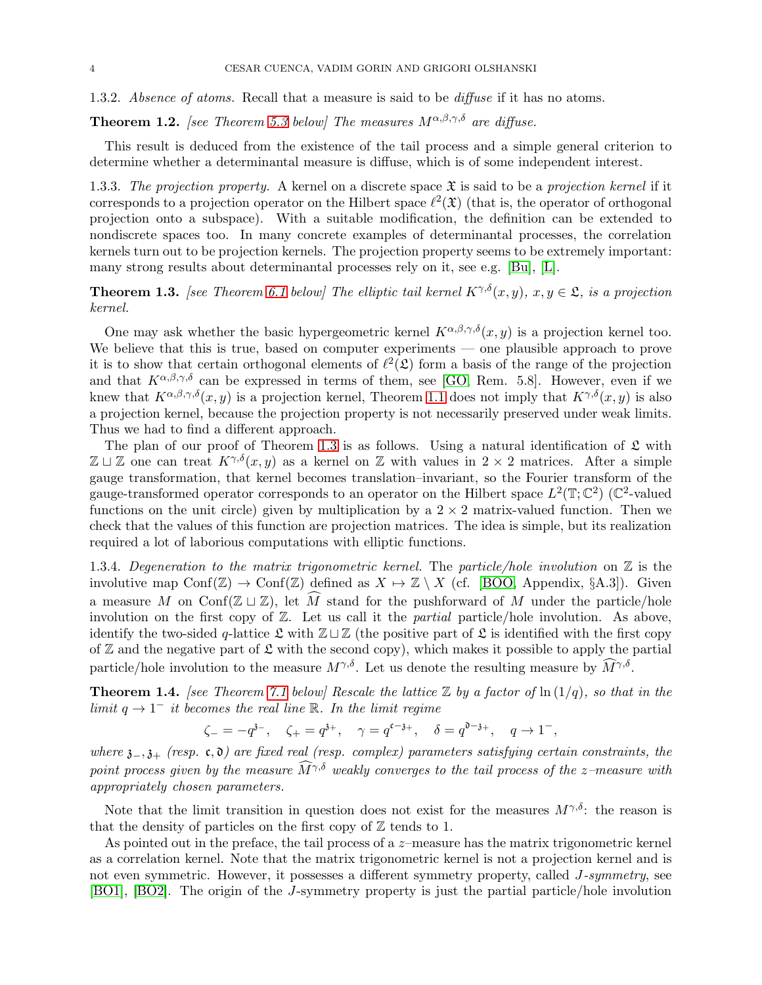1.3.2. Absence of atoms. Recall that a measure is said to be *diffuse* if it has no atoms.

<span id="page-3-2"></span>**Theorem 1.2.** [see Theorem [5.3](#page-15-1) below] The measures  $M^{\alpha,\beta,\gamma,\delta}$  are diffuse.

This result is deduced from the existence of the tail process and a simple general criterion to determine whether a determinantal measure is diffuse, which is of some independent interest.

1.3.3. The projection property. A kernel on a discrete space  $\mathfrak X$  is said to be a projection kernel if it corresponds to a projection operator on the Hilbert space  $\ell^2(\mathfrak{X})$  (that is, the operator of orthogonal projection onto a subspace). With a suitable modification, the definition can be extended to nondiscrete spaces too. In many concrete examples of determinantal processes, the correlation kernels turn out to be projection kernels. The projection property seems to be extremely important: many strong results about determinantal processes rely on it, see e.g. [\[Bu\]](#page-27-14), [\[L\]](#page-27-15).

<span id="page-3-0"></span>**Theorem 1.3.** [see Theorem [6.1](#page-15-2) below] The elliptic tail kernel  $K^{\gamma,\delta}(x, y)$ ,  $x, y \in \mathfrak{L}$ , is a projection kernel.

One may ask whether the basic hypergeometric kernel  $K^{\alpha,\beta,\gamma,\delta}(x, y)$  is a projection kernel too. We believe that this is true, based on computer experiments — one plausible approach to prove it is to show that certain orthogonal elements of  $\ell^2(\mathfrak{L})$  form a basis of the range of the projection and that  $K^{\alpha,\beta,\gamma,\delta}$  can be expressed in terms of them, see [\[GO,](#page-27-5) Rem. 5.8]. However, even if we knew that  $K^{\alpha,\beta,\gamma,\delta}(x, y)$  is a projection kernel, Theorem [1.1](#page-2-0) does not imply that  $K^{\gamma,\delta}(x, y)$  is also a projection kernel, because the projection property is not necessarily preserved under weak limits. Thus we had to find a different approach.

The plan of our proof of Theorem [1.3](#page-3-0) is as follows. Using a natural identification of  $\mathfrak L$  with  $\mathbb{Z} \sqcup \mathbb{Z}$  one can treat  $K^{\gamma,\delta}(x, y)$  as a kernel on  $\mathbb{Z}$  with values in 2 × 2 matrices. After a simple gauge transformation, that kernel becomes translation–invariant, so the Fourier transform of the gauge-transformed operator corresponds to an operator on the Hilbert space  $L^2(\mathbb{T}; \mathbb{C}^2)$  ( $\mathbb{C}^2$ -valued functions on the unit circle) given by multiplication by a  $2 \times 2$  matrix-valued function. Then we check that the values of this function are projection matrices. The idea is simple, but its realization required a lot of laborious computations with elliptic functions.

1.3.4. Degeneration to the matrix trigonometric kernel. The particle/hole involution on  $\mathbb Z$  is the involutive map Conf( $\mathbb{Z}$ )  $\to$  Conf( $\mathbb{Z}$ ) defined as  $X \to \mathbb{Z} \setminus X$  (cf. [\[BOO,](#page-26-6) Appendix, §A.3]). Given a measure M on Conf( $\mathbb{Z} \sqcup \mathbb{Z}$ ), let M stand for the pushforward of M under the particle/hole involution on the first copy of  $\mathbb{Z}$ . Let us call it the *partial* particle/hole involution. As above, identify the two-sided q-lattice  $\mathfrak L$  with  $\mathbb Z \sqcup \mathbb Z$  (the positive part of  $\mathfrak L$  is identified with the first copy of  $\mathbb Z$  and the negative part of  $\mathfrak L$  with the second copy), which makes it possible to apply the partial particle/hole involution to the measure  $M^{\gamma,\delta}$ . Let us denote the resulting measure by  $\widehat{M}^{\gamma,\delta}$ .

<span id="page-3-1"></span>**Theorem 1.4.** [see Theorem [7.1](#page-21-0) below] Rescale the lattice  $\mathbb{Z}$  by a factor of  $\ln(1/q)$ , so that in the limit  $q \to 1^-$  it becomes the real line R. In the limit regime

$$
\zeta_- = -q^{3-}
$$
,  $\zeta_+ = q^{3+}$ ,  $\gamma = q^{c-3+}$ ,  $\delta = q^{0-3+}$ ,  $q \to 1^-$ ,

where  $\mathfrak{z}_-, \mathfrak{z}_+$  (resp. c,  $\mathfrak{d}$ ) are fixed real (resp. complex) parameters satisfying certain constraints, the point process given by the measure  $\widehat{M}^{\gamma,\delta}$  weakly converges to the tail process of the z–measure with appropriately chosen parameters.

Note that the limit transition in question does not exist for the measures  $M^{\gamma,\delta}$ : the reason is that the density of particles on the first copy of  $\mathbb Z$  tends to 1.

As pointed out in the preface, the tail process of a z-measure has the matrix trigonometric kernel as a correlation kernel. Note that the matrix trigonometric kernel is not a projection kernel and is not even symmetric. However, it possesses a different symmetry property, called J-symmetry, see [\[BO1\]](#page-26-1), [\[BO2\]](#page-26-2). The origin of the J-symmetry property is just the partial particle/hole involution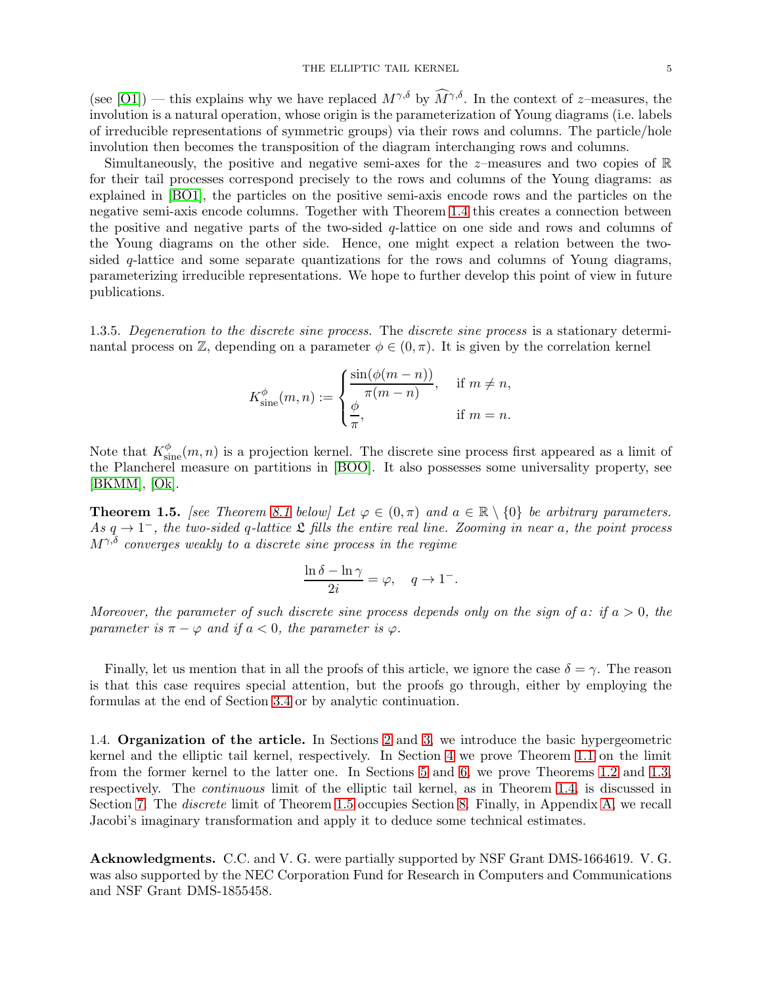(see [\[O1\]](#page-27-2)) — this explains why we have replaced  $M^{\gamma,\delta}$  by  $\widehat{M}^{\gamma,\delta}$ . In the context of z–measures, the involution is a natural operation, whose origin is the parameterization of Young diagrams (i.e. labels of irreducible representations of symmetric groups) via their rows and columns. The particle/hole involution then becomes the transposition of the diagram interchanging rows and columns.

Simultaneously, the positive and negative semi-axes for the  $z$ -measures and two copies of  $\mathbb R$ for their tail processes correspond precisely to the rows and columns of the Young diagrams: as explained in [\[BO1\]](#page-26-1), the particles on the positive semi-axis encode rows and the particles on the negative semi-axis encode columns. Together with Theorem [1.4](#page-3-1) this creates a connection between the positive and negative parts of the two-sided  $q$ -lattice on one side and rows and columns of the Young diagrams on the other side. Hence, one might expect a relation between the twosided q-lattice and some separate quantizations for the rows and columns of Young diagrams, parameterizing irreducible representations. We hope to further develop this point of view in future publications.

1.3.5. Degeneration to the discrete sine process. The discrete sine process is a stationary determinantal process on  $\mathbb{Z}$ , depending on a parameter  $\phi \in (0, \pi)$ . It is given by the correlation kernel

$$
K_{\text{sine}}^{\phi}(m, n) := \begin{cases} \frac{\sin(\phi(m - n))}{\pi(m - n)}, & \text{if } m \neq n, \\ \frac{\phi}{\pi}, & \text{if } m = n. \end{cases}
$$

Note that  $K_{\text{sine}}^{\phi}(m, n)$  is a projection kernel. The discrete sine process first appeared as a limit of the Plancherel measure on partitions in [\[BOO\]](#page-26-6). It also possesses some universality property, see [\[BKMM\]](#page-26-7), [\[Ok\]](#page-27-16).

<span id="page-4-0"></span>**Theorem 1.5.** [see Theorem [8.1](#page-23-1) below] Let  $\varphi \in (0, \pi)$  and  $a \in \mathbb{R} \setminus \{0\}$  be arbitrary parameters. As  $q \to 1^-$ , the two-sided q-lattice  $\mathfrak L$  fills the entire real line. Zooming in near a, the point process  $M^{\gamma,\delta}$  converges weakly to a discrete sine process in the regime

$$
\frac{\ln \delta - \ln \gamma}{2i} = \varphi, \quad q \to 1^-.
$$

Moreover, the parameter of such discrete sine process depends only on the sign of a: if  $a > 0$ , the parameter is  $\pi - \varphi$  and if  $a < 0$ , the parameter is  $\varphi$ .

Finally, let us mention that in all the proofs of this article, we ignore the case  $\delta = \gamma$ . The reason is that this case requires special attention, but the proofs go through, either by employing the formulas at the end of Section [3.4](#page-8-0) or by analytic continuation.

1.4. Organization of the article. In Sections [2](#page-5-0) and [3,](#page-6-0) we introduce the basic hypergeometric kernel and the elliptic tail kernel, respectively. In Section [4](#page-9-0) we prove Theorem [1.1](#page-2-0) on the limit from the former kernel to the latter one. In Sections [5](#page-12-0) and [6,](#page-15-0) we prove Theorems [1.2](#page-3-2) and [1.3,](#page-3-0) respectively. The continuous limit of the elliptic tail kernel, as in Theorem [1.4,](#page-3-1) is discussed in Section [7.](#page-20-0) The *discrete* limit of Theorem [1.5](#page-4-0) occupies Section [8.](#page-23-0) Finally, in Appendix [A,](#page-25-0) we recall Jacobi's imaginary transformation and apply it to deduce some technical estimates.

Acknowledgments. C.C. and V. G. were partially supported by NSF Grant DMS-1664619. V. G. was also supported by the NEC Corporation Fund for Research in Computers and Communications and NSF Grant DMS-1855458.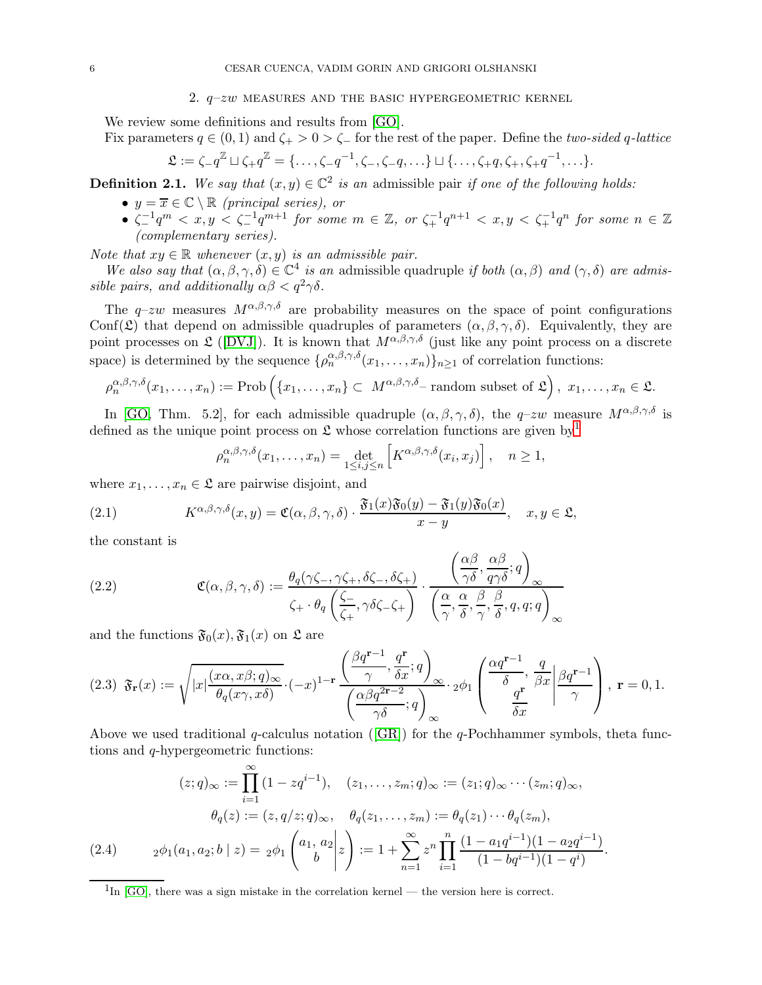### 2.  $q-zw$  measures and the basic hypergeometric kernel

<span id="page-5-0"></span>We review some definitions and results from [\[GO\]](#page-27-5).

Fix parameters  $q \in (0, 1)$  and  $\zeta_{+} > 0 > \zeta_{-}$  for the rest of the paper. Define the two-sided q-lattice

$$
\mathfrak{L}:=\zeta_{-}q^{\mathbb{Z}}\sqcup\zeta_{+}q^{\mathbb{Z}}=\{\ldots,\zeta_{-}q^{-1},\zeta_{-},\zeta_{-}q,\ldots\}\sqcup\{\ldots,\zeta_{+}q,\zeta_{+},\zeta_{+}q^{-1},\ldots\}.
$$

<span id="page-5-4"></span>**Definition 2.1.** We say that  $(x, y) \in \mathbb{C}^2$  is an admissible pair if one of the following holds:

- $y = \overline{x} \in \mathbb{C} \setminus \mathbb{R}$  (principal series), or
- $\bullet$   $\zeta^{-1}_- q^m < x, y < \zeta^{-1}_- q^{m+1}$  for some  $m \in \mathbb{Z},$  or  $\zeta^{-1}_+ q^{n+1} < x, y < \zeta^{-1}_+ q^n$  for some  $n \in \mathbb{Z}$ (complementary series).

Note that  $xy \in \mathbb{R}$  whenever  $(x, y)$  is an admissible pair.

We also say that  $(\alpha, \beta, \gamma, \delta) \in \mathbb{C}^4$  is an admissible quadruple if both  $(\alpha, \beta)$  and  $(\gamma, \delta)$  are admissible pairs, and additionally  $\alpha\beta < q^2\gamma\delta$ .

The q–zw measures  $M^{\alpha,\beta,\gamma,\delta}$  are probability measures on the space of point configurations Conf( $\mathfrak{L}$ ) that depend on admissible quadruples of parameters  $(\alpha, \beta, \gamma, \delta)$ . Equivalently, they are point processes on  $\mathfrak{L}$  ([\[DVJ\]](#page-27-17)). It is known that  $M^{\alpha,\beta,\gamma,\delta}$  (just like any point process on a discrete space) is determined by the sequence  $\{\rho_n^{\alpha,\beta,\gamma,\delta}(x_1,\ldots,x_n)\}_{n\geq 1}$  of correlation functions:

$$
\rho_n^{\alpha,\beta,\gamma,\delta}(x_1,\ldots,x_n) := \text{Prob}\left(\{x_1,\ldots,x_n\} \subset M^{\alpha,\beta,\gamma,\delta} - \text{random subset of } \mathfrak{L}\right), x_1,\ldots,x_n \in \mathfrak{L}.
$$

In [\[GO,](#page-27-5) Thm. 5.2], for each admissible quadruple  $(\alpha, \beta, \gamma, \delta)$ , the  $q$ -zw measure  $M^{\alpha,\beta,\gamma,\delta}$  is defined as the unique point process on  $\mathfrak L$  whose correlation functions are given by<sup>[1](#page-5-2)</sup>

<span id="page-5-1"></span>
$$
\rho_n^{\alpha,\beta,\gamma,\delta}(x_1,\ldots,x_n) = \det_{1\leq i,j\leq n} \left[ K^{\alpha,\beta,\gamma,\delta}(x_i,x_j) \right], \quad n \geq 1,
$$

where  $x_1, \ldots, x_n \in \mathfrak{L}$  are pairwise disjoint, and

(2.1) 
$$
K^{\alpha,\beta,\gamma,\delta}(x,y) = \mathfrak{C}(\alpha,\beta,\gamma,\delta) \cdot \frac{\mathfrak{F}_1(x)\mathfrak{F}_0(y) - \mathfrak{F}_1(y)\mathfrak{F}_0(x)}{x-y}, \quad x, y \in \mathfrak{L},
$$

the constant is

<span id="page-5-5"></span>(2.2) 
$$
\mathfrak{C}(\alpha,\beta,\gamma,\delta) := \frac{\theta_q(\gamma\zeta_-, \gamma\zeta_+, \delta\zeta_-, \delta\zeta_+)}{\zeta_+ \cdot \theta_q\left(\frac{\zeta_-}{\zeta_+}, \gamma\delta\zeta_-\zeta_+\right)} \cdot \frac{\left(\frac{\alpha\beta}{\gamma\delta}, \frac{\alpha\beta}{q\gamma\delta};q\right)_{\infty}}{\left(\frac{\alpha}{\gamma}, \frac{\alpha}{\delta}, \frac{\beta}{\gamma}, \frac{\beta}{\delta}, q, q; q\right)_{\infty}}
$$

and the functions  $\mathfrak{F}_0(x), \mathfrak{F}_1(x)$  on  $\mathfrak{L}$  are

<span id="page-5-3"></span>
$$
(2.3) \ \ \mathfrak{F}_{\mathbf{r}}(x) := \sqrt{|x| \frac{(x\alpha, x\beta; q)_{\infty}}{\theta_q(x\gamma, x\delta)}} \cdot (-x)^{1-\mathbf{r}} \frac{\left(\frac{\beta q^{\mathbf{r}-1}}{\gamma}, \frac{q^{\mathbf{r}}}{\delta x}; q\right)_{\infty}}{\left(\frac{\alpha\beta q^{2\mathbf{r}-2}}{\gamma\delta}; q\right)_{\infty}} \cdot 2^{\phi_1} \left(\frac{\frac{\alpha q^{\mathbf{r}-1}}{\delta}}{\frac{q^{\mathbf{r}}}{\delta x}} \bigg| \frac{\beta q^{\mathbf{r}-1}}{\gamma}\right), \ \mathbf{r} = 0, 1.
$$

Above we used traditional q-calculus notation ([\[GR\]](#page-27-18)) for the q-Pochhammer symbols, theta functions and q-hypergeometric functions:

$$
(z;q)_{\infty} := \prod_{i=1}^{\infty} (1 - zq^{i-1}), \quad (z_1, \dots, z_m; q)_{\infty} := (z_1; q)_{\infty} \cdots (z_m; q)_{\infty},
$$

$$
\theta_q(z) := (z, q/z; q)_{\infty}, \quad \theta_q(z_1, \dots, z_m) := \theta_q(z_1) \cdots \theta_q(z_m),
$$

$$
(2.4) \qquad 2\phi_1(a_1, a_2; b \mid z) = 2\phi_1 \begin{pmatrix} a_1, a_2 \\ b \end{pmatrix} z = 1 + \sum_{n=1}^{\infty} z^n \prod_{i=1}^n \frac{(1 - a_1 q^{i-1})(1 - a_2 q^{i-1})}{(1 - bq^{i-1})(1 - q^i)}.
$$

<span id="page-5-2"></span> ${}^{1}\text{In}$  [\[GO\]](#page-27-5), there was a sign mistake in the correlation kernel — the version here is correct.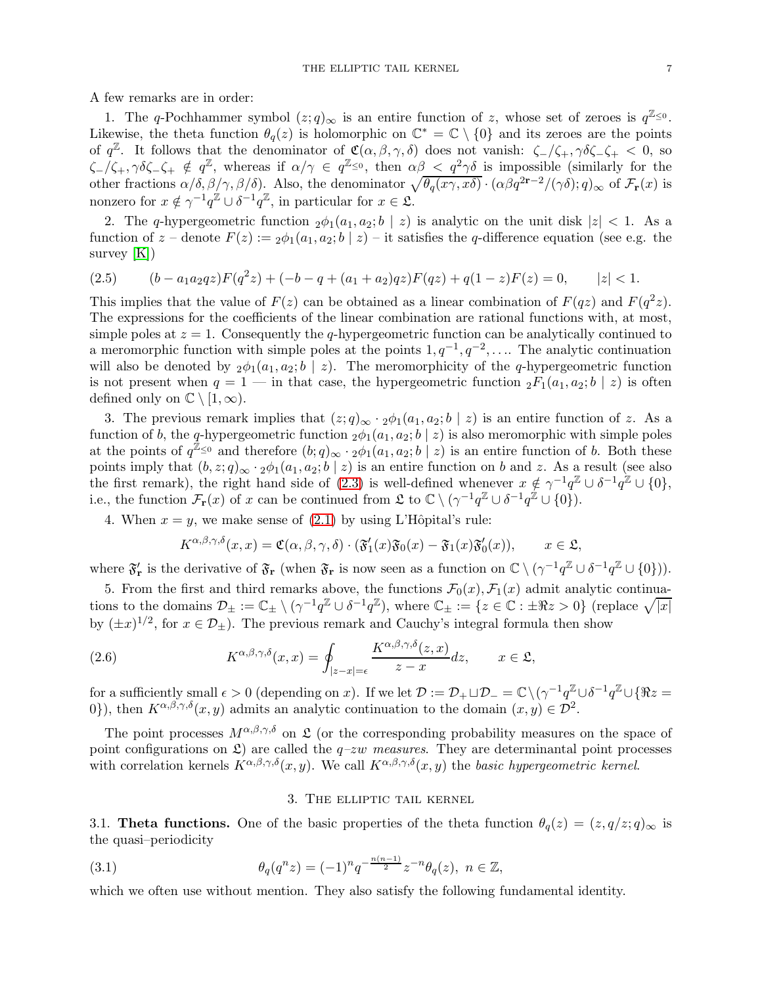A few remarks are in order:

1. The q-Pochhammer symbol  $(z; q)_{\infty}$  is an entire function of z, whose set of zeroes is  $q^{\mathbb{Z}_{\leq 0}}$ . Likewise, the theta function  $\theta_q(z)$  is holomorphic on  $\mathbb{C}^* = \mathbb{C} \setminus \{0\}$  and its zeroes are the points of  $q^{\mathbb{Z}}$ . It follows that the denominator of  $\mathfrak{C}(\alpha,\beta,\gamma,\delta)$  does not vanish:  $\zeta_-/\zeta_+,\gamma\delta\zeta_-\zeta_+ < 0$ , so  $\zeta-\tilde{\zeta}_+,\gamma\delta\zeta_-\zeta_+\notin q^{\mathbb{Z}}$ , whereas if  $\alpha/\gamma\in q^{\mathbb{Z}_{\leq 0}},$  then  $\alpha\beta\leq q^2\gamma\delta$  is impossible (similarly for the other fractions  $\alpha/\delta, \beta/\gamma, \beta/\delta$ . Also, the denominator  $\sqrt{\theta_q(x\gamma, x\delta)} \cdot (\alpha\beta q^{2r-2}/(\gamma\delta); q)_{\infty}$  of  $\mathcal{F}_r(x)$  is nonzero for  $x \notin \gamma^{-1} q^{\mathbb{Z}} \cup \delta^{-1} q^{\mathbb{Z}}$ , in particular for  $x \in \mathfrak{L}$ .

2. The q-hypergeometric function  $_2\phi_1(a_1, a_2; b \mid z)$  is analytic on the unit disk  $|z| < 1$ . As a function of  $z$  – denote  $F(z) := 2\phi_1(a_1, a_2; b \mid z)$  – it satisfies the q-difference equation (see e.g. the survey  $[K]$ )

$$
(2.5) \qquad (b - a_1 a_2 q z) F(q^2 z) + (-b - q + (a_1 + a_2) q z) F(q z) + q(1 - z) F(z) = 0, \qquad |z| < 1.
$$

This implies that the value of  $F(z)$  can be obtained as a linear combination of  $F(qz)$  and  $F(q^2z)$ . The expressions for the coefficients of the linear combination are rational functions with, at most, simple poles at  $z = 1$ . Consequently the q-hypergeometric function can be analytically continued to a meromorphic function with simple poles at the points  $1, q^{-1}, q^{-2}, \ldots$ . The analytic continuation will also be denoted by  $_2\phi_1(a_1, a_2; b \mid z)$ . The meromorphicity of the q-hypergeometric function is not present when  $q = 1$  — in that case, the hypergeometric function  ${}_2F_1(a_1, a_2; b \mid z)$  is often defined only on  $\mathbb{C} \setminus [1,\infty)$ .

3. The previous remark implies that  $(z; q)_{\infty} \cdot 2\phi_1(a_1, a_2; b \mid z)$  is an entire function of z. As a function of b, the q-hypergeometric function  $_2\phi_1(a_1, a_2; b \mid z)$  is also meromorphic with simple poles at the points of  $q^{\mathbb{Z}_{\leq 0}}$  and therefore  $(b;q)_{\infty} \cdot 2\phi_1(a_1,a_2;b \mid z)$  is an entire function of b. Both these points imply that  $(b, z; q)_{\infty} \cdot 2\phi_1(a_1, a_2; b \mid z)$  is an entire function on b and z. As a result (see also the first remark), the right hand side of [\(2.3\)](#page-5-3) is well-defined whenever  $x \notin \gamma^{-1} q^{\mathbb{Z}} \cup \delta^{-1} q^{\mathbb{Z}} \cup \{0\},$ i.e., the function  $\mathcal{F}_{\mathbf{r}}(x)$  of x can be continued from  $\mathfrak{L}$  to  $\mathbb{C} \setminus (\gamma^{-1} q^{\mathbb{Z}} \cup \delta^{-1} q^{\mathbb{Z}} \cup \{0\})$ .

4. When  $x = y$ , we make sense of [\(2.1\)](#page-5-1) by using L'Hôpital's rule:

<span id="page-6-2"></span>
$$
K^{\alpha,\beta,\gamma,\delta}(x,x) = \mathfrak{C}(\alpha,\beta,\gamma,\delta) \cdot (\mathfrak{F}'_1(x)\mathfrak{F}_0(x) - \mathfrak{F}_1(x)\mathfrak{F}'_0(x)), \qquad x \in \mathfrak{L},
$$

where  $\mathfrak{F}'_{\mathbf{r}}$  is the derivative of  $\mathfrak{F}_{\mathbf{r}}$  (when  $\mathfrak{F}_{\mathbf{r}}$  is now seen as a function on  $\mathbb{C} \setminus (\gamma^{-1}q^{\mathbb{Z}} \cup \delta^{-1}q^{\mathbb{Z}} \cup \{0\})$ ).

5. From the first and third remarks above, the functions  $\mathcal{F}_0(x)$ ,  $\mathcal{F}_1(x)$  admit analytic continuations to the domains  $\mathcal{D}_{\pm} := \mathbb{C}_{\pm} \setminus (\gamma^{-1} q^{\mathbb{Z}} \cup \delta^{-1} q^{\mathbb{Z}})$ , where  $\mathbb{C}_{\pm} := \{z \in \mathbb{C} : \pm \Re z > 0\}$  (replace  $\sqrt{|x|}$ by  $(\pm x)^{1/2}$ , for  $x \in \mathcal{D}_{\pm}$ ). The previous remark and Cauchy's integral formula then show

(2.6) 
$$
K^{\alpha,\beta,\gamma,\delta}(x,x) = \oint_{|z-x|=\epsilon} \frac{K^{\alpha,\beta,\gamma,\delta}(z,x)}{z-x} dz, \qquad x \in \mathfrak{L},
$$

for a sufficiently small  $\epsilon > 0$  (depending on x). If we let  $\mathcal{D} := \mathcal{D}_+ \sqcup \mathcal{D}_- = \mathbb{C} \setminus (\gamma^{-1} q^{\mathbb{Z}} \cup \delta^{-1} q^{\mathbb{Z}} \cup \{ \Re z =$ 0}), then  $K^{\alpha,\beta,\gamma,\delta}(x,y)$  admits an analytic continuation to the domain  $(x,y) \in \mathcal{D}^2$ .

The point processes  $M^{\alpha,\beta,\gamma,\delta}$  on  $\mathfrak L$  (or the corresponding probability measures on the space of point configurations on  $\mathfrak{L}$ ) are called the  $q$ -zw measures. They are determinantal point processes with correlation kernels  $K^{\alpha,\beta,\gamma,\delta}(x,y)$ . We call  $K^{\alpha,\beta,\gamma,\delta}(x,y)$  the basic hypergeometric kernel.

### <span id="page-6-1"></span>3. The elliptic tail kernel

<span id="page-6-0"></span>3.1. **Theta functions.** One of the basic properties of the theta function  $\theta_q(z) = (z, q/z; q)_{\infty}$  is the quasi–periodicity

(3.1) 
$$
\theta_q(q^n z) = (-1)^n q^{-\frac{n(n-1)}{2}} z^{-n} \theta_q(z), \quad n \in \mathbb{Z},
$$

which we often use without mention. They also satisfy the following fundamental identity.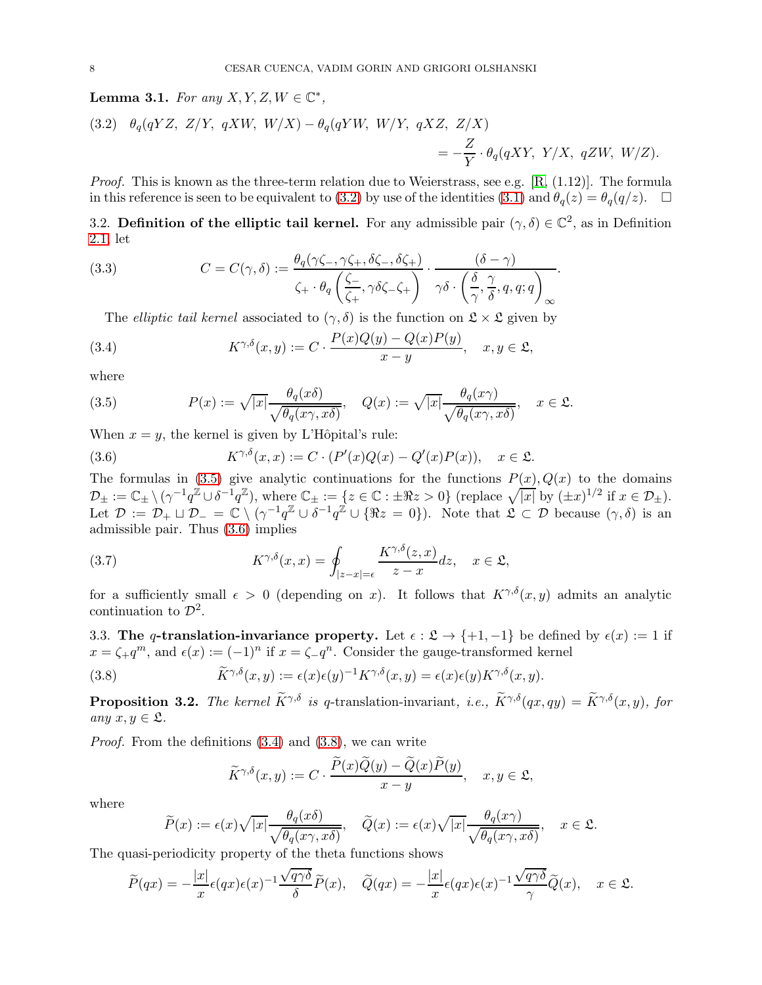<span id="page-7-8"></span>Lemma 3.1. For any  $X, Y, Z, W \in \mathbb{C}^*$ ,

<span id="page-7-2"></span>(3.2) 
$$
\theta_q(qYZ, Z/Y, qXW, W/X) - \theta_q(qYW, W/Y, qXZ, Z/X)
$$

$$
= -\frac{Z}{Y} \cdot \theta_q(qXY, Y/X, qZW, W/Z).
$$

*Proof.* This is known as the three-term relation due to Weierstrass, see e.g.  $[R, (1.12)]$ . The formula in this reference is seen to be equivalent to [\(3.2\)](#page-7-2) by use of the identities [\(3.1\)](#page-6-1) and  $\theta_q(z) = \theta_q(q/z)$ .  $\Box$ 

3.2. Definition of the elliptic tail kernel. For any admissible pair  $(\gamma, \delta) \in \mathbb{C}^2$ , as in Definition [2.1,](#page-5-4) let

(3.3) 
$$
C = C(\gamma, \delta) := \frac{\theta_q(\gamma \zeta_-, \gamma \zeta_+, \delta \zeta_-, \delta \zeta_+)}{\zeta_+ \cdot \theta_q \left(\frac{\zeta_-}{\zeta_+}, \gamma \delta \zeta_- \zeta_+\right)} \cdot \frac{(\delta - \gamma)}{\gamma \delta \cdot \left(\frac{\delta}{\gamma}, \frac{\gamma}{\delta}, q, q; q\right)_{\infty}}.
$$

<span id="page-7-6"></span><span id="page-7-0"></span>The *elliptic tail kernel* associated to  $(\gamma, \delta)$  is the function on  $\mathfrak{L} \times \mathfrak{L}$  given by

(3.4) 
$$
K^{\gamma,\delta}(x,y) := C \cdot \frac{P(x)Q(y) - Q(x)P(y)}{x - y}, \quad x, y \in \mathfrak{L},
$$

where

<span id="page-7-3"></span>(3.5) 
$$
P(x) := \sqrt{|x|} \frac{\theta_q(x\delta)}{\sqrt{\theta_q(x\gamma, x\delta)}}, \quad Q(x) := \sqrt{|x|} \frac{\theta_q(x\gamma)}{\sqrt{\theta_q(x\gamma, x\delta)}}, \quad x \in \mathfrak{L}.
$$

When  $x = y$ , the kernel is given by L'Hôpital's rule:

<span id="page-7-4"></span>(3.6) 
$$
K^{\gamma,\delta}(x,x) := C \cdot (P'(x)Q(x) - Q'(x)P(x)), \quad x \in \mathfrak{L}.
$$

The formulas in [\(3.5\)](#page-7-3) give analytic continuations for the functions  $P(x)$ ,  $Q(x)$  to the domains  $\mathcal{D}_{\pm} := \mathbb{C}_{\pm} \setminus (\gamma^{-1} q^{\mathbb{Z}} \cup \delta^{-1} q^{\mathbb{Z}}),$  where  $\mathbb{C}_{\pm} := \{z \in \mathbb{C} : \pm \Re z > 0\}$  (replace  $\sqrt{|x|}$  by  $(\pm x)^{1/2}$  if  $x \in \mathcal{D}_{\pm}$ ). Let  $\mathcal{D} := \mathcal{D}_+ \sqcup \mathcal{D}_- = \mathcal{C} \setminus (\gamma^{-1} q^{\mathbb{Z}} \cup \delta^{-1} q^{\mathbb{Z}} \cup \{\Re z = 0\}).$  Note that  $\mathfrak{L} \subset \mathcal{D}$  because  $(\gamma, \delta)$  is an admissible pair. Thus [\(3.6\)](#page-7-4) implies

<span id="page-7-7"></span>(3.7) 
$$
K^{\gamma,\delta}(x,x) = \oint_{|z-x|=\epsilon} \frac{K^{\gamma,\delta}(z,x)}{z-x} dz, \quad x \in \mathfrak{L},
$$

for a sufficiently small  $\epsilon > 0$  (depending on x). It follows that  $K^{\gamma,\delta}(x, y)$  admits an analytic continuation to  $\mathcal{D}^2$ .

3.3. The q-translation-invariance property. Let  $\epsilon : \mathfrak{L} \to \{+1, -1\}$  be defined by  $\epsilon(x) := 1$  if  $x = \zeta_+ q^m$ , and  $\epsilon(x) := (-1)^n$  if  $x = \zeta_- q^n$ . Consider the gauge-transformed kernel

(3.8) 
$$
\widetilde{K}^{\gamma,\delta}(x,y) := \epsilon(x)\epsilon(y)^{-1}K^{\gamma,\delta}(x,y) = \epsilon(x)\epsilon(y)K^{\gamma,\delta}(x,y).
$$

<span id="page-7-1"></span>**Proposition 3.2.** The kernel  $\widetilde{K}^{\gamma,\delta}$  is q-translation-invariant, i.e.,  $\widetilde{K}^{\gamma,\delta}(qx, qy) = \widetilde{K}^{\gamma,\delta}(x, y)$ , for any  $x, y \in \mathfrak{L}$ .

*Proof.* From the definitions  $(3.4)$  and  $(3.8)$ , we can write

<span id="page-7-5"></span>
$$
\label{eq:K} \widetilde{K}^{\gamma,\delta}(x,y):=C\cdot\frac{\widetilde{P}(x)\widetilde{Q}(y)-\widetilde{Q}(x)\widetilde{P}(y)}{x-y},\quad x,y\in\mathfrak{L},
$$

where

$$
\widetilde{P}(x) := \epsilon(x)\sqrt{|x|}\frac{\theta_q(x\delta)}{\sqrt{\theta_q(x\gamma, x\delta)}}, \quad \widetilde{Q}(x) := \epsilon(x)\sqrt{|x|}\frac{\theta_q(x\gamma)}{\sqrt{\theta_q(x\gamma, x\delta)}}, \quad x \in \mathfrak{L}.
$$

The quasi-periodicity property of the theta functions shows

$$
\widetilde{P}(qx) = -\frac{|x|}{x}\epsilon(qx)\epsilon(x)^{-1}\frac{\sqrt{q\gamma\delta}}{\delta}\widetilde{P}(x), \quad \widetilde{Q}(qx) = -\frac{|x|}{x}\epsilon(qx)\epsilon(x)^{-1}\frac{\sqrt{q\gamma\delta}}{\gamma}\widetilde{Q}(x), \quad x \in \mathfrak{L}.
$$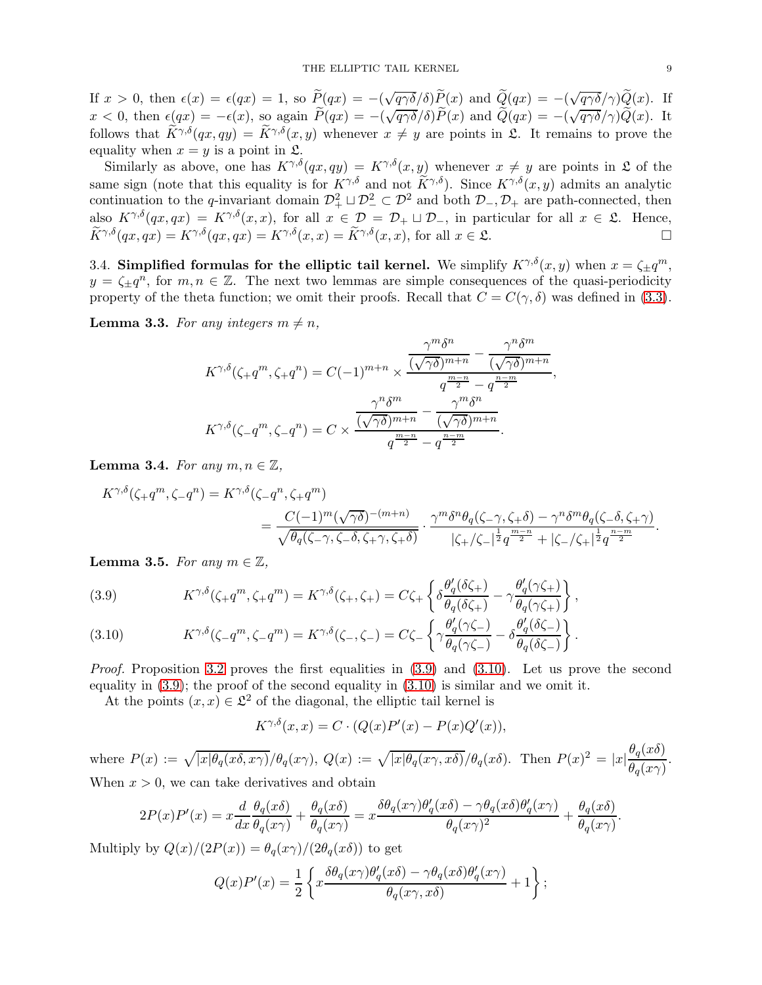If  $x > 0$ , then  $\epsilon(x) = \epsilon(qx) = 1$ , so  $\tilde{P}(qx) = -(\sqrt{q\gamma\delta}/\delta)\tilde{P}(x)$  and  $\tilde{Q}(qx) = -(\sqrt{q\gamma\delta}/\gamma)\tilde{Q}(x)$ . If  $x < 0$ , then  $\epsilon(qx) = -\epsilon(x)$ , so again  $\widetilde{P}(qx) = -(\sqrt{q\gamma\delta}/\delta)\widetilde{P}(x)$  and  $\widetilde{Q}(qx) = -(\sqrt{q\gamma\delta}/\delta)\widetilde{Q}(x)$ . It follows that  $\widetilde{K}^{\gamma,\delta}(qx, qy) = \widetilde{K}^{\gamma,\delta}(x, y)$  whenever  $x \neq y$  are points in  $\mathfrak{L}$ . It remains to prove the equality when  $x = y$  is a point in  $\mathfrak{L}$ .

Similarly as above, one has  $K^{\gamma,\delta}(qx, qy) = K^{\gamma,\delta}(x, y)$  whenever  $x \neq y$  are points in  $\mathfrak L$  of the same sign (note that this equality is for  $K^{\gamma,\delta}$  and not  $K^{\gamma,\delta}$ ). Since  $K^{\gamma,\delta}(x, y)$  admits an analytic continuation to the q-invariant domain  $\mathcal{D}_+^2 \sqcup \mathcal{D}_-^2 \subset \mathcal{D}^2$  and both  $\mathcal{D}_-, \mathcal{D}_+$  are path-connected, then also  $K^{\gamma,\delta}(qx,qx) = K^{\gamma,\delta}(x,x)$ , for all  $x \in \mathcal{D} = \mathcal{D}_+ \sqcup \mathcal{D}_-$ , in particular for all  $x \in \mathfrak{L}$ . Hence,<br> $\widetilde{K}^{\gamma,\delta}(qx,qx) = K^{\gamma,\delta}(qx,qx) = K^{\gamma,\delta}(x,x) = \widetilde{K}^{\gamma,\delta}(x,x)$  for all  $x \in \mathfrak{L}$ .  $\widetilde{K}^{\gamma,\delta}(qx, qx) = K^{\gamma,\delta}(qx, qx) = K^{\gamma,\delta}(x, x) = \widetilde{K}^{\gamma,\delta}(x, x)$ , for all  $x \in \mathfrak{L}$ .

<span id="page-8-0"></span>3.4. Simplified formulas for the elliptic tail kernel. We simplify  $K^{\gamma,\delta}(x,y)$  when  $x = \zeta \pm q^m$ ,  $y = \zeta_{\pm} q^n$ , for  $m, n \in \mathbb{Z}$ . The next two lemmas are simple consequences of the quasi-periodicity property of the theta function; we omit their proofs. Recall that  $C = C(\gamma, \delta)$  was defined in [\(3.3\)](#page-7-6).

<span id="page-8-3"></span>**Lemma 3.3.** For any integers  $m \neq n$ ,

$$
K^{\gamma,\delta}(\zeta_{+}q^{m},\zeta_{+}q^{n}) = C(-1)^{m+n} \times \frac{\frac{\gamma^{m}\delta^{n}}{(\sqrt{\gamma\delta})^{m+n}} - \frac{\gamma^{n}\delta^{m}}{(\sqrt{\gamma\delta})^{m+n}}}{q^{\frac{m-n}{2}} - q^{\frac{n-m}{2}}},
$$

$$
K^{\gamma,\delta}(\zeta_{-}q^{m},\zeta_{-}q^{n}) = C \times \frac{\frac{\gamma^{n}\delta^{m}}{(\sqrt{\gamma\delta})^{m+n}} - \frac{\gamma^{m}\delta^{n}}{(\sqrt{\gamma\delta})^{m+n}}}{q^{\frac{m-n}{2}} - q^{\frac{n-m}{2}}}.
$$

<span id="page-8-5"></span>**Lemma 3.4.** For any  $m, n \in \mathbb{Z}$ ,

$$
K^{\gamma,\delta}(\zeta_{+}q^{m},\zeta_{-}q^{n}) = K^{\gamma,\delta}(\zeta_{-}q^{n},\zeta_{+}q^{m})
$$
  
= 
$$
\frac{C(-1)^{m}(\sqrt{\gamma\delta})^{-(m+n)}}{\sqrt{\theta_{q}(\zeta_{-}\gamma,\zeta_{-}\delta,\zeta_{+}\gamma,\zeta_{+}\delta)}} \cdot \frac{\gamma^{m}\delta^{n}\theta_{q}(\zeta_{-}\gamma,\zeta_{+}\delta) - \gamma^{n}\delta^{m}\theta_{q}(\zeta_{-}\delta,\zeta_{+}\gamma)}{|\zeta_{+}/\zeta_{-}|^{\frac{1}{2}}q^{\frac{m-n}{2}} + |\zeta_{-}/\zeta_{+}|^{\frac{1}{2}}q^{\frac{n-m}{2}}}.
$$

<span id="page-8-4"></span>**Lemma 3.5.** For any  $m \in \mathbb{Z}$ ,

<span id="page-8-1"></span>(3.9) 
$$
K^{\gamma,\delta}(\zeta + q^m, \zeta + q^m) = K^{\gamma,\delta}(\zeta_+, \zeta_+) = C\zeta_+ \left\{ \delta \frac{\theta_q'(\delta \zeta_+)}{\theta_q(\delta \zeta_+)} - \gamma \frac{\theta_q'(\gamma \zeta_+)}{\theta_q(\gamma \zeta_+)} \right\},
$$

<span id="page-8-2"></span>(3.10) 
$$
K^{\gamma,\delta}(\zeta - q^m, \zeta - q^m) = K^{\gamma,\delta}(\zeta - \zeta - \zeta) = C\zeta - \left\{ \gamma \frac{\theta_q'(\gamma \zeta - \zeta)}{\theta_q(\gamma \zeta - \zeta)} - \delta \frac{\theta_q'(\delta \zeta - \zeta)}{\theta_q(\delta \zeta - \zeta)} \right\}.
$$

*Proof.* Proposition [3.2](#page-7-1) proves the first equalities in  $(3.9)$  and  $(3.10)$ . Let us prove the second equality in  $(3.9)$ ; the proof of the second equality in  $(3.10)$  is similar and we omit it.

At the points  $(x, x) \in \mathcal{L}^2$  of the diagonal, the elliptic tail kernel is

$$
K^{\gamma,\delta}(x,x) = C \cdot (Q(x)P'(x) - P(x)Q'(x)),
$$

where  $P(x) := \sqrt{|x| \theta_q(x \delta, x \gamma)} / \theta_q(x \gamma)$ ,  $Q(x) := \sqrt{|x| \theta_q(x \gamma, x \delta)} / \theta_q(x \delta)$ . Then  $P(x)^2 = |x| \frac{\theta_q(x \delta)}{\theta_q(x \gamma)}$  $\frac{\partial q(x)}{\partial q(x\gamma)}$ . When  $x > 0$ , we can take derivatives and obtain

$$
2P(x)P'(x) = x\frac{d}{dx}\frac{\theta_q(x\delta)}{\theta_q(x\gamma)} + \frac{\theta_q(x\delta)}{\theta_q(x\gamma)} = x\frac{\delta\theta_q(x\gamma)\theta_q'(x\delta) - \gamma\theta_q(x\delta)\theta_q'(x\gamma)}{\theta_q(x\gamma)^2} + \frac{\theta_q(x\delta)}{\theta_q(x\gamma)}.
$$

Multiply by  $Q(x)/(2P(x)) = \theta_a(x\gamma)/(2\theta_a(x\delta))$  to get

$$
Q(x)P'(x) = \frac{1}{2} \left\{ x \frac{\delta \theta_q(x\gamma) \theta_q'(x\delta) - \gamma \theta_q(x\delta) \theta_q'(x\gamma)}{\theta_q(x\gamma, x\delta)} + 1 \right\};
$$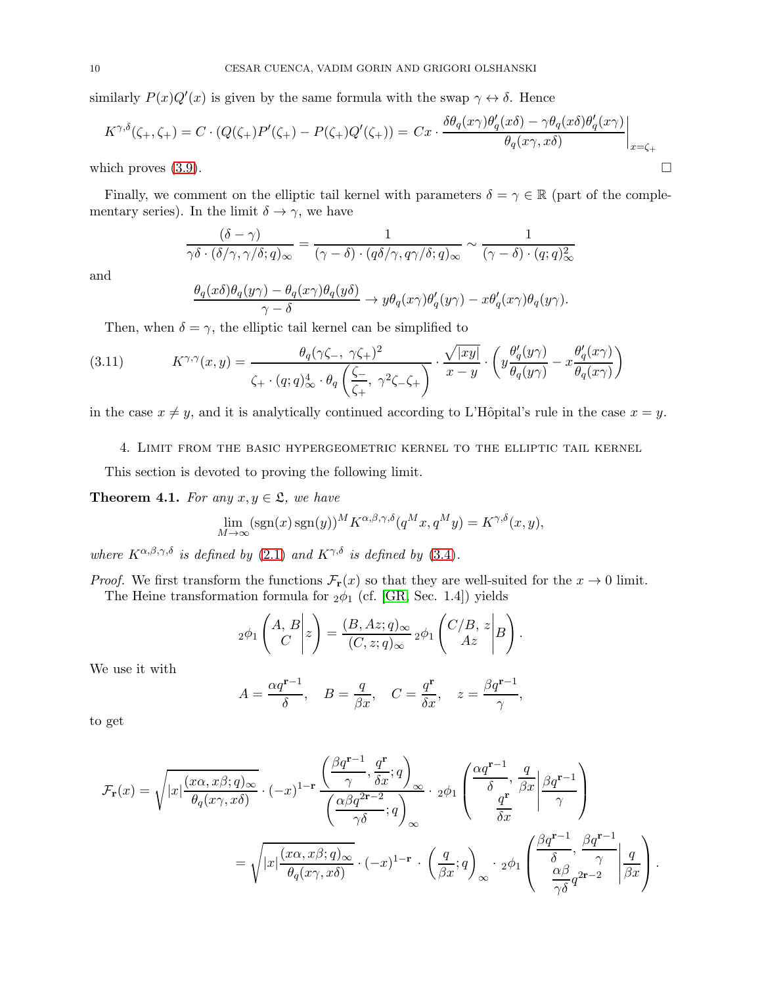similarly  $P(x)Q'(x)$  is given by the same formula with the swap  $\gamma \leftrightarrow \delta$ . Hence

$$
K^{\gamma,\delta}(\zeta_+,\zeta_+) = C \cdot (Q(\zeta_+)P'(\zeta_+) - P(\zeta_+)Q'(\zeta_+)) = Cx \cdot \frac{\delta \theta_q(x\gamma) \theta_q'(x\delta) - \gamma \theta_q(x\delta) \theta_q'(x\gamma)}{\theta_q(x\gamma,x\delta)} \Big|_{x=\zeta_+}
$$
  
which proves (3.9).

Finally, we comment on the elliptic tail kernel with parameters  $\delta = \gamma \in \mathbb{R}$  (part of the complementary series). In the limit  $\delta \to \gamma$ , we have

$$
\frac{(\delta - \gamma)}{\gamma \delta \cdot (\delta/\gamma, \gamma/\delta; q)_{\infty}} = \frac{1}{(\gamma - \delta) \cdot (q \delta/\gamma, q \gamma/\delta; q)_{\infty}} \sim \frac{1}{(\gamma - \delta) \cdot (q; q)_{\infty}^2}
$$

and

<span id="page-9-2"></span>
$$
\frac{\theta_q(x\delta)\theta_q(y\gamma) - \theta_q(x\gamma)\theta_q(y\delta)}{\gamma - \delta} \to y\theta_q(x\gamma)\theta'_q(y\gamma) - x\theta'_q(x\gamma)\theta_q(y\gamma).
$$

Then, when  $\delta = \gamma$ , the elliptic tail kernel can be simplified to

(3.11) 
$$
K^{\gamma,\gamma}(x,y) = \frac{\theta_q(\gamma\zeta_-, \gamma\zeta_+)^2}{\zeta_+ \cdot (q;q)_\infty^4 \cdot \theta_q\left(\frac{\zeta_-}{\zeta_+}, \gamma^2\zeta_-\zeta_+\right)} \cdot \frac{\sqrt{|xy|}}{x-y} \cdot \left(y\frac{\theta_q'(y\gamma)}{\theta_q(y\gamma)} - x\frac{\theta_q'(x\gamma)}{\theta_q(x\gamma)}\right)
$$

<span id="page-9-0"></span>in the case  $x \neq y$ , and it is analytically continued according to L'Hôpital's rule in the case  $x = y$ .

4. Limit from the basic hypergeometric kernel to the elliptic tail kernel

This section is devoted to proving the following limit.

<span id="page-9-1"></span>**Theorem 4.1.** For any  $x, y \in \mathfrak{L}$ , we have

$$
\lim_{M \to \infty} (\text{sgn}(x) \text{ sgn}(y))^{M} K^{\alpha, \beta, \gamma, \delta}(q^{M}x, q^{M}y) = K^{\gamma, \delta}(x, y),
$$

where  $K^{\alpha,\beta,\gamma,\delta}$  is defined by [\(2.1\)](#page-5-1) and  $K^{\gamma,\delta}$  is defined by [\(3.4\)](#page-7-0).

*Proof.* We first transform the functions  $\mathcal{F}_r(x)$  so that they are well-suited for the  $x \to 0$  limit. The Heine transformation formula for  $_2\phi_1$  (cf. [\[GR,](#page-27-18) Sec. 1.4]) yields

$$
{}_2\phi_1\left(\begin{matrix} A,B\\ C\end{matrix}\bigg|z\right)=\frac{(B,Az;q)_\infty}{(C,z;q)_\infty}\,{}_2\phi_1\left(\begin{matrix} C/B,\,z\\ Az\end{matrix}\bigg|B\right).
$$

We use it with

$$
A = \frac{\alpha q^{\mathbf{r}-1}}{\delta}, \quad B = \frac{q}{\beta x}, \quad C = \frac{q^{\mathbf{r}}}{\delta x}, \quad z = \frac{\beta q^{\mathbf{r}-1}}{\gamma},
$$

to get

$$
\mathcal{F}_{\mathbf{r}}(x) = \sqrt{|x| \frac{(x\alpha, x\beta; q)_{\infty}}{\theta_q(x\gamma, x\delta)}} \cdot (-x)^{1-\mathbf{r}} \frac{\left(\frac{\beta q^{\mathbf{r}-1}}{\gamma}, \frac{q^{\mathbf{r}}}{\delta x}; q\right)_{\infty}}{\left(\frac{\alpha\beta q^{2\mathbf{r}-2}}{\gamma\delta}; q\right)_{\infty}} \cdot 2\phi_1 \left(\frac{\alpha q^{\mathbf{r}-1}}{\delta_x}, \frac{q}{\beta x} \middle| \frac{\beta q^{\mathbf{r}-1}}{\gamma}\right)
$$

$$
= \sqrt{|x| \frac{(x\alpha, x\beta; q)_{\infty}}{\theta_q(x\gamma, x\delta)}} \cdot (-x)^{1-\mathbf{r}} \cdot \left(\frac{q}{\beta x}; q\right)_{\infty} \cdot 2\phi_1 \left(\frac{\beta q^{\mathbf{r}-1}}{\delta_x}, \frac{\beta q^{\mathbf{r}-1}}{\gamma}\middle| \frac{q}{\beta x}\right).
$$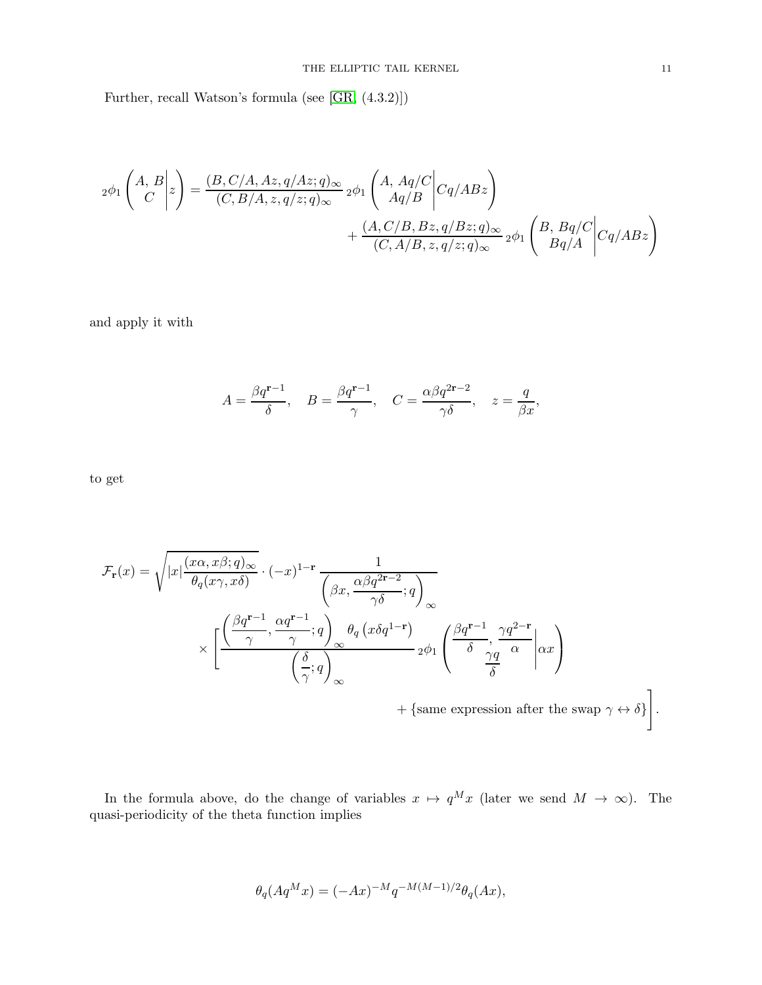Further, recall Watson's formula (see [\[GR,](#page-27-18) (4.3.2)])

$$
{}_{2}\phi_{1}\left(\begin{matrix} A,B\\ C\\ \end{matrix}\bigg|z\right)=\frac{(B,C/A,Az,q/Az;q)_{\infty}}{(C,B/A,z,q/z;q)_{\infty}}\,{}_{2}\phi_{1}\left(\begin{matrix} A,Aq/C\\ Aq/B\\ \end{matrix}\bigg|Cq/ABz\right)\\ \qquad \qquad +\frac{(A,C/B,Bz,q/Bz;q)_{\infty}}{(C,A/B,z,q/z;q)_{\infty}}\,{}_{2}\phi_{1}\left(\begin{matrix} B,Bq/C\\ Bq/A\\ \end{matrix}\bigg|Cq/ABz\right)
$$

and apply it with

$$
A=\frac{\beta q^{{\bf r}-1}}{\delta},\quad B=\frac{\beta q^{{\bf r}-1}}{\gamma},\quad C=\frac{\alpha\beta q^{2{\bf r}-2}}{\gamma\delta},\quad z=\frac{q}{\beta x},
$$

to get

$$
\mathcal{F}_{\mathbf{r}}(x) = \sqrt{|x| \frac{(x\alpha, x\beta; q)_{\infty}}{\theta_q(x\gamma, x\delta)}} \cdot (-x)^{1-\mathbf{r}} \frac{1}{\begin{pmatrix} \beta x, \frac{\alpha\beta q^{2\mathbf{r}-2}}{\gamma\delta}; q \end{pmatrix}_{\infty}} \times \left[ \frac{\left(\frac{\beta q^{\mathbf{r}-1}}{\gamma}, \frac{\alpha q^{\mathbf{r}-1}}{\gamma}; q\right)_{\infty} \theta_q(x\delta q^{1-\mathbf{r}})}{\begin{pmatrix} \frac{\delta}{\gamma}; q \end{pmatrix}_{\infty}} 2\phi_1 \begin{pmatrix} \frac{\beta q^{\mathbf{r}-1}}{\delta}, \frac{\gamma q^{2-\mathbf{r}}}{\gamma} \\ \frac{\gamma q}{\delta} \end{pmatrix} \right] \times \left[ \frac{\left(\frac{\beta q^{\mathbf{r}-1}}{\gamma}; q\right)_{\infty} \theta_q(x\delta q^{1-\mathbf{r}})}{\begin{pmatrix} \frac{\delta}{\gamma}; q \end{pmatrix}_{\infty}} 2\phi_1 \begin{pmatrix} \frac{\beta q^{\mathbf{r}-1}}{\delta}, \frac{\gamma q^{2-\mathbf{r}}}{\gamma} \\ \frac{\gamma q}{\delta} \end{pmatrix} \right] \times \left[ \frac{\left(\frac{\beta q^{\mathbf{r}-1}}{\gamma}; q\right)_{\infty} \theta_q(x\delta q^{1-\mathbf{r}})}{\begin{pmatrix} \frac{\delta}{\delta}, \frac{\gamma q}{\delta} \\ \frac{\gamma q}{\delta} \end{pmatrix}_{\infty}} + \frac{\left(\frac{\beta q^{\mathbf{r}-1}}{\delta}, \frac{\gamma q^{2-\mathbf{r}}}{\gamma} \right)_{\infty}}{\begin{pmatrix} \frac{\gamma q}{\delta}, \frac{\gamma q}{\delta} \\ \frac{\gamma q}{\delta} \end{pmatrix}_{\infty}} \right].
$$

In the formula above, do the change of variables  $x \mapsto q^M x$  (later we send  $M \to \infty$ ). The quasi-periodicity of the theta function implies

$$
\theta_q(Aq^Mx) = (-Ax)^{-M}q^{-M(M-1)/2}\theta_q(Ax),
$$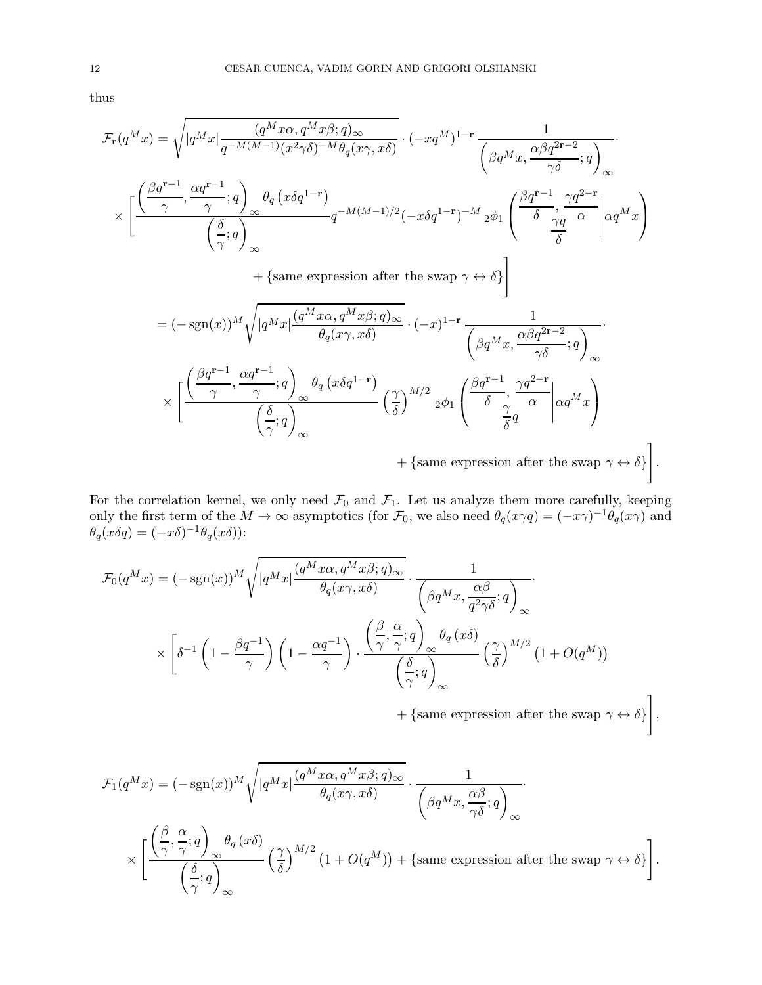thus

$$
\mathcal{F}_{\mathbf{r}}(q^{M}x) = \sqrt{|q^{M}x|} \frac{(q^{M}x\alpha, q^{M}x\beta;q) \infty}{q^{-M(M-1)}(x^{2}\gamma\delta)^{-M}\theta_{q}(x\gamma, x\delta)} \cdot (-xq^{M})^{1-\mathbf{r}} \frac{1}{\left(\beta q^{M}x, \frac{\alpha\beta q^{2\mathbf{r}-2}}{\gamma\delta};q\right)}.
$$
\n
$$
\times \left[ \frac{\left(\frac{\beta q^{\mathbf{r}-1}}{\gamma}, \frac{\alpha q^{\mathbf{r}-1}}{\gamma};q\right)_{\infty} \theta_{q}(x\delta q^{1-\mathbf{r}})}{(\frac{\delta}{\gamma};q\right)_{\infty}} q^{-M(M-1)/2}(-x\delta q^{1-\mathbf{r}})^{-M} 2\phi_{1} \left(\frac{\beta q^{\mathbf{r}-1}}{\delta}, \frac{\gamma q^{2-\mathbf{r}}}{\gamma} \right) \frac{\alpha q^{M}x}{\delta} \right)
$$
\n
$$
+ \left\{ \text{same expression after the swap } \gamma \leftrightarrow \delta \right\}
$$
\n
$$
= (-\text{sgn}(x))^{M} \sqrt{|q^{M}x|} \frac{(q^{M}x\alpha, q^{M}x\beta;q)_{\infty}}{\theta_{q}(x\gamma, x\delta)} \cdot (-x)^{1-\mathbf{r}} \frac{1}{\left(\beta q^{M}x, \frac{\alpha\beta q^{2\mathbf{r}-2}}{\gamma\delta};q\right)_{\infty}} \cdot \left(\frac{\beta q^{\mathbf{r}-1}}{\gamma\delta};q\right) \frac{\alpha q^{2\mathbf{r}-1}}{\gamma\delta} \frac{\alpha q^{2\mathbf{r}-2}}{\gamma\delta}}{\left(\frac{\beta}{\gamma};q\right)_{\infty}} \times \left[ \frac{\left(\frac{\beta q^{\mathbf{r}-1}}{\gamma}, \frac{\alpha q^{\mathbf{r}-1}}{\gamma};q\right)_{\infty} \theta_{q}(x\delta q^{1-\mathbf{r}})}{\left(\frac{\delta}{\delta}\right)^{M/2}} \frac{\left(\frac{\beta q^{\mathbf{r}-1}}{\delta}, \frac{\gamma q^{2-\mathbf{r}}}{\gamma}\right| \alpha q^{M}x}{\frac{\gamma}{\delta}q} \right) + \left\{ \text{same expression after the swap } \gamma \leftrightarrow \delta \right\} \right].
$$

For the correlation kernel, we only need  $\mathcal{F}_0$  and  $\mathcal{F}_1$ . Let us analyze them more carefully, keeping only the first term of the  $M \to \infty$  asymptotics (for  $\mathcal{F}_0$ , we also need  $\theta_q(x\gamma q) = (-x\gamma)^{-1} \theta_q(x\gamma)$  and  $\theta_q(x\delta q) = (-x\delta)^{-1} \theta_q(x\delta)$ :

$$
\mathcal{F}_0(q^Mx) = (-sgn(x))^M \sqrt{|q^Mx| \frac{(q^Mx\alpha, q^Mx\beta; q)_{\infty}}{\theta_q(x\gamma, x\delta)}} \cdot \frac{1}{\begin{pmatrix} \beta q^Mx, \frac{\alpha\beta}{q^2\gamma\delta}; q \end{pmatrix}_{\infty}} \cdot \frac{1}{\begin{pmatrix} \beta q^Mx, \frac{\alpha\beta}{q^2\gamma\delta}; q \end{pmatrix}_{\infty}} \cdot \frac{\left(\frac{\beta}{q^2\gamma\delta}; q\right)_{\infty}}{\begin{pmatrix} \beta q^Mx, \frac{\alpha\beta}{q^2\gamma\delta}; q \end{pmatrix}_{\infty}} \cdot \frac{\left(\frac{\beta}{q^2\gamma\delta}; q\right)_{\infty}}{\begin{pmatrix} \frac{\beta}{q^2\gamma\delta}; q \end{pmatrix}_{\infty}} \cdot \frac{\left(\frac{\beta}{q^2\gamma\delta}; q\right)_{\infty}}{\begin{pmatrix} \frac{\beta}{q^2\gamma\delta}; q \end{pmatrix}_{\infty}} \cdot \frac{\left(\frac{\beta}{q^2\gamma\delta}; q\right)_{\infty}}{\begin{pmatrix} \frac{\beta}{q^2\gamma\delta}; q \end{pmatrix}_{\infty}} \cdot \frac{\left(\frac{\beta}{q^2\gamma\delta}; q\right)_{\infty}}{\begin{pmatrix} \frac{\beta}{q^2\gamma\delta}; q \end{pmatrix}_{\infty}} \cdot \frac{\left(\frac{\beta}{q^2\gamma\delta}; q\right)_{\infty}}{\begin{pmatrix} \frac{\beta}{q^2\gamma\delta}; q \end{pmatrix}_{\infty}} \cdot \frac{\left(\frac{\beta}{q^2\gamma\delta}; q\right)_{\infty}}{\begin{pmatrix} \frac{\beta}{q^2\gamma\delta}; q \end{pmatrix}_{\infty}}
$$

+ {same expression after the swap  $\gamma \leftrightarrow \delta$ } 1 ,

.

$$
\mathcal{F}_1(q^Mx) = (-\operatorname{sgn}(x))^M \sqrt{|q^Mx| \frac{(q^Mx\alpha, q^Mx\beta; q)_{\infty}}{\theta_q(x\gamma, x\delta)}} \cdot \frac{1}{\begin{pmatrix} \beta q^Mx, \frac{\alpha\beta}{\gamma\delta}; q \end{pmatrix}_{\infty}} \cdot \frac{1}{\begin{pmatrix} \beta q^Mx, \frac{\alpha\beta}{\gamma\delta}; q \end{pmatrix}_{\infty}} \cdot \frac{1}{\begin{pmatrix} \beta q^Mx, \frac{\alpha\beta}{\gamma\delta}; q \end{pmatrix}_{\infty}} \cdot \frac{1}{\begin{pmatrix} \beta q^Mx, \frac{\alpha\beta}{\gamma\delta}; q \end{pmatrix}_{\infty}} \cdot \frac{1}{\begin{pmatrix} \beta q^Mx, \frac{\alpha\beta}{\gamma\delta}; q \end{pmatrix}_{\infty}} \cdot \frac{1}{\begin{pmatrix} \beta q^Mx, \frac{\alpha\beta}{\gamma\delta}; q \end{pmatrix}_{\infty}} \cdot \frac{1}{\begin{pmatrix} \beta q^Mx, \frac{\alpha\beta}{\gamma\delta}; q \end{pmatrix}_{\infty}} \cdot \frac{1}{\begin{pmatrix} \beta q^Mx, \frac{\alpha\beta}{\gamma\delta}; q \end{pmatrix}_{\infty}} \cdot \frac{1}{\begin{pmatrix} \beta q^Mx, \frac{\alpha\beta}{\gamma\delta}; q \end{pmatrix}_{\infty}} \cdot \frac{1}{\begin{pmatrix} \beta q^Mx, \frac{\alpha\beta}{\gamma\delta}; q \end{pmatrix}_{\infty}} \cdot \frac{1}{\begin{pmatrix} \beta q^Mx, \frac{\alpha\beta}{\gamma\delta}; q \end{pmatrix}_{\infty}} \cdot \frac{1}{\begin{pmatrix} \beta q^Mx, \frac{\alpha\beta}{\gamma\delta}; q \end{pmatrix}_{\infty}} \cdot \frac{1}{\begin{pmatrix} \beta q^Mx, \frac{\alpha\beta}{\gamma\delta}; q \end{pmatrix}_{\infty}} \cdot \frac{1}{\begin{pmatrix} \beta q^Mx, \frac{\alpha\beta}{\gamma\delta}; q \end{pmatrix}_{\infty}} \cdot \frac{1}{\begin{pmatrix} \beta q^Mx, \frac{\alpha\beta}{\gamma\delta}; q \end{pmatrix}_{\infty}} \cdot \frac{1}{\begin{pmatrix} \beta q^Mx, \frac{\alpha\beta}{\gamma\delta}; q \end{pmatrix}_{\infty}} \cdot \frac{
$$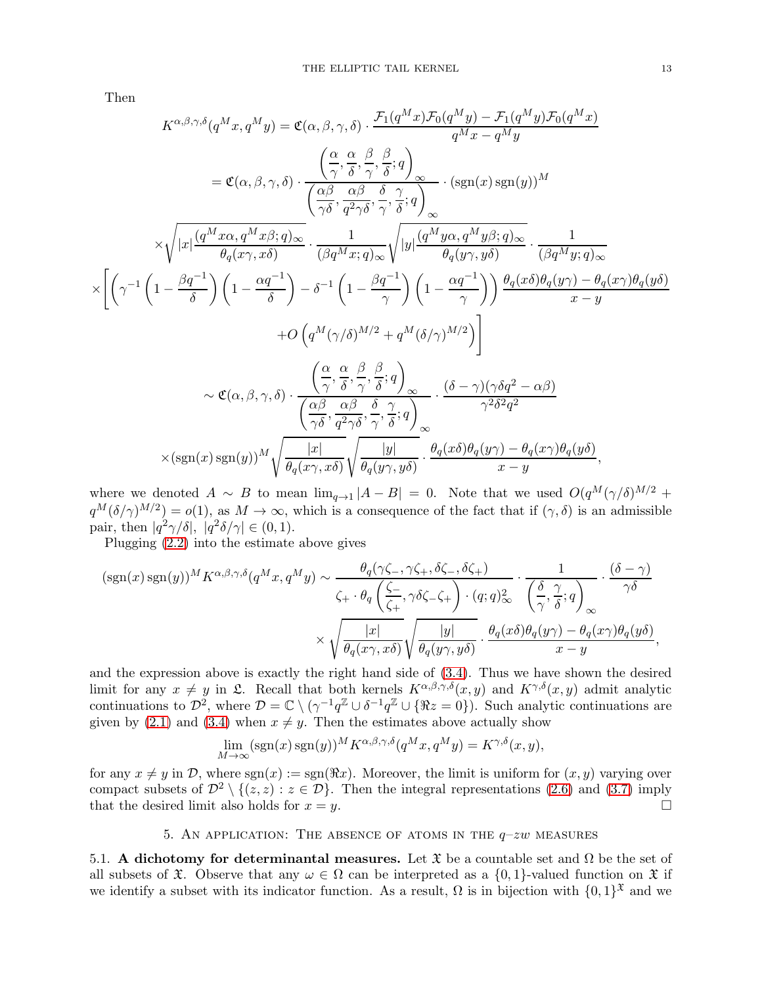Then

 $\times$ 

$$
K^{\alpha,\beta,\gamma,\delta}(q^{M}x,q^{M}y) = \mathfrak{C}(\alpha,\beta,\gamma,\delta) \cdot \frac{\mathcal{F}_{1}(q^{M}x)\mathcal{F}_{0}(q^{M}y) - \mathcal{F}_{1}(q^{M}y)\mathcal{F}_{0}(q^{M}x))}{q^{M}x - q^{M}y}
$$
\n
$$
= \mathfrak{C}(\alpha,\beta,\gamma,\delta) \cdot \frac{\left(\frac{\alpha}{\gamma},\frac{\alpha}{\delta},\frac{\beta}{\gamma},\frac{\beta}{\delta};q\right)}{\left(\frac{\alpha\beta}{\gamma\delta},\frac{\alpha\beta}{q^{2}\gamma\delta},\frac{\delta}{\gamma},\frac{\gamma}{\delta};q\right)} \cdot (\text{sgn}(x)\,\text{sgn}(y))^{M}
$$
\n
$$
\times \sqrt{|x|\frac{(q^{M}x\alpha,q^{M}x\beta;q)_{\infty}}{\theta_{q}(x\gamma,x\delta)} \cdot \frac{1}{(\beta q^{M}x;q)_{\infty}}\sqrt{|y|\frac{(q^{M}y\alpha,q^{M}y\beta;q)_{\infty}}{\theta_{q}(y\gamma,y\delta)}} \cdot \frac{1}{(\beta q^{M}y;q)_{\infty}}}
$$
\n
$$
\left[\left(\gamma^{-1}\left(1-\frac{\beta q^{-1}}{\delta}\right)\left(1-\frac{\alpha q^{-1}}{\delta}\right)-\delta^{-1}\left(1-\frac{\beta q^{-1}}{\gamma}\right)\left(1-\frac{\alpha q^{-1}}{\gamma}\right)\right)\frac{\theta_{q}(x\delta)\theta_{q}(y\gamma)-\theta_{q}(x\gamma)\theta_{q}(y\delta)}{x-y}+\mathcal{O}\left(q^{M}(\gamma/\delta)^{M/2}+q^{M}(\delta/\gamma)^{M/2}\right)\right] \right]
$$
\n
$$
\sim \mathfrak{C}(\alpha,\beta,\gamma,\delta) \cdot \frac{\left(\frac{\alpha}{\gamma},\frac{\alpha}{\delta},\frac{\beta}{\gamma},\frac{\alpha}{\delta};q\right)}{\left(\frac{\alpha\beta}{\gamma\delta},\frac{\alpha\beta}{q^{2}\gamma\delta},\frac{\delta}{\gamma},\frac{\gamma}{\delta};q\right)} \cdot \frac{(\delta-\gamma)(\gamma\delta q^{2}-\alpha\beta)}{\gamma^{2}\delta^{2}q^{2}} \times (\text{sgn}(x)\,\text{sgn}(y))^{M} \sqrt{\frac{|x|}{\theta_{q}(x\gamma,x\delta)}\sqrt{\frac{|y|}{\theta_{q}(
$$

where we denoted  $A \sim B$  to mean  $\lim_{q\to 1} |A-B| = 0$ . Note that we used  $O(q^M(\gamma/\delta)^{M/2} +$  $q^M(\delta/\gamma)^{M/2} = o(1)$ , as  $M \to \infty$ , which is a consequence of the fact that if  $(\gamma, \delta)$  is an admissible pair, then  $|q^2 \gamma / \delta|, |q^2 \delta / \gamma| \in (0, 1)$ .

Plugging [\(2.2\)](#page-5-5) into the estimate above gives

$$
(\operatorname{sgn}(x)\operatorname{sgn}(y))^M K^{\alpha,\beta,\gamma,\delta}(q^M x, q^M y) \sim \frac{\theta_q(\gamma\zeta_-, \gamma\zeta_+, \delta\zeta_-, \delta\zeta_+)}{\zeta_+ \cdot \theta_q\left(\frac{\zeta_-}{\zeta_+}, \gamma\delta\zeta_-\zeta_+\right) \cdot (q;q)_\infty^2} \cdot \frac{1}{\left(\frac{\delta}{\gamma}, \frac{\gamma}{\delta};q\right)_\infty} \cdot \frac{(\delta-\gamma)}{\gamma\delta}
$$

$$
\times \sqrt{\frac{|x|}{\theta_q(x\gamma, x\delta)}\sqrt{\frac{|y|}{\theta_q(y\gamma, y\delta)}}} \cdot \frac{\theta_q(x\delta)\theta_q(y\gamma) - \theta_q(x\gamma)\theta_q(y\delta)}{x - y},
$$

and the expression above is exactly the right hand side of [\(3.4\)](#page-7-0). Thus we have shown the desired limit for any  $x \neq y$  in  $\mathfrak{L}$ . Recall that both kernels  $K^{\alpha,\beta,\gamma,\delta}(x,y)$  and  $K^{\gamma,\delta}(x,y)$  admit analytic continuations to  $\mathcal{D}^2$ , where  $\mathcal{D} = \mathbb{C} \setminus (\gamma^{-1} q^{\mathbb{Z}} \cup \delta^{-1} q^{\mathbb{Z}} \cup {\Re z = 0})$ . Such analytic continuations are given by [\(2.1\)](#page-5-1) and [\(3.4\)](#page-7-0) when  $x \neq y$ . Then the estimates above actually show

$$
\lim_{M \to \infty} (\text{sgn}(x) \text{sgn}(y))^{M} K^{\alpha, \beta, \gamma, \delta}(q^{M}x, q^{M}y) = K^{\gamma, \delta}(x, y),
$$

for any  $x \neq y$  in D, where  $sgn(x) := sgn(\Re x)$ . Moreover, the limit is uniform for  $(x, y)$  varying over compact subsets of  $\mathcal{D}^2 \setminus \{(z, z) : z \in \mathcal{D}\}\)$ . Then the integral representations [\(2.6\)](#page-6-2) and [\(3.7\)](#page-7-7) imply that the desired limit also holds for  $x = y$ . that the desired limit also holds for  $x = y$ .

### 5. AN APPLICATION: THE ABSENCE OF ATOMS IN THE  $q-zw$  measures

<span id="page-12-0"></span>5.1. A dichotomy for determinantal measures. Let  $\mathfrak X$  be a countable set and  $\Omega$  be the set of all subsets of  $\mathfrak X$ . Observe that any  $\omega \in \Omega$  can be interpreted as a  $\{0,1\}$ -valued function on  $\mathfrak X$  if we identify a subset with its indicator function. As a result,  $\Omega$  is in bijection with  $\{0,1\}^{\mathfrak{X}}$  and we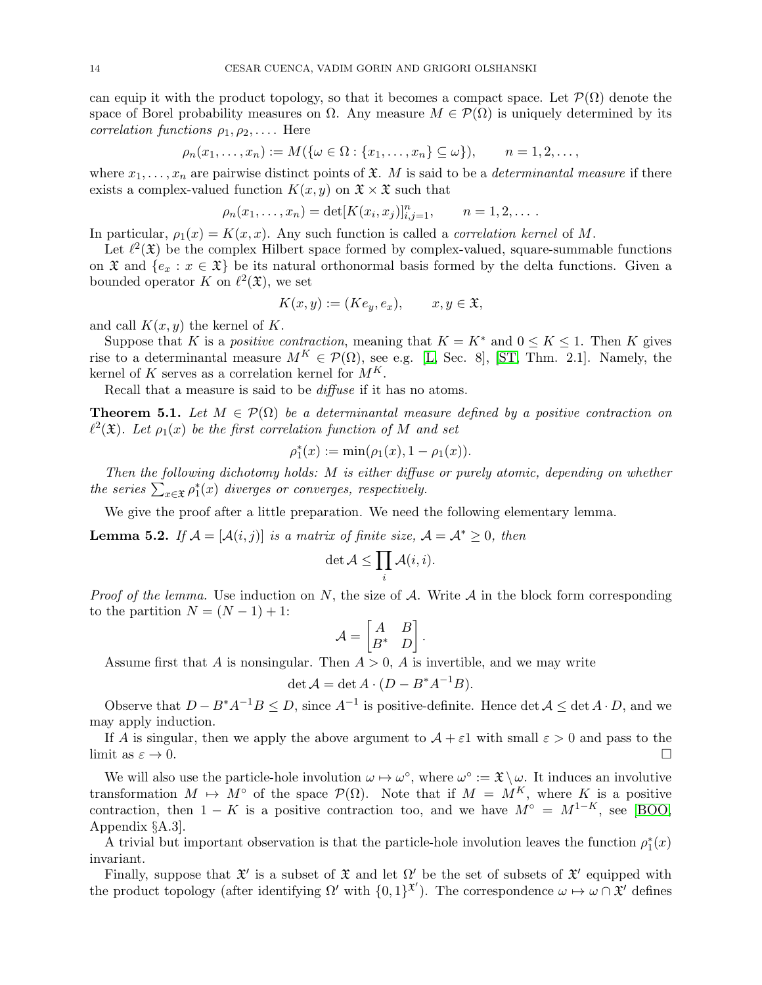can equip it with the product topology, so that it becomes a compact space. Let  $\mathcal{P}(\Omega)$  denote the space of Borel probability measures on  $\Omega$ . Any measure  $M \in \mathcal{P}(\Omega)$  is uniquely determined by its correlation functions  $\rho_1, \rho_2, \ldots$ . Here

$$
\rho_n(x_1,\ldots,x_n):=M(\{\omega\in\Omega:\{x_1,\ldots,x_n\}\subseteq\omega\}),\qquad n=1,2,\ldots,
$$

where  $x_1, \ldots, x_n$  are pairwise distinct points of  $\mathfrak{X}$ . M is said to be a *determinantal measure* if there exists a complex-valued function  $K(x, y)$  on  $\mathfrak{X} \times \mathfrak{X}$  such that

$$
\rho_n(x_1,...,x_n) = \det[K(x_i,x_j)]_{i,j=1}^n, \qquad n = 1,2,...
$$

In particular,  $\rho_1(x) = K(x, x)$ . Any such function is called a *correlation kernel* of M.

Let  $\ell^2(\mathfrak{X})$  be the complex Hilbert space formed by complex-valued, square-summable functions on  $\mathfrak{X}$  and  $\{e_x : x \in \mathfrak{X}\}\)$  be its natural orthonormal basis formed by the delta functions. Given a bounded operator K on  $\ell^2(\mathfrak{X})$ , we set

$$
K(x, y) := (K e_y, e_x), \qquad x, y \in \mathfrak{X},
$$

and call  $K(x, y)$  the kernel of K.

Suppose that K is a *positive contraction*, meaning that  $K = K^*$  and  $0 \leq K \leq 1$ . Then K gives rise to a determinantal measure  $M^K \in \mathcal{P}(\Omega)$ , see e.g. [\[L,](#page-27-15) Sec. 8], [\[ST,](#page-27-21) Thm. 2.1]. Namely, the kernel of K serves as a correlation kernel for  $M^K$ .

Recall that a measure is said to be diffuse if it has no atoms.

<span id="page-13-0"></span>**Theorem 5.1.** Let  $M \in \mathcal{P}(\Omega)$  be a determinantal measure defined by a positive contraction on  $\ell^2(\mathfrak{X})$ . Let  $\rho_1(x)$  be the first correlation function of M and set

$$
\rho_1^*(x) := \min(\rho_1(x), 1 - \rho_1(x)).
$$

Then the following dichotomy holds: M is either diffuse or purely atomic, depending on whether the series  $\sum_{x \in \mathfrak{X}} \rho_1^*(x)$  diverges or converges, respectively.

We give the proof after a little preparation. We need the following elementary lemma.

<span id="page-13-1"></span>**Lemma 5.2.** If  $\mathcal{A} = [\mathcal{A}(i, j)]$  is a matrix of finite size,  $\mathcal{A} = \mathcal{A}^* \geq 0$ , then

$$
\det \mathcal{A} \leq \prod_i \mathcal{A}(i,i).
$$

*Proof of the lemma.* Use induction on N, the size of  $A$ . Write  $A$  in the block form corresponding to the partition  $N = (N - 1) + 1$ :

$$
\mathcal{A} = \begin{bmatrix} A & B \\ B^* & D \end{bmatrix}.
$$

Assume first that A is nonsingular. Then  $A > 0$ , A is invertible, and we may write

$$
\det \mathcal{A} = \det A \cdot (D - B^* A^{-1} B).
$$

Observe that  $D - B^*A^{-1}B \le D$ , since  $A^{-1}$  is positive-definite. Hence  $\det A \le \det A \cdot D$ , and we may apply induction.

If A is singular, then we apply the above argument to  $A + \varepsilon 1$  with small  $\varepsilon > 0$  and pass to the limit as  $\varepsilon \to 0$ . limit as  $\varepsilon \to 0$ .

We will also use the particle-hole involution  $\omega \mapsto \omega^{\circ}$ , where  $\omega^{\circ} := \mathfrak{X} \setminus \omega$ . It induces an involutive transformation  $M \mapsto M^{\circ}$  of the space  $\mathcal{P}(\Omega)$ . Note that if  $M = M^{K}$ , where K is a positive contraction, then  $1 - K$  is a positive contraction too, and we have  $M^{\circ} = M^{1-K}$ , see [\[BOO,](#page-26-6) Appendix §A.3].

A trivial but important observation is that the particle-hole involution leaves the function  $\rho_1^*(x)$ invariant.

Finally, suppose that  $\mathfrak{X}'$  is a subset of  $\mathfrak{X}$  and let  $\Omega'$  be the set of subsets of  $\mathfrak{X}'$  equipped with the product topology (after identifying  $\Omega'$  with  $\{0,1\}^{\mathfrak{X}'}$ ). The correspondence  $\omega \mapsto \omega \cap \mathfrak{X}'$  defines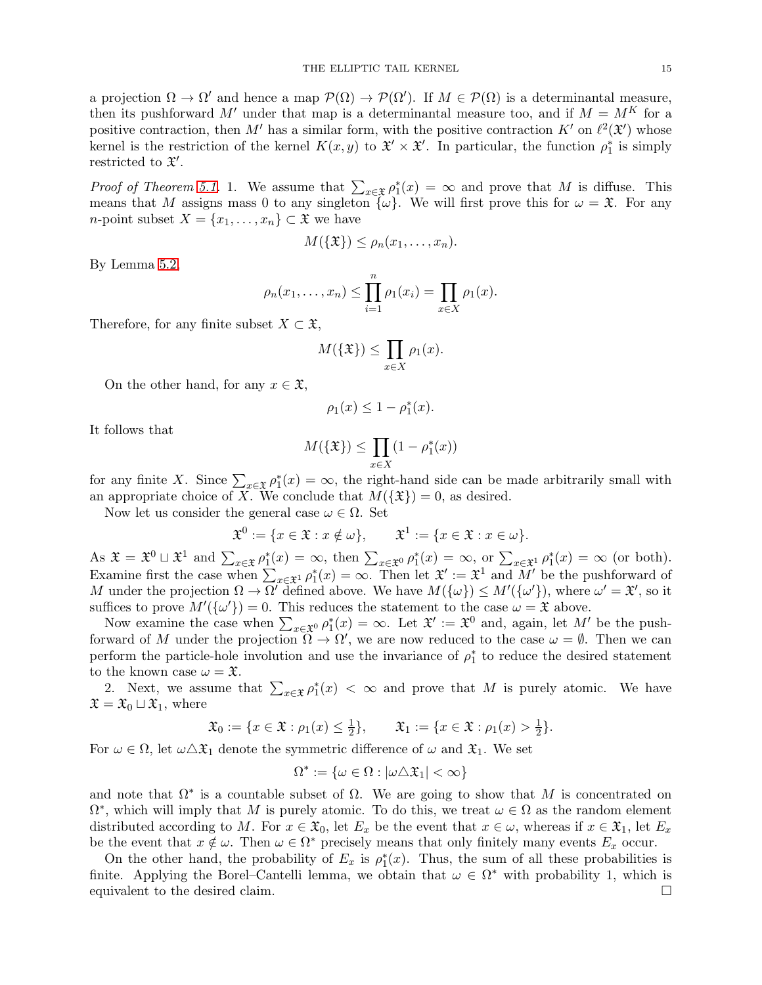a projection  $\Omega \to \Omega'$  and hence a map  $\mathcal{P}(\Omega) \to \mathcal{P}(\Omega')$ . If  $M \in \mathcal{P}(\Omega)$  is a determinantal measure, then its pushforward M' under that map is a determinantal measure too, and if  $M = M<sup>K</sup>$  for a positive contraction, then M' has a similar form, with the positive contraction  $K'$  on  $\ell^2(\mathfrak{X}')$  whose kernel is the restriction of the kernel  $K(x, y)$  to  $\mathfrak{X}' \times \mathfrak{X}'$ . In particular, the function  $\rho_1^*$  is simply restricted to  $\mathfrak{X}'$ .

*Proof of Theorem [5.1.](#page-13-0)* 1. We assume that  $\sum_{x \in \mathfrak{X}} \rho_1^*(x) = \infty$  and prove that M is diffuse. This means that M assigns mass 0 to any singleton  $\{\omega\}$ . We will first prove this for  $\omega = \mathfrak{X}$ . For any *n*-point subset  $X = \{x_1, \ldots, x_n\} \subset \mathfrak{X}$  we have

$$
M(\{\mathfrak{X}\}) \leq \rho_n(x_1,\ldots,x_n).
$$

By Lemma [5.2,](#page-13-1)

$$
\rho_n(x_1,...,x_n) \leq \prod_{i=1}^n \rho_1(x_i) = \prod_{x \in X} \rho_1(x).
$$

Therefore, for any finite subset  $X \subset \mathfrak{X}$ ,

$$
M(\{\mathfrak{X}\}) \le \prod_{x \in X} \rho_1(x).
$$

On the other hand, for any  $x \in \mathfrak{X}$ ,

$$
\rho_1(x) \le 1 - \rho_1^*(x).
$$

It follows that

$$
M(\{\mathfrak{X}\}) \le \prod_{x \in X} (1 - \rho_1^*(x))
$$

for any finite X. Since  $\sum_{x \in \mathfrak{X}} \rho_1^*(x) = \infty$ , the right-hand side can be made arbitrarily small with an appropriate choice of X. We conclude that  $M(\{\mathfrak{X}\})=0$ , as desired.

Now let us consider the general case  $\omega \in \Omega$ . Set

$$
\mathfrak{X}^0 := \{ x \in \mathfrak{X} : x \notin \omega \}, \qquad \mathfrak{X}^1 := \{ x \in \mathfrak{X} : x \in \omega \}.
$$

As  $\mathfrak{X} = \mathfrak{X}^0 \sqcup \mathfrak{X}^1$  and  $\sum_{x \in \mathfrak{X}} \rho_1^*(x) = \infty$ , then  $\sum_{x \in \mathfrak{X}^0} \rho_1^*(x) = \infty$ , or  $\sum_{x \in \mathfrak{X}^1} \rho_1^*(x) = \infty$  (or both). Examine first the case when  $\sum_{x \in \mathcal{X}^1} \rho_1^*(x) = \infty$ . Then let  $\mathcal{X}' := \mathcal{X}^1$  and  $M'$  be the pushforward of M under the projection  $\Omega \to \Omega'$  defined above. We have  $M(\{\omega\}) \leq M'(\{\omega'\})$ , where  $\omega' = \mathfrak{X}'$ , so it suffices to prove  $M'(\{\omega'\}) = 0$ . This reduces the statement to the case  $\omega = \mathfrak{X}$  above.

Now examine the case when  $\sum_{x \in \mathfrak{X}^0} \rho_1^*(x) = \infty$ . Let  $\mathfrak{X}' := \mathfrak{X}^0$  and, again, let  $M'$  be the pushforward of M under the projection  $\Omega \to \Omega'$ , we are now reduced to the case  $\omega = \emptyset$ . Then we can perform the particle-hole involution and use the invariance of  $\rho_1^*$  to reduce the desired statement to the known case  $\omega = \mathfrak{X}$ .

2. Next, we assume that  $\sum_{x \in \mathfrak{X}} \rho_1^*(x) < \infty$  and prove that M is purely atomic. We have  $\mathfrak{X} = \mathfrak{X}_0 \sqcup \mathfrak{X}_1$ , where

$$
\mathfrak{X}_0 := \{ x \in \mathfrak{X} : \rho_1(x) \le \frac{1}{2} \}, \qquad \mathfrak{X}_1 := \{ x \in \mathfrak{X} : \rho_1(x) > \frac{1}{2} \}.
$$

For  $\omega \in \Omega$ , let  $\omega \Delta \mathfrak{X}_1$  denote the symmetric difference of  $\omega$  and  $\mathfrak{X}_1$ . We set

$$
\Omega^* := \{ \omega \in \Omega : |\omega \triangle \mathfrak{X}_1| < \infty \}
$$

and note that  $\Omega^*$  is a countable subset of  $\Omega$ . We are going to show that M is concentrated on  $\Omega^*$ , which will imply that M is purely atomic. To do this, we treat  $\omega \in \Omega$  as the random element distributed according to M. For  $x \in \mathfrak{X}_0$ , let  $E_x$  be the event that  $x \in \omega$ , whereas if  $x \in \mathfrak{X}_1$ , let  $E_x$ be the event that  $x \notin \omega$ . Then  $\omega \in \Omega^*$  precisely means that only finitely many events  $E_x$  occur.

On the other hand, the probability of  $E_x$  is  $\rho_1^*(x)$ . Thus, the sum of all these probabilities is finite. Applying the Borel–Cantelli lemma, we obtain that  $\omega \in \Omega^*$  with probability 1, which is equivalent to the desired claim.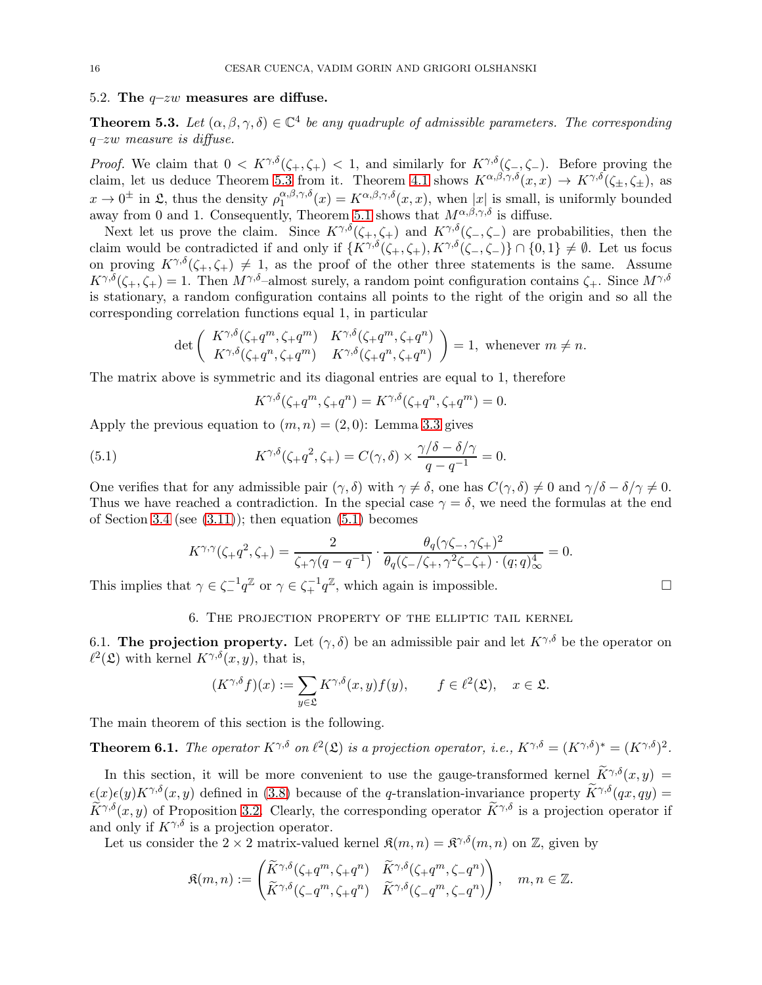### 5.2. The  $q-zw$  measures are diffuse.

<span id="page-15-1"></span>**Theorem 5.3.** Let  $(\alpha, \beta, \gamma, \delta) \in \mathbb{C}^4$  be any quadruple of admissible parameters. The corresponding q–zw measure is diffuse.

*Proof.* We claim that  $0 < K^{\gamma,\delta}(\zeta_+,\zeta_+) < 1$ , and similarly for  $K^{\gamma,\delta}(\zeta_-,\zeta_-)$ . Before proving the claim, let us deduce Theorem [5.3](#page-15-1) from it. Theorem [4.1](#page-9-1) shows  $K^{\alpha,\beta,\gamma,\delta}(x,x) \to K^{\gamma,\delta}(\zeta_+,\zeta_+)$ , as  $x \to 0^{\pm}$  in  $\mathfrak{L}$ , thus the density  $\rho_1^{\alpha,\beta,\gamma,\delta}$  $\int_{1}^{\alpha,\beta,\gamma,\delta}(x) = K^{\alpha,\beta,\gamma,\delta}(x,x)$ , when  $|x|$  is small, is uniformly bounded away from 0 and 1. Consequently, Theorem [5.1](#page-13-0) shows that  $M^{\alpha,\beta,\gamma,\delta}$  is diffuse.

Next let us prove the claim. Since  $K^{\gamma,\delta}(\zeta_+,\zeta_+)$  and  $K^{\gamma,\delta}(\zeta_-,\zeta_-)$  are probabilities, then the claim would be contradicted if and only if  $\{K^{\gamma,\delta}(\zeta_+,\zeta_+), K^{\gamma,\delta}(\zeta_-,\zeta_-)\}\cap \{0,1\} \neq \emptyset$ . Let us focus on proving  $K^{\gamma,\delta}(\zeta_+,\zeta_+) \neq 1$ , as the proof of the other three statements is the same. Assume  $K^{\gamma,\delta}(\zeta_+,\zeta_+) = 1$ . Then  $M^{\gamma,\delta}$ -almost surely, a random point configuration contains  $\zeta_+$ . Since  $M^{\gamma,\delta}$ is stationary, a random configuration contains all points to the right of the origin and so all the corresponding correlation functions equal 1, in particular

$$
\det\left(\begin{array}{cc} K^{\gamma,\delta}(\zeta_{+}q^{m},\zeta_{+}q^{m}) & K^{\gamma,\delta}(\zeta_{+}q^{m},\zeta_{+}q^{n}) \\ K^{\gamma,\delta}(\zeta_{+}q^{n},\zeta_{+}q^{m}) & K^{\gamma,\delta}(\zeta_{+}q^{n},\zeta_{+}q^{n}) \end{array}\right) = 1, \text{ whenever } m \neq n.
$$

The matrix above is symmetric and its diagonal entries are equal to 1, therefore

<span id="page-15-3"></span>
$$
K^{\gamma,\delta}(\zeta_{+}q^{m}, \zeta_{+}q^{n}) = K^{\gamma,\delta}(\zeta_{+}q^{n}, \zeta_{+}q^{m}) = 0.
$$

Apply the previous equation to  $(m, n) = (2, 0)$ : Lemma [3.3](#page-8-3) gives

(5.1) 
$$
K^{\gamma,\delta}(\zeta,q^2,\zeta_+) = C(\gamma,\delta) \times \frac{\gamma/\delta - \delta/\gamma}{q - q^{-1}} = 0.
$$

One verifies that for any admissible pair  $(\gamma, \delta)$  with  $\gamma \neq \delta$ , one has  $C(\gamma, \delta) \neq 0$  and  $\gamma/\delta - \delta/\gamma \neq 0$ . Thus we have reached a contradiction. In the special case  $\gamma = \delta$ , we need the formulas at the end of Section [3.4](#page-8-0) (see  $(3.11)$ ); then equation  $(5.1)$  becomes

$$
K^{\gamma,\gamma}(\zeta_{+}q^{2},\zeta_{+}) = \frac{2}{\zeta_{+}\gamma(q-q^{-1})} \cdot \frac{\theta_{q}(\gamma\zeta_{-},\gamma\zeta_{+})^{2}}{\theta_{q}(\zeta_{-}/\zeta_{+},\gamma^{2}\zeta_{-}\zeta_{+}) \cdot (q;q)_{\infty}^{4}} = 0.
$$

<span id="page-15-0"></span>This implies that  $\gamma \in \zeta_+^{-1} q^{\mathbb{Z}}$  or  $\gamma \in \zeta_+^{-1} q^{\mathbb{Z}}$ , which again is impossible.

### 6. The projection property of the elliptic tail kernel

6.1. The projection property. Let  $(\gamma, \delta)$  be an admissible pair and let  $K^{\gamma,\delta}$  be the operator on  $\ell^2(\mathfrak{L})$  with kernel  $K^{\gamma,\delta}(x,y)$ , that is,

$$
(K^{\gamma,\delta}f)(x) := \sum_{y \in \mathfrak{L}} K^{\gamma,\delta}(x,y)f(y), \qquad f \in \ell^2(\mathfrak{L}), \quad x \in \mathfrak{L}.
$$

The main theorem of this section is the following.

<span id="page-15-2"></span>**Theorem 6.1.** The operator  $K^{\gamma,\delta}$  on  $\ell^2(\mathfrak{L})$  is a projection operator, i.e.,  $K^{\gamma,\delta} = (K^{\gamma,\delta})^* = (K^{\gamma,\delta})^2$ .

In this section, it will be more convenient to use the gauge-transformed kernel  $\widetilde{K}^{\gamma,\delta}(x,y)$  $\epsilon(x)\epsilon(y)K^{\gamma,\delta}(x, y)$  defined in [\(3.8\)](#page-7-5) because of the q-translation-invariance property  $\widetilde{K}^{\gamma,\delta}(qx, qy)$  =  $\widetilde{K}^{\gamma,\delta}(x, y)$  of Proposition [3.2.](#page-7-1) Clearly, the corresponding operator  $\widetilde{K}^{\gamma,\delta}$  is a projection operator if and only if  $K^{\gamma,\delta}$  is a projection operator.

Let us consider the  $2 \times 2$  matrix-valued kernel  $\mathfrak{K}(m, n) = \mathfrak{K}^{\gamma, \delta}(m, n)$  on  $\mathbb{Z}$ , given by

$$
\mathfrak{K}(m,n) := \begin{pmatrix} \widetilde{K}^{\gamma,\delta}(\zeta + q^m, \zeta + q^n) & \widetilde{K}^{\gamma,\delta}(\zeta + q^m, \zeta - q^n) \\ \widetilde{K}^{\gamma,\delta}(\zeta - q^m, \zeta + q^n) & \widetilde{K}^{\gamma,\delta}(\zeta - q^m, \zeta - q^n) \end{pmatrix}, \quad m, n \in \mathbb{Z}.
$$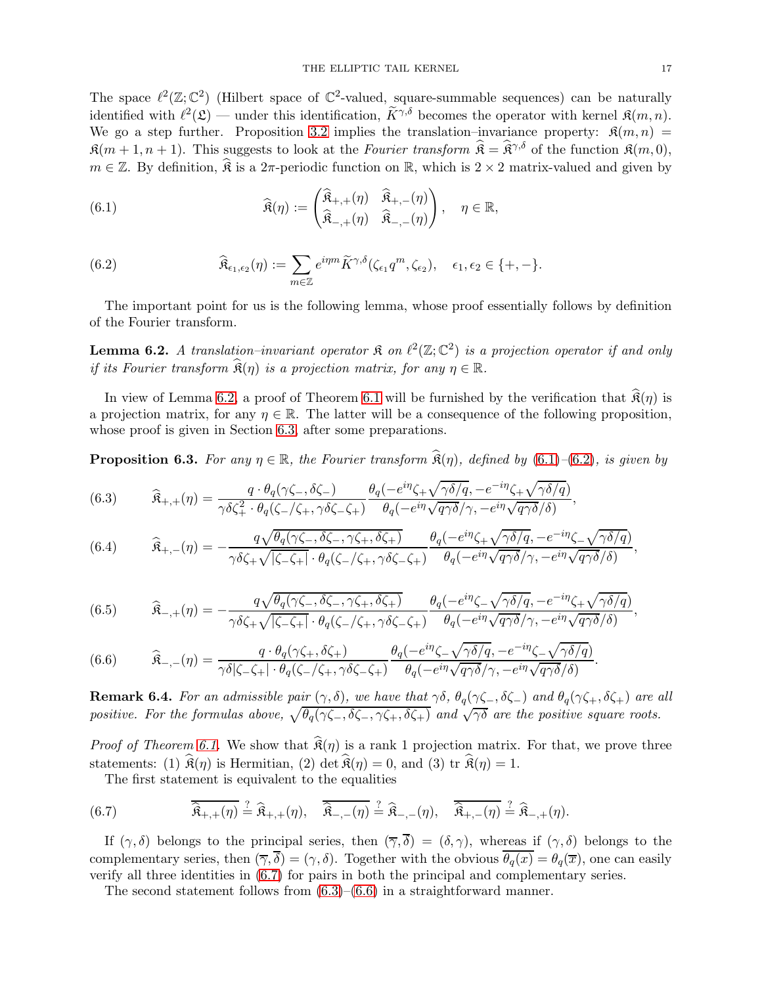The space  $\ell^2(\mathbb{Z}; \mathbb{C}^2)$  (Hilbert space of  $\mathbb{C}^2$ -valued, square-summable sequences) can be naturally identified with  $\ell^2(\mathfrak{L})$  — under this identification,  $\widetilde{K}^{\gamma,\delta}$  becomes the operator with kernel  $\mathfrak{K}(m,n)$ . We go a step further. Proposition [3.2](#page-7-1) implies the translation–invariance property:  $\mathfrak{K}(m,n)$  =  $\mathfrak{K}(m+1, n+1)$ . This suggests to look at the Fourier transform  $\hat{\mathfrak{K}} = \hat{\mathfrak{K}}^{\gamma, \delta}$  of the function  $\mathfrak{K}(m, 0)$ ,  $m \in \mathbb{Z}$ . By definition,  $\widehat{\mathfrak{K}}$  is a 2π-periodic function on R, which is 2 × 2 matrix-valued and given by

<span id="page-16-1"></span>(6.1) 
$$
\widehat{\mathfrak{K}}(\eta) := \begin{pmatrix} \widehat{\mathfrak{K}}_{+,+}(\eta) & \widehat{\mathfrak{K}}_{+, -}(\eta) \\ \widehat{\mathfrak{K}}_{-,+}(\eta) & \widehat{\mathfrak{K}}_{-, -}(\eta) \end{pmatrix}, \quad \eta \in \mathbb{R},
$$

<span id="page-16-2"></span>(6.2) 
$$
\widehat{\mathfrak{K}}_{\epsilon_1,\epsilon_2}(\eta) := \sum_{m \in \mathbb{Z}} e^{i\eta m} \widetilde{K}^{\gamma,\delta}(\zeta_{\epsilon_1} q^m, \zeta_{\epsilon_2}), \quad \epsilon_1, \epsilon_2 \in \{+, -\}.
$$

The important point for us is the following lemma, whose proof essentially follows by definition of the Fourier transform.

<span id="page-16-0"></span>**Lemma 6.2.** A translation–invariant operator  $\mathfrak{K}$  on  $\ell^2(\mathbb{Z}; \mathbb{C}^2)$  is a projection operator if and only if its Fourier transform  $\widehat{\mathfrak{K}}(\eta)$  is a projection matrix, for any  $\eta \in \mathbb{R}$ .

In view of Lemma [6.2,](#page-16-0) a proof of Theorem [6.1](#page-15-2) will be furnished by the verification that  $\hat{\mathfrak{K}}(\eta)$  is a projection matrix, for any  $\eta \in \mathbb{R}$ . The latter will be a consequence of the following proposition, whose proof is given in Section [6.3,](#page-18-0) after some preparations.

<span id="page-16-6"></span>**Proposition 6.3.** For any  $\eta \in \mathbb{R}$ , the Fourier transform  $\hat{\mathfrak{K}}(\eta)$ , defined by [\(6.1\)](#page-16-1)–[\(6.2\)](#page-16-2), is given by

<span id="page-16-4"></span>(6.3) 
$$
\widehat{\mathbf{R}}_{+,+}(\eta) = \frac{q \cdot \theta_q(\gamma \zeta_-, \delta \zeta_-)}{\gamma \delta \zeta_+^2 \cdot \theta_q(\zeta_-/\zeta_+, \gamma \delta \zeta_- \zeta_+)} \frac{\theta_q(-e^{i\eta} \zeta_+ \sqrt{\gamma \delta/q}, -e^{-i\eta} \zeta_+ \sqrt{\gamma \delta/q})}{\theta_q(-e^{i\eta} \sqrt{q\gamma \delta}/\gamma, -e^{i\eta} \sqrt{q\gamma \delta}/\delta)},
$$

<span id="page-16-7"></span>(6.4) 
$$
\widehat{\mathfrak{K}}_{+,-}(\eta) = -\frac{q\sqrt{\theta_q(\gamma\zeta_-,\delta\zeta_-,\gamma\zeta_+,\delta\zeta_+)}}{\gamma\delta\zeta_+\sqrt{|\zeta_-\zeta_+|}\cdot\theta_q(\zeta_-/\zeta_+,\gamma\delta\zeta_-\zeta_+)}\frac{\theta_q(-e^{i\eta}\zeta_+\sqrt{\gamma\delta/q},-e^{-i\eta}\zeta_-\sqrt{\gamma\delta/q})}{\theta_q(-e^{i\eta}\sqrt{q\gamma\delta}/\gamma,-e^{i\eta}\sqrt{q\gamma\delta}/\delta)},
$$

<span id="page-16-8"></span>(6.5) 
$$
\widehat{\mathfrak{K}}_{-,+}(\eta) = -\frac{q\sqrt{\theta_q(\gamma\zeta_{-},\delta\zeta_{-},\gamma\zeta_{+},\delta\zeta_{+})}}{\gamma\delta\zeta_{+}\sqrt{|\zeta_{-}\zeta_{+}|}\cdot\theta_q(\zeta_{-}/\zeta_{+},\gamma\delta\zeta_{-}\zeta_{+})}\frac{\theta_q(-e^{i\eta}\zeta_{-}\sqrt{\gamma\delta/q},-e^{-i\eta}\zeta_{+}\sqrt{\gamma\delta/q})}{\theta_q(-e^{i\eta}\sqrt{q\gamma\delta}/\gamma,-e^{i\eta}\sqrt{q\gamma\delta}/\delta)},
$$

<span id="page-16-5"></span>(6.6) 
$$
\widehat{\mathbf{R}}_{-,-}(\eta) = \frac{q \cdot \theta_q(\gamma \zeta_+, \delta \zeta_+)}{\gamma \delta |\zeta_-\zeta_+| \cdot \theta_q(\zeta_-/\zeta_+, \gamma \delta \zeta_-\zeta_+)} \frac{\theta_q(-e^{i\eta} \zeta_-\sqrt{\gamma \delta/q}, -e^{-i\eta} \zeta_-\sqrt{\gamma \delta/q})}{\theta_q(-e^{i\eta} \sqrt{q\gamma \delta}/\gamma, -e^{i\eta} \sqrt{q\gamma \delta}/\delta)}.
$$

**Remark 6.4.** For an admissible pair  $(\gamma, \delta)$ , we have that  $\gamma\delta$ ,  $\theta_q(\gamma\zeta_-, \delta\zeta_-)$  and  $\theta_q(\gamma\zeta_+, \delta\zeta_+)$  are all positive. For the formulas above,  $\sqrt{\theta_q(\gamma\zeta_-, \delta\zeta_-, \gamma\zeta_+, \delta\zeta_+)}$  and  $\sqrt{\gamma\delta}$  are the positive square roots.

*Proof of Theorem [6.1.](#page-15-2)* We show that  $\hat{\mathfrak{K}}(\eta)$  is a rank 1 projection matrix. For that, we prove three statements: (1)  $\widehat{\mathfrak{K}}(\eta)$  is Hermitian, (2) det  $\widehat{\mathfrak{K}}(\eta) = 0$ , and (3) tr  $\widehat{\mathfrak{K}}(\eta) = 1$ .

<span id="page-16-3"></span>The first statement is equivalent to the equalities

(6.7) 
$$
\overline{\mathbf{\hat{R}}}_{+,+}(\eta) \stackrel{?}{=} \mathbf{\hat{R}}_{+,+}(\eta), \quad \overline{\mathbf{\hat{R}}}_{-,-}(\eta) \stackrel{?}{=} \mathbf{\hat{R}}_{-,-}(\eta), \quad \overline{\mathbf{\hat{R}}}_{+,-}(\eta) \stackrel{?}{=} \mathbf{\hat{R}}_{-,+}(\eta).
$$

If  $(\gamma, \delta)$  belongs to the principal series, then  $(\overline{\gamma}, \overline{\delta}) = (\delta, \gamma)$ , whereas if  $(\gamma, \delta)$  belongs to the complementary series, then  $(\overline{\gamma}, \overline{\delta}) = (\gamma, \delta)$ . Together with the obvious  $\overline{\theta_q(x)} = \theta_q(\overline{x})$ , one can easily verify all three identities in [\(6.7\)](#page-16-3) for pairs in both the principal and complementary series.

The second statement follows from  $(6.3)$ – $(6.6)$  in a straightforward manner.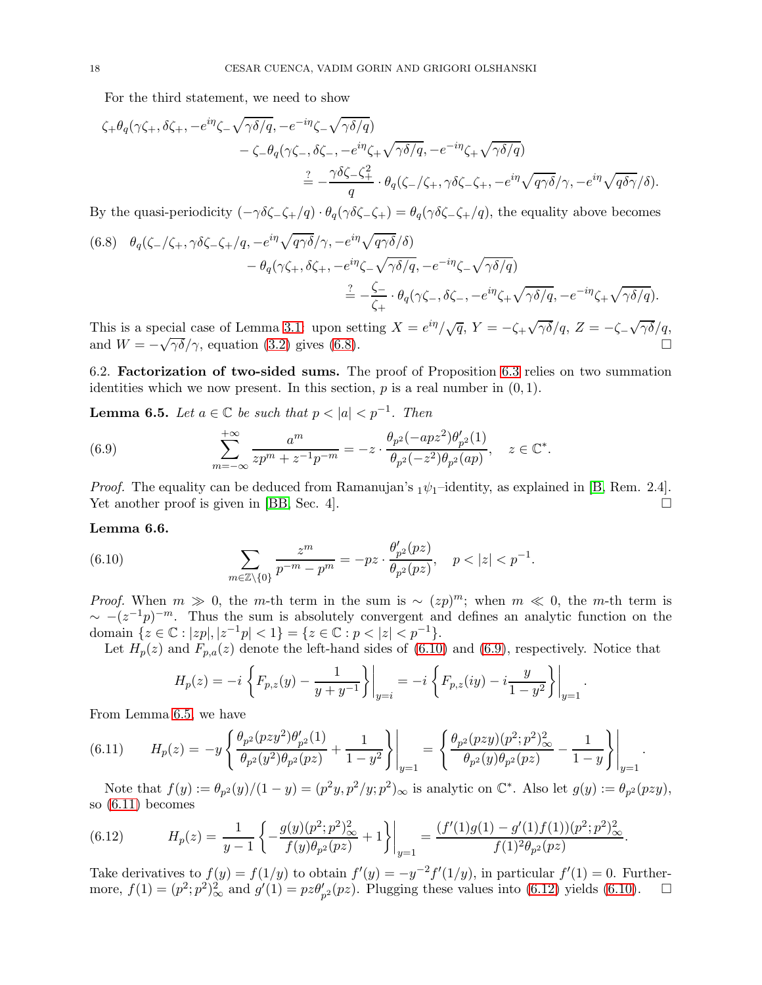For the third statement, we need to show

$$
\zeta_{+}\theta_{q}(\gamma\zeta_{+},\delta\zeta_{+},-e^{i\eta}\zeta_{-}\sqrt{\gamma\delta/q},-e^{-i\eta}\zeta_{-}\sqrt{\gamma\delta/q})
$$
  

$$
-\zeta_{-}\theta_{q}(\gamma\zeta_{-},\delta\zeta_{-},-e^{i\eta}\zeta_{+}\sqrt{\gamma\delta/q},-e^{-i\eta}\zeta_{+}\sqrt{\gamma\delta/q})
$$
  

$$
\stackrel{?}{=}-\frac{\gamma\delta\zeta_{-}\zeta_{+}^{2}}{q}\cdot\theta_{q}(\zeta_{-}/\zeta_{+},\gamma\delta\zeta_{-}\zeta_{+},-e^{i\eta}\sqrt{q\gamma\delta}/\gamma,-e^{i\eta}\sqrt{q\delta\gamma}/\delta).
$$

By the quasi-periodicity  $(-\gamma \delta \zeta_-\zeta_+/q) \cdot \theta_a(\gamma \delta \zeta_-\zeta_+) = \theta_a(\gamma \delta \zeta_-\zeta_+/q)$ , the equality above becomes

<span id="page-17-0"></span>(6.8) 
$$
\theta_q(\zeta_-/\zeta_+, \gamma \delta \zeta_- \zeta_+/q, -e^{i\eta} \sqrt{q\gamma \delta}/\gamma, -e^{i\eta} \sqrt{q\gamma \delta}/\delta) \n- \theta_q(\gamma \zeta_+, \delta \zeta_+, -e^{i\eta} \zeta_- \sqrt{\gamma \delta/q}, -e^{-i\eta} \zeta_- \sqrt{\gamma \delta/q}) \n= -\frac{\zeta_-}{\zeta_+} \cdot \theta_q(\gamma \zeta_-, \delta \zeta_-, -e^{i\eta} \zeta_+ \sqrt{\gamma \delta/q}, -e^{-i\eta} \zeta_+ \sqrt{\gamma \delta/q}).
$$

This is a special case of Lemma [3.1:](#page-7-8) upon setting  $X = e^{i\eta}/\sqrt{q}$ ,  $Y = -\zeta_+ \sqrt{\gamma \delta}/q$ ,  $Z = -\zeta_- \sqrt{\gamma \delta}/q$ , and  $W = -\sqrt{\gamma \delta}/\gamma$ , equation [\(3.2\)](#page-7-2) gives [\(6.8\)](#page-17-0).

6.2. Factorization of two-sided sums. The proof of Proposition [6.3](#page-16-6) relies on two summation identities which we now present. In this section,  $p$  is a real number in  $(0, 1)$ .

<span id="page-17-3"></span>**Lemma 6.5.** Let  $a \in \mathbb{C}$  be such that  $p < |a| < p^{-1}$ . Then

<span id="page-17-2"></span>(6.9) 
$$
\sum_{m=-\infty}^{+\infty} \frac{a^m}{zp^m + z^{-1}p^{-m}} = -z \cdot \frac{\theta_{p^2}(-apz^2)\theta_{p^2}'(1)}{\theta_{p^2}(-z^2)\theta_{p^2}(ap)}, \quad z \in \mathbb{C}^*.
$$

*Proof.* The equality can be deduced from Ramanujan's  $_1\psi_1$ -identity, as explained in [\[B,](#page-26-8) Rem. 2.4]. Yet another proof is given in [\[BB,](#page-26-9) Sec. 4].

### <span id="page-17-6"></span>Lemma 6.6.

(6.10) 
$$
\sum_{m\in\mathbb{Z}\setminus\{0\}}\frac{z^m}{p^{-m}-p^m}=-pz\cdot\frac{\theta'_{p^2}(pz)}{\theta_{p^2}(pz)}, \quad p<|z|
$$

*Proof.* When  $m \gg 0$ , the m-th term in the sum is ~  $(zp)^m$ ; when  $m \ll 0$ , the m-th term is  $\sim -(z^{-1}p)^{-m}$ . Thus the sum is absolutely convergent and defines an analytic function on the domain  $\{z \in \mathbb{C} : |zp|, |z^{-1}p| < 1\} = \{z \in \mathbb{C} : p < |z| < p^{-1}\}.$ 

Let  $H_p(z)$  and  $F_{p,q}(z)$  denote the left-hand sides of [\(6.10\)](#page-17-1) and [\(6.9\)](#page-17-2), respectively. Notice that

<span id="page-17-1"></span>
$$
H_p(z) = -i \left\{ F_{p,z}(y) - \frac{1}{y+y^{-1}} \right\} \bigg|_{y=i} = -i \left\{ F_{p,z}(iy) - i \frac{y}{1-y^2} \right\} \bigg|_{y=1}.
$$

From Lemma [6.5,](#page-17-3) we have

<span id="page-17-4"></span>
$$
(6.11) \tH_p(z) = -y \left\{ \frac{\theta_{p^2}(pzy^2)\theta_{p^2}'(1)}{\theta_{p^2}(y^2)\theta_{p^2}(pz)} + \frac{1}{1-y^2} \right\}\bigg|_{y=1} = \left\{ \frac{\theta_{p^2}(pzy)(p^2;p^2)_{\infty}^2}{\theta_{p^2}(y)\theta_{p^2}(pz)} - \frac{1}{1-y} \right\}\bigg|_{y=1}.
$$

Note that  $f(y) := \frac{\theta_p(y)}{1-y} = \frac{p^2y}{p^2/y}$ ;  $p^2/y$ ;  $p^2/\infty$  is analytic on  $\mathbb{C}^*$ . Also let  $g(y) := \theta_p(y)$ ;  $g(y)$ ; so [\(6.11\)](#page-17-4) becomes

<span id="page-17-5"></span>(6.12) 
$$
H_p(z) = \frac{1}{y-1} \left\{ -\frac{g(y)(p^2;p^2)_{\infty}^2}{f(y)\theta_{p^2}(pz)} + 1 \right\} \bigg|_{y=1} = \frac{(f'(1)g(1) - g'(1)f(1))(p^2;p^2)_{\infty}^2}{f(1)^2\theta_{p^2}(pz)}.
$$

Take derivatives to  $f(y) = f(1/y)$  to obtain  $f'(y) = -y^{-2}f'(1/y)$ , in particular  $f'(1) = 0$ . Furthermore,  $f(1) = (p^2; p^2)^2_{\infty}$  and  $g'(1) = pz\theta'_{p^2}(pz)$ . Plugging these values into [\(6.12\)](#page-17-5) yields [\(6.10\)](#page-17-1).  $\Box$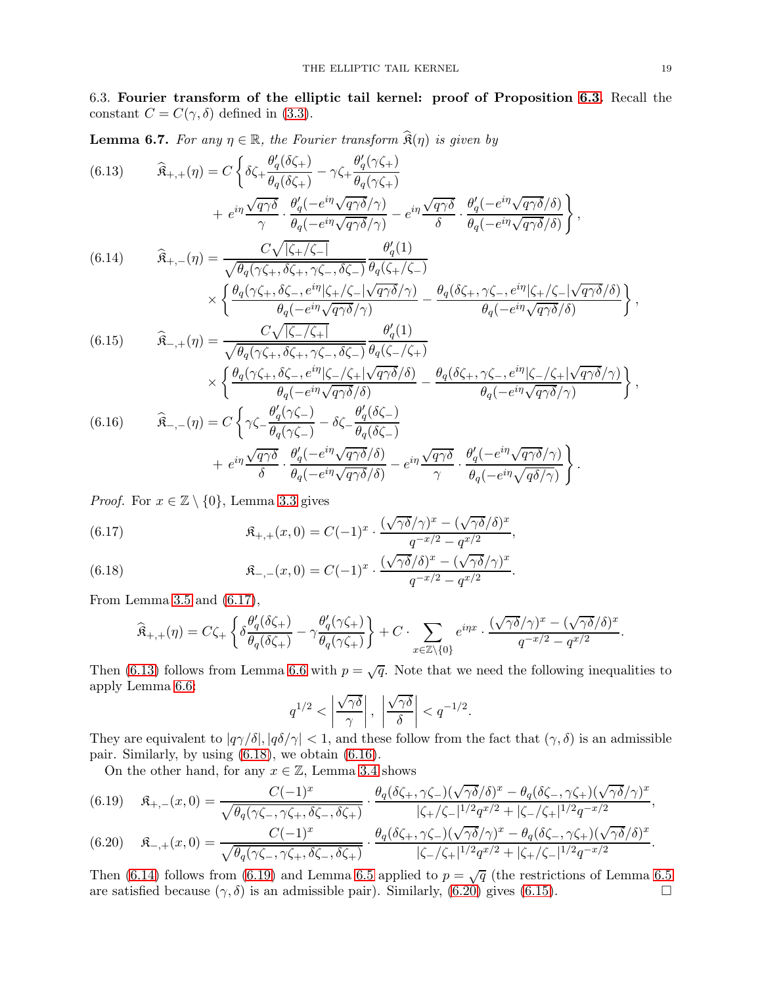<span id="page-18-0"></span>6.3. Fourier transform of the elliptic tail kernel: proof of Proposition [6.3.](#page-16-6) Recall the constant  $C = C(\gamma, \delta)$  defined in [\(3.3\)](#page-7-6).

**Lemma 6.7.** For any  $\eta \in \mathbb{R}$ , the Fourier transform  $\hat{\mathfrak{K}}(\eta)$  is given by

<span id="page-18-5"></span><span id="page-18-2"></span>(6.13) 
$$
\widehat{\mathbf{R}}_{+,+}(\eta) = C \left\{ \delta \zeta_{+} \frac{\theta_{q}^{\prime}(\delta \zeta_{+})}{\theta_{q}(\delta \zeta_{+})} - \gamma \zeta_{+} \frac{\theta_{q}^{\prime}(\gamma \zeta_{+})}{\theta_{q}(\gamma \zeta_{+})} + e^{i\eta \frac{\sqrt{q\gamma \delta}}{\gamma} \cdot \frac{\theta_{q}^{\prime}(-e^{i\eta} \sqrt{q\gamma \delta}/\gamma)}{\theta_{q}(-e^{i\eta} \sqrt{q\gamma \delta}/\gamma)} - e^{i\eta \frac{\sqrt{q\gamma \delta}}{\delta} \cdot \frac{\theta_{q}^{\prime}(-e^{i\eta} \sqrt{q\gamma \delta}/\delta)}{\theta_{q}(-e^{i\eta} \sqrt{q\gamma \delta}/\delta)} \right\},
$$
\n(6.14) 
$$
\widehat{\mathbf{R}}_{+, -}(\eta) = \frac{C \sqrt{|\zeta_{+}/\zeta_{-}|}}{\sqrt{\theta_{q}(\gamma \zeta_{+}, \delta \zeta_{+}, \gamma \zeta_{-}, \delta \zeta_{-})}} \frac{\theta_{q}^{\prime}(1)}{\theta_{q}(\zeta_{+}/\zeta_{-})} - \frac{\theta_{q}(\delta \zeta_{+}, \gamma \zeta_{-}, e^{i\eta}|\zeta_{+}/\zeta_{-}|\sqrt{q\gamma \delta}/\delta)}{\theta_{q}(-e^{i\eta} \sqrt{q\gamma \delta}/\delta)} \right\},
$$
\n(6.15) 
$$
\widehat{\mathbf{R}}_{-,+}(\eta) = \frac{C \sqrt{|\zeta_{-}/\zeta_{+}|}}{\sqrt{\theta_{q}(\gamma \zeta_{+}, \delta \zeta_{+}, \gamma \zeta_{-}, \delta \zeta_{-})}} \frac{\theta_{q}^{\prime}(1)}{\theta_{q}(\zeta_{-}/\zeta_{+})} - \frac{\theta_{q}(\delta \zeta_{+}, \gamma \zeta_{-}, e^{i\eta}|\zeta_{+}/\zeta_{-}|\sqrt{q\gamma \delta}/\delta)}{\theta_{q}(-e^{i\eta} \sqrt{q\gamma \delta}/\delta)} \right\},
$$
\n(6.15) 
$$
\widehat{\mathbf{R}}_{-,+}(\eta) = \frac{C \sqrt{|\zeta_{-}/\zeta_{+}|}}{\sqrt{\theta_{q}(\gamma \zeta_{+}, \delta \zeta_{+}, \gamma \zeta_{
$$

<span id="page-18-8"></span>
$$
+ e^{i\eta} \frac{\sqrt{q\gamma\delta}}{\delta} \cdot \frac{\theta_q'(-e^{i\eta}\sqrt{q\gamma\delta}/\delta)}{\theta_q(-e^{i\eta}\sqrt{q\gamma\delta}/\delta)} - e^{i\eta} \frac{\sqrt{q\gamma\delta}}{\gamma} \cdot \frac{\theta_q'(-e^{i\eta}\sqrt{q\gamma\delta}/\gamma)}{\theta_q(-e^{i\eta}\sqrt{q\delta/\gamma})}\right\}.
$$

<span id="page-18-4"></span>*Proof.* For  $x \in \mathbb{Z} \setminus \{0\}$ , Lemma [3.3](#page-8-3) gives

<span id="page-18-1"></span>(6.17) 
$$
\mathfrak{K}_{+,+}(x,0) = C(-1)^x \cdot \frac{(\sqrt{\gamma \delta}/\gamma)^x - (\sqrt{\gamma \delta}/\delta)^x}{q^{-x/2} - q^{x/2}},
$$

<span id="page-18-3"></span>(6.18) 
$$
\mathfrak{K}_{-,-}(x,0)=C(-1)^x\cdot\frac{(\sqrt{\gamma\delta}/\delta)^x-(\sqrt{\gamma\delta}/\gamma)^x}{q^{-x/2}-q^{x/2}}.
$$

From Lemma [3.5](#page-8-4) and [\(6.17\)](#page-18-1),

$$
\widehat{\mathfrak{K}}_{+,+}(\eta) = C\zeta_+\left\{\delta\frac{\theta_q'(\delta\zeta_+)}{\theta_q(\delta\zeta_+)} - \gamma\frac{\theta_q'(\gamma\zeta_+)}{\theta_q(\gamma\zeta_+)}\right\} + C\cdot\sum_{x\in\mathbb{Z}\backslash\{0\}}e^{i\eta x}\cdot\frac{(\sqrt{\gamma\delta}/\gamma)^x - (\sqrt{\gamma\delta}/\delta)^x}{q^{-x/2}-q^{x/2}}.
$$

Then [\(6.13\)](#page-18-2) follows from Lemma [6.6](#page-17-6) with  $p = \sqrt{q}$ . Note that we need the following inequalities to apply Lemma [6.6:](#page-17-6)

$$
q^{1/2} < \left| \frac{\sqrt{\gamma \delta}}{\gamma} \right|, \left| \frac{\sqrt{\gamma \delta}}{\delta} \right| < q^{-1/2}.
$$

They are equivalent to  $|q\gamma/\delta|, |q\delta/\gamma| < 1$ , and these follow from the fact that  $(\gamma, \delta)$  is an admissible pair. Similarly, by using [\(6.18\)](#page-18-3), we obtain [\(6.16\)](#page-18-4).

On the other hand, for any  $x \in \mathbb{Z}$ , Lemma [3.4](#page-8-5) shows

<span id="page-18-6"></span>
$$
(6.19) \quad \mathfrak{K}_{+,-}(x,0) = \frac{C(-1)^x}{\sqrt{\theta_q(\gamma\zeta_-, \gamma\zeta_+, \delta\zeta_-, \delta\zeta_+)}} \cdot \frac{\theta_q(\delta\zeta_+, \gamma\zeta_-)(\sqrt{\gamma\delta}/\delta)^x - \theta_q(\delta\zeta_-, \gamma\zeta_+)(\sqrt{\gamma\delta}/\gamma)^x}{|\zeta_+/\zeta_-|^{1/2}q^{x/2} + |\zeta_-/\zeta_+|^{1/2}q^{-x/2}},
$$
\n
$$
(6.20) \quad \mathfrak{K}_{-,+}(x,0) = \frac{C(-1)^x}{\sqrt{\theta_q(\gamma\zeta_-, \gamma\zeta_+)}} \cdot \frac{\theta_q(\delta\zeta_+, \gamma\zeta_-)(\sqrt{\gamma\delta}/\gamma)^x - \theta_q(\delta\zeta_-, \gamma\zeta_+)(\sqrt{\gamma\delta}/\delta)^x}{|\zeta_+/\zeta_-|^{1/2}q^{x/2} + |\zeta_-/\zeta_+|^{1/2}q^{-x/2}},
$$

<span id="page-18-7"></span>
$$
(6.20) \quad \mathfrak{K}_{-,+}(x,0) = \frac{C(-1)^x}{\sqrt{\theta_q(\gamma\zeta_-, \gamma\zeta_+, \delta\zeta_-, \delta\zeta_+)}} \cdot \frac{\theta_q(\delta\zeta_+, \gamma\zeta_-)(\sqrt{\gamma\delta}/\gamma)^x - \theta_q(\delta\zeta_-, \gamma\zeta_+)(\sqrt{\gamma\delta}/\delta)^x}{|\zeta_-/\zeta_+|^{1/2}q^{x/2} + |\zeta_+/\zeta_-|^{1/2}q^{-x/2}}.
$$

Then [\(6.14\)](#page-18-5) follows from [\(6.19\)](#page-18-6) and Lemma [6.5](#page-17-3) applied to  $p = \sqrt{q}$  (the restrictions of Lemma 6.5 are satisfied because  $(\gamma, \delta)$  is an admissible pair). Similarly, [\(6.20\)](#page-18-7) gives [\(6.15\)](#page-18-8).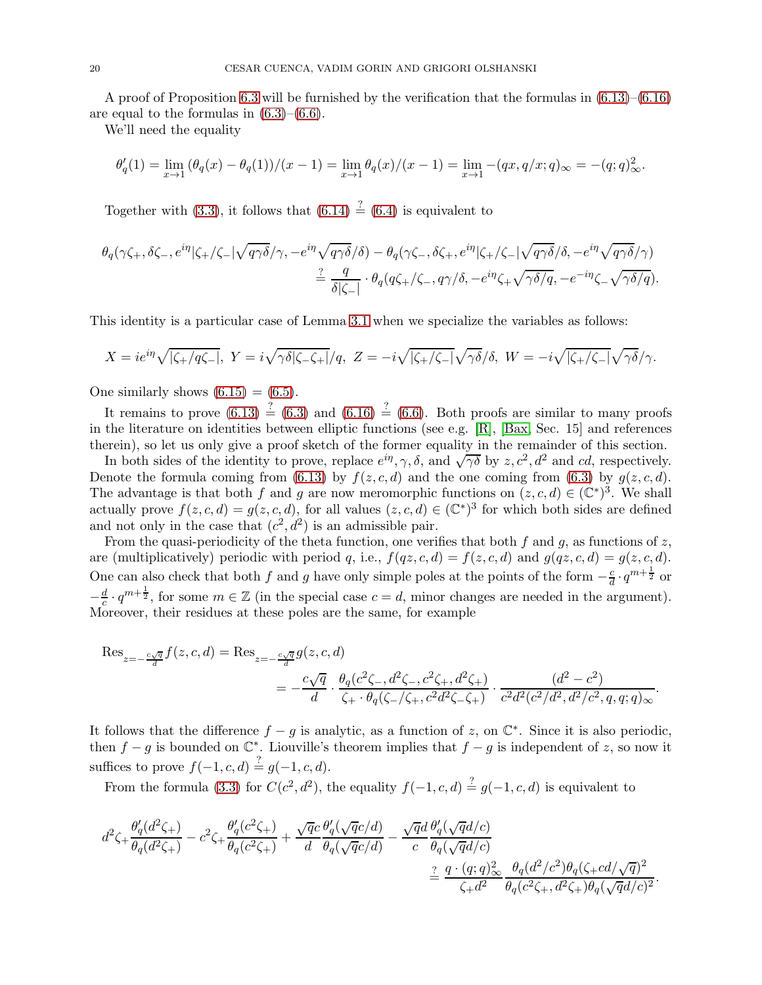A proof of Proposition [6.3](#page-16-6) will be furnished by the verification that the formulas in [\(6.13\)](#page-18-2)–[\(6.16\)](#page-18-4) are equal to the formulas in  $(6.3)$ – $(6.6)$ .

We'll need the equality

$$
\theta'_q(1) = \lim_{x \to 1} (\theta_q(x) - \theta_q(1))/(x - 1) = \lim_{x \to 1} \theta_q(x)/(x - 1) = \lim_{x \to 1} -(qx, q/x; q)_{\infty} = -(q; q)_{\infty}^2.
$$

Together with [\(3.3\)](#page-7-6), it follows that  $(6.14) \stackrel{?}{=} (6.4)$  $(6.14) \stackrel{?}{=} (6.4)$  is equivalent to

$$
\theta_q(\gamma \zeta_+, \delta \zeta_-, e^{i\eta}|\zeta_+/\zeta_-|\sqrt{q\gamma\delta}/\gamma, -e^{i\eta}\sqrt{q\gamma\delta}/\delta) - \theta_q(\gamma \zeta_-, \delta \zeta_+, e^{i\eta}|\zeta_+/\zeta_-|\sqrt{q\gamma\delta}/\delta, -e^{i\eta}\sqrt{q\gamma\delta}/\gamma) \n= \frac{q}{\delta|\zeta_-|} \cdot \theta_q(q\zeta_+/\zeta_-, q\gamma/\delta, -e^{i\eta}\zeta_+ \sqrt{\gamma\delta/q}, -e^{-i\eta}\zeta_- \sqrt{\gamma\delta/q}).
$$

This identity is a particular case of Lemma [3.1](#page-7-8) when we specialize the variables as follows:

$$
X = ie^{i\eta} \sqrt{|\zeta_+ / q\zeta_-|}, \ Y = i\sqrt{\gamma\delta|\zeta_-\zeta_+|}/q, \ Z = -i\sqrt{|\zeta_+ / \zeta_-|}\sqrt{\gamma\delta}/\delta, \ W = -i\sqrt{|\zeta_+ / \zeta_-|}\sqrt{\gamma\delta}/\gamma.
$$

One similarly shows  $(6.15) = (6.5)$  $(6.15) = (6.5)$ .

It remains to prove  $(6.13) \stackrel{?}{=} (6.3)$  $(6.13) \stackrel{?}{=} (6.3)$  and  $(6.16) \stackrel{?}{=} (6.6)$  $(6.16) \stackrel{?}{=} (6.6)$ . Both proofs are similar to many proofs in the literature on identities between elliptic functions (see e.g.  $[R]$ ,  $[Bax, Sec. 15]$  and references therein), so let us only give a proof sketch of the former equality in the remainder of this section.

In both sides of the identity to prove, replace  $e^{i\eta}$ ,  $\gamma$ ,  $\delta$ , and  $\sqrt{\gamma\delta}$  by  $z$ ,  $c^2$ ,  $d^2$  and cd, respectively. Denote the formula coming from [\(6.13\)](#page-18-2) by  $f(z, c, d)$  and the one coming from [\(6.3\)](#page-16-4) by  $g(z, c, d)$ . The advantage is that both f and g are now meromorphic functions on  $(z, c, d) \in (\mathbb{C}^*)^3$ . We shall actually prove  $f(z, c, d) = g(z, c, d)$ , for all values  $(z, c, d) \in (\mathbb{C}^*)^3$  for which both sides are defined and not only in the case that  $(c^2, d^2)$  is an admissible pair.

From the quasi-periodicity of the theta function, one verifies that both f and g, as functions of z, are (multiplicatively) periodic with period q, i.e.,  $f(qz, c, d) = f(z, c, d)$  and  $g(qz, c, d) = g(z, c, d)$ . One can also check that both f and g have only simple poles at the points of the form  $-\frac{c}{d}$  $\frac{c}{d} \cdot q^{m+\frac{1}{2}}$  or  $-\frac{d}{c}$  $\frac{d}{c} \cdot q^{m+\frac{1}{2}}$ , for some  $m \in \mathbb{Z}$  (in the special case  $c = d$ , minor changes are needed in the argument). Moreover, their residues at these poles are the same, for example

$$
\begin{split} \text{Res}_{z=-\frac{c\sqrt{q}}{d}}f(z,c,d) & = \text{Res}_{z=-\frac{c\sqrt{q}}{d}}g(z,c,d) \\ & = -\frac{c\sqrt{q}}{d}\cdot\frac{\theta_q(c^2\zeta_{-},d^2\zeta_{-},c^2\zeta_{+},d^2\zeta_{+})}{\zeta_{+}\cdot\theta_q(\zeta_{-}/\zeta_{+},c^2d^2\zeta_{-}\zeta_{+})}\cdot\frac{(d^2-c^2)}{c^2d^2(c^2/d^2,d^2/c^2,q,q;q)_{\infty}}. \end{split}
$$

It follows that the difference  $f - g$  is analytic, as a function of z, on  $\mathbb{C}^*$ . Since it is also periodic, then  $f - g$  is bounded on  $\mathbb{C}^*$ . Liouville's theorem implies that  $f - g$  is independent of z, so now it suffices to prove  $f(-1, c, d) \stackrel{?}{=} g(-1, c, d)$ .

From the formula [\(3.3\)](#page-7-6) for  $C(c^2, d^2)$ , the equality  $f(-1, c, d) \stackrel{?}{=} g(-1, c, d)$  is equivalent to

$$
\begin{split} d^2\zeta_+ \frac{\theta_q'(d^2\zeta_+)}{\theta_q(d^2\zeta_+)} - c^2\zeta_+ \frac{\theta_q'(c^2\zeta_+)}{\theta_q(c^2\zeta_+)} + \frac{\sqrt{q}c}{d} \frac{\theta_q'(\sqrt{q}c/d)}{\theta_q(\sqrt{q}c/d)} - \frac{\sqrt{q}d}{c} \frac{\theta_q'(\sqrt{q}d/c)}{\theta_q(\sqrt{q}d/c)} \\ &\stackrel{?}{=} \frac{q \cdot (q;q)_\infty^2}{\zeta_+ d^2} \frac{\theta_q(d^2/c^2)\theta_q(\zeta_+cd/\sqrt{q})^2}{\theta_q(c^2\zeta_+ , d^2\zeta_+ )\theta_q(\sqrt{q}d/c)^2}. \end{split}
$$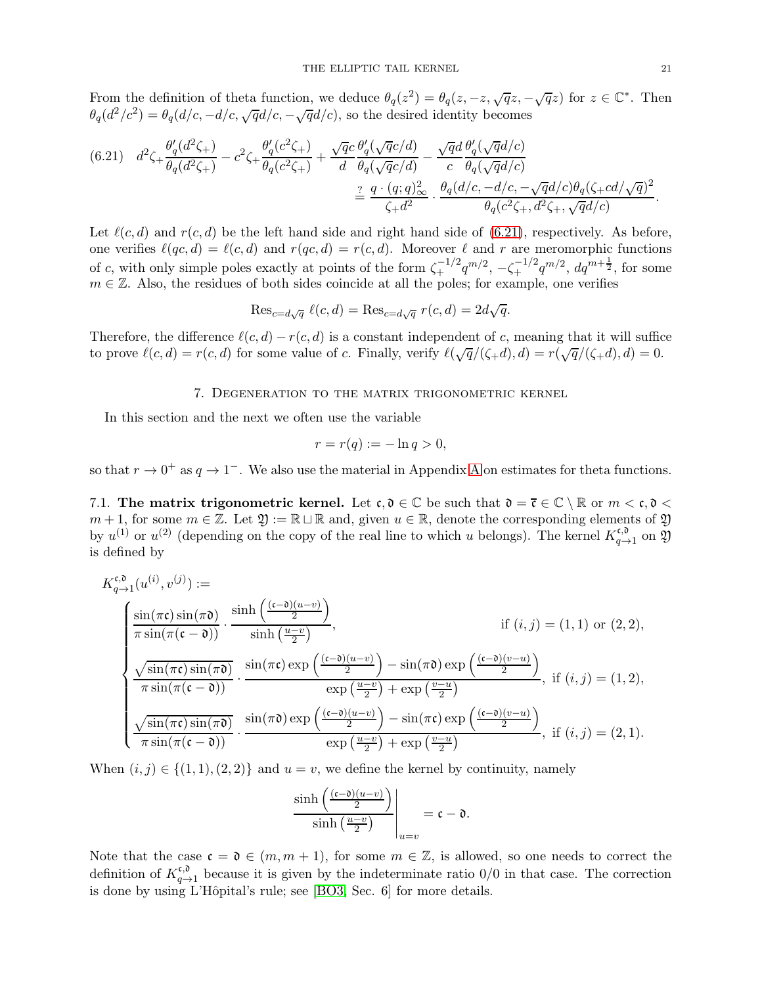From the definition of theta function, we deduce  $\theta_q(z^2) = \theta_q(z, -z, \sqrt{q}z, -\sqrt{q}z)$  for  $z \in \mathbb{C}^*$ . Then  $\theta_q(d^2/c^2) = \theta_q(d/c, -d/c, \sqrt{q}d/c, -\sqrt{q}d/c)$ , so the desired identity becomes

<span id="page-20-1"></span>
$$
(6.21) \quad d^2\zeta + \frac{\theta_q'(d^2\zeta_+)}{\theta_q(d^2\zeta_+)} - c^2\zeta + \frac{\theta_q'(c^2\zeta_+)}{\theta_q(c^2\zeta_+)} + \frac{\sqrt{q}c}{d} \frac{\theta_q'(\sqrt{q}c/d)}{\theta_q(\sqrt{q}c/d)} - \frac{\sqrt{q}d}{c} \frac{\theta_q'(\sqrt{q}d/c)}{\theta_q(\sqrt{q}d/c)}
$$

$$
\stackrel{?}{=} \frac{q \cdot (q;q)_\infty^2}{\zeta_+ d^2} \cdot \frac{\theta_q(d/c, -d/c, -\sqrt{q}d/c)\theta_q(\zeta_+ cd/\sqrt{q})^2}{\theta_q(c^2\zeta_+, d^2\zeta_+, \sqrt{q}d/c)}.
$$

Let  $\ell(c, d)$  and  $r(c, d)$  be the left hand side and right hand side of [\(6.21\)](#page-20-1), respectively. As before, one verifies  $\ell(qc, d) = \ell(c, d)$  and  $r(qc, d) = r(c, d)$ . Moreover  $\ell$  and r are meromorphic functions of c, with only simple poles exactly at points of the form  $\zeta_+^{-1/2} q^{m/2}$ ,  $-\zeta_+^{-1/2} q^{m/2}$ ,  $dq^{m+\frac{1}{2}}$ , for some  $m \in \mathbb{Z}$ . Also, the residues of both sides coincide at all the poles; for example, one verifies

$$
\operatorname{Res}_{c=d\sqrt{q}} \ell(c,d) = \operatorname{Res}_{c=d\sqrt{q}} r(c,d) = 2d\sqrt{q}.
$$

<span id="page-20-0"></span>Therefore, the difference  $\ell(c, d) - r(c, d)$  is a constant independent of c, meaning that it will suffice to prove  $\ell(c,d) = r(c,d)$  for some value of c. Finally, verify  $\ell(\sqrt{q}/(\zeta+d), d) = r(\sqrt{q}/(\zeta+d), d) = 0$ .

### 7. Degeneration to the matrix trigonometric kernel

In this section and the next we often use the variable

$$
r = r(q) := -\ln q > 0,
$$

so that  $r \to 0^+$  as  $q \to 1^-$ . We also use the material in [A](#page-25-0)ppendix A on estimates for theta functions.

7.1. The matrix trigonometric kernel. Let  $\mathfrak{c}, \mathfrak{d} \in \mathbb{C}$  be such that  $\mathfrak{d} = \overline{\mathfrak{c}} \in \mathbb{C} \setminus \mathbb{R}$  or  $m < \mathfrak{c}, \mathfrak{d} <$  $m + 1$ , for some  $m \in \mathbb{Z}$ . Let  $\mathfrak{Y} := \mathbb{R} \sqcup \mathbb{R}$  and, given  $u \in \mathbb{R}$ , denote the corresponding elements of  $\mathfrak{Y}$ by  $u^{(1)}$  or  $u^{(2)}$  (depending on the copy of the real line to which u belongs). The kernel  $K_{a-}^{\mathfrak{c},0}$  $q\rightarrow 1$  on  $\mathfrak{Y}$ is defined by

$$
K_{q\to 1}^{\mathfrak{c},\mathfrak{d}}(u^{(i)},v^{(j)}) :=
$$
\n
$$
\frac{\sin(\pi \mathfrak{c})\sin(\pi \mathfrak{d})}{\pi \sin(\pi(\mathfrak{c}-\mathfrak{d}))} \cdot \frac{\sinh\left(\frac{(\mathfrak{c}-\mathfrak{d})(u-v)}{2}\right)}{\sinh\left(\frac{u-v}{2}\right)}, \qquad \text{if } (i,j) = (1,1) \text{ or } (2,2),
$$
\n
$$
\frac{\sqrt{\sin(\pi \mathfrak{c})\sin(\pi \mathfrak{d})}}{\pi \sin(\pi(\mathfrak{c}-\mathfrak{d}))} \cdot \frac{\sin(\pi \mathfrak{c})\exp\left(\frac{(\mathfrak{c}-\mathfrak{d})(u-v)}{2}\right) - \sin(\pi \mathfrak{d})\exp\left(\frac{(\mathfrak{c}-\mathfrak{d})(v-u)}{2}\right)}{\exp\left(\frac{u-v}{2}\right) + \exp\left(\frac{v-u}{2}\right)}, \text{ if } (i,j) = (1,2),
$$
\n
$$
\frac{\sqrt{\sin(\pi \mathfrak{c})\sin(\pi \mathfrak{d})}}{\pi \sin(\pi(\mathfrak{c}-\mathfrak{d}))} \cdot \frac{\sin(\pi \mathfrak{d})\exp\left(\frac{(\mathfrak{c}-\mathfrak{d})(u-v)}{2}\right) - \sin(\pi \mathfrak{c})\exp\left(\frac{(\mathfrak{c}-\mathfrak{d})(v-u)}{2}\right)}{\exp\left(\frac{u-v}{2}\right) + \exp\left(\frac{v-u}{2}\right)}, \text{ if } (i,j) = (2,1).
$$

When  $(i, j) \in \{(1, 1), (2, 2)\}\$  and  $u = v$ , we define the kernel by continuity, namely

$$
\frac{\sinh\left(\frac{(c-0)(u-v)}{2}\right)}{\sinh\left(\frac{u-v}{2}\right)}\Bigg|_{u=v}=\mathfrak{c}-\mathfrak{d}.
$$

Note that the case  $\mathfrak{c} = \mathfrak{d} \in (m, m + 1)$ , for some  $m \in \mathbb{Z}$ , is allowed, so one needs to correct the definition of  $K_{a-}^{\mathfrak{c},\mathfrak{d}}$  $q \rightarrow q \rightarrow q$  because it is given by the indeterminate ratio  $0/0$  in that case. The correction is done by using L'Hôpital's rule; see [\[BO3,](#page-26-3) Sec. 6] for more details.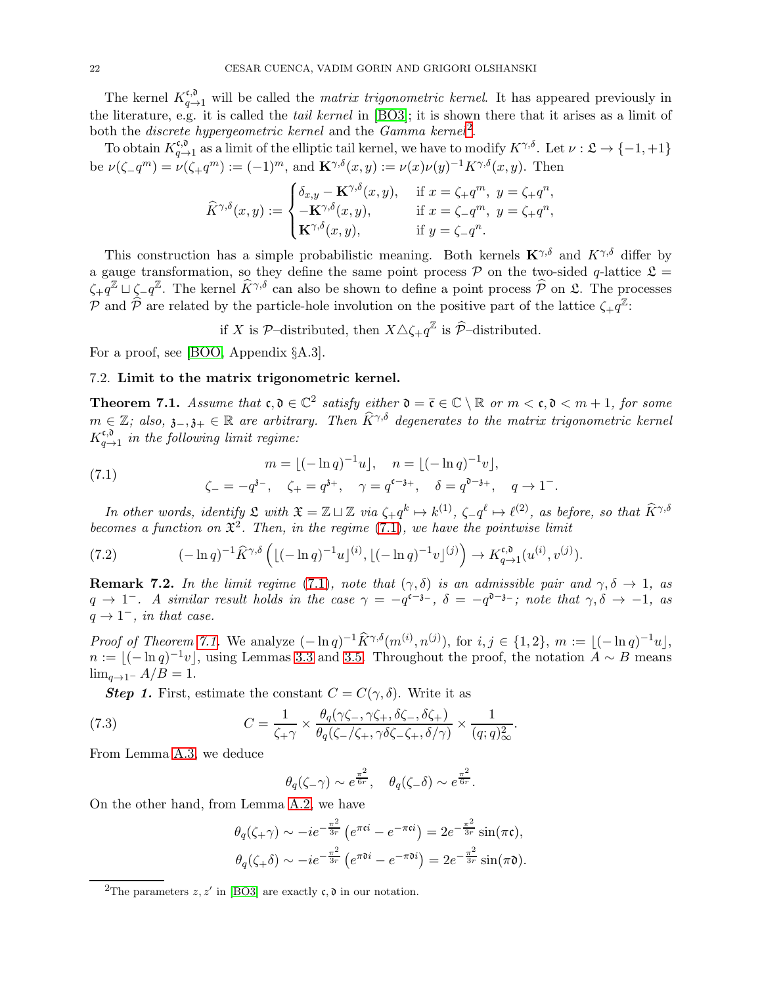The kernel  $K_{q\to 1}^{\mathfrak{c},\mathfrak{d}}$  will be called the *matrix trigonometric kernel*. It has appeared previously in the literature, e.g. it is called the tail kernel in [\[BO3\]](#page-26-3); it is shown there that it arises as a limit of both the *discrete hypergeometric kernel* and the  $Gamma$  kernel<sup>[2](#page-21-1)</sup>.

To obtain  $K_{a-}^{\mathfrak{c},\mathfrak{d}}$  $\epsilon, \delta, \epsilon, \delta$ <sub>q→1</sub> as a limit of the elliptic tail kernel, we have to modify  $K^{\gamma,\delta}$ . Let  $\nu : \mathfrak{L} \to \{-1, +1\}$ be  $\nu(\zeta - q^m) = \nu(\zeta + q^m) := (-1)^m$ , and  $\mathbf{K}^{\gamma,\delta}(x, y) := \nu(x)\nu(y)^{-1}K^{\gamma,\delta}(x, y)$ . Then

$$
\widehat{K}^{\gamma,\delta}(x,y) := \begin{cases} \delta_{x,y} - \mathbf{K}^{\gamma,\delta}(x,y), & \text{if } x = \zeta_+ q^m, \ y = \zeta_+ q^n, \\ -\mathbf{K}^{\gamma,\delta}(x,y), & \text{if } x = \zeta_- q^m, \ y = \zeta_+ q^n, \\ \mathbf{K}^{\gamma,\delta}(x,y), & \text{if } y = \zeta_- q^n. \end{cases}
$$

This construction has a simple probabilistic meaning. Both kernels  $\mathbf{K}^{\gamma,\delta}$  and  $K^{\gamma,\delta}$  differ by a gauge transformation, so they define the same point process  $P$  on the two-sided q-lattice  $\mathcal{L} =$  $\zeta_+ q^{\mathbb{Z}} \sqcup \zeta_- q^{\mathbb{Z}}$ . The kernel  $\widehat{K}^{\gamma,\delta}$  can also be shown to define a point process  $\widehat{\mathcal{P}}$  on  $\mathfrak{L}$ . The processes P and  $\widehat{P}$  are related by the particle-hole involution on the positive part of the lattice  $\zeta_{+}q^{\mathbb{Z}}$ :

if X is  $\mathcal{P}-$ distributed, then  $X \triangle \zeta_+ q^{\mathbb{Z}}$  is  $\widehat{\mathcal{P}}$ -distributed.

For a proof, see [\[BOO,](#page-26-6) Appendix §A.3].

### 7.2. Limit to the matrix trigonometric kernel.

<span id="page-21-0"></span>**Theorem 7.1.** Assume that  $c, \mathfrak{d} \in \mathbb{C}^2$  satisfy either  $\mathfrak{d} = \overline{c} \in \mathbb{C} \setminus \mathbb{R}$  or  $m < c, \mathfrak{d} < m + 1$ , for some  $m \in \mathbb{Z}$ ; also,  $\mathfrak{z}_{-1}, \mathfrak{z}_{+} \in \mathbb{R}$  are arbitrary. Then  $\widehat{K}^{\gamma,\delta}$  degenerates to the matrix trigonometric kernel  $K_{a-}^{\mathfrak{c},\mathfrak{d}}$  $q \rightarrow 1$  in the following limit regime:

<span id="page-21-2"></span>(7.1) 
$$
m = \lfloor (-\ln q)^{-1} u \rfloor, \quad n = \lfloor (-\ln q)^{-1} v \rfloor,
$$

$$
\zeta_{-} = -q^{3-}, \quad \zeta_{+} = q^{3+}, \quad \gamma = q^{c-3+}, \quad \delta = q^{b-3+}, \quad q \to 1^{-}.
$$

In other words, identify  $\mathfrak{L}$  with  $\mathfrak{X} = \mathbb{Z} \sqcup \mathbb{Z}$  via  $\zeta_+ q^k \mapsto k^{(1)}$ ,  $\zeta_- q^\ell \mapsto \ell^{(2)}$ , as before, so that  $\widehat{K}^{\gamma, \delta}$ becomes a function on  $\mathfrak{X}^2$ . Then, in the regime [\(7.1\)](#page-21-2), we have the pointwise limit

<span id="page-21-4"></span>(7.2) 
$$
(-\ln q)^{-1} \hat{K}^{\gamma,\delta} \left( [(-\ln q)^{-1} u]^{(i)}, [(-\ln q)^{-1} v]^{(j)} \right) \to K_{q \to 1}^{\mathfrak{c},\mathfrak{d}}(u^{(i)},v^{(j)}).
$$

**Remark 7.2.** In the limit regime [\(7.1\)](#page-21-2), note that  $(\gamma, \delta)$  is an admissible pair and  $\gamma, \delta \to 1$ , as  $q \to 1^-$ . A similar result holds in the case  $\gamma = -q^{c-3-}$ ,  $\delta = -q^{b-3-}$ ; note that  $\gamma, \delta \to -1$ , as  $q \rightarrow 1^-$ , in that case.

*Proof of Theorem [7.1.](#page-21-0)* We analyze  $(-\ln q)^{-1} \hat{K}^{\gamma,\delta}(m^{(i)}, n^{(j)})$ , for  $i, j \in \{1,2\}$ ,  $m := \lfloor (-\ln q)^{-1}u \rfloor$ ,  $n := \lfloor (-\ln q)^{-1} v \rfloor$ , using Lemmas [3.3](#page-8-3) and [3.5.](#page-8-4) Throughout the proof, the notation  $A \sim B$  means  $\lim_{q\to 1^-} A/B = 1.$ 

**Step 1.** First, estimate the constant  $C = C(\gamma, \delta)$ . Write it as

(7.3) 
$$
C = \frac{1}{\zeta + \gamma} \times \frac{\theta_q(\gamma \zeta_-, \gamma \zeta_+, \delta \zeta_-, \delta \zeta_+)}{\theta_q(\zeta_-/\zeta_+, \gamma \delta \zeta_-, \zeta_+, \delta/\gamma)} \times \frac{1}{(q; q)_{\infty}^2}.
$$

From Lemma [A.3,](#page-26-11) we deduce

<span id="page-21-3"></span>
$$
\theta_q(\zeta-\gamma) \sim e^{\frac{\pi^2}{6r}}, \quad \theta_q(\zeta-\delta) \sim e^{\frac{\pi^2}{6r}}.
$$

On the other hand, from Lemma [A.2,](#page-26-12) we have

$$
\theta_q(\zeta_+\gamma) \sim -ie^{-\frac{\pi^2}{3r}} \left(e^{\pi\zeta i} - e^{-\pi\zeta i}\right) = 2e^{-\frac{\pi^2}{3r}} \sin(\pi\zeta),
$$
  

$$
\theta_q(\zeta_+\delta) \sim -ie^{-\frac{\pi^2}{3r}} \left(e^{\pi\delta i} - e^{-\pi\delta i}\right) = 2e^{-\frac{\pi^2}{3r}} \sin(\pi\delta).
$$

<span id="page-21-1"></span><sup>&</sup>lt;sup>2</sup>The parameters  $z, z'$  in [\[BO3\]](#page-26-3) are exactly  $\mathfrak{c}, \mathfrak{d}$  in our notation.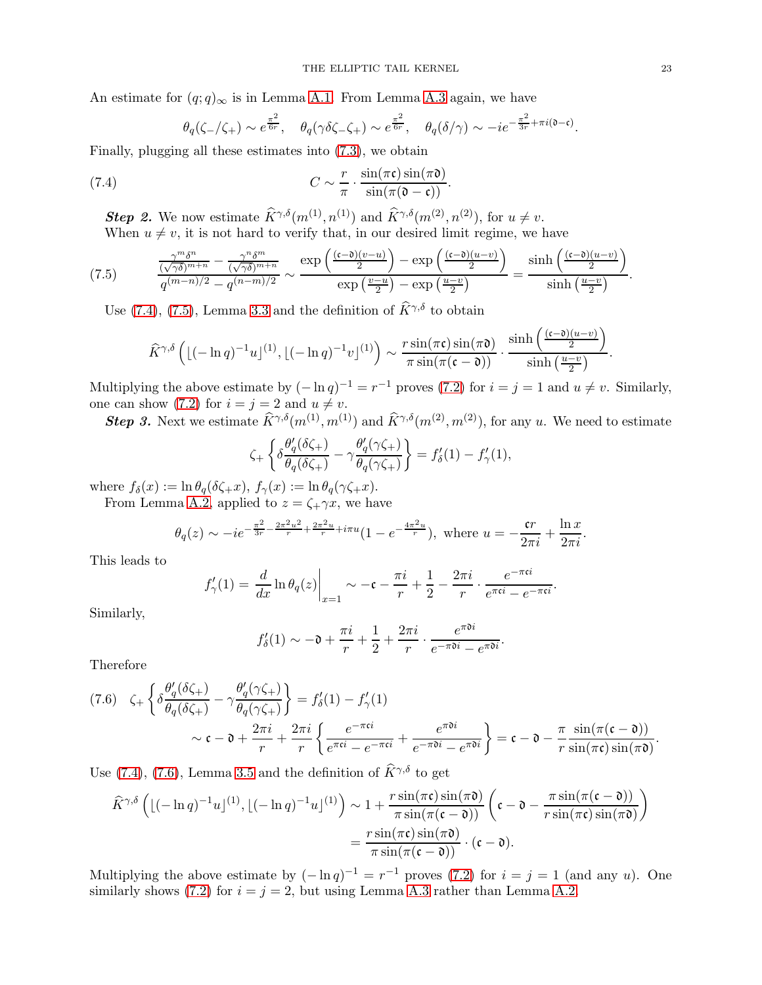An estimate for  $(q; q)_{\infty}$  is in Lemma [A.1.](#page-25-1) From Lemma [A.3](#page-26-11) again, we have

<span id="page-22-0"></span>
$$
\theta_q(\zeta_-/\zeta_+) \sim e^{\frac{\pi^2}{6r}}, \quad \theta_q(\gamma \delta \zeta_- \zeta_+) \sim e^{\frac{\pi^2}{6r}}, \quad \theta_q(\delta/\gamma) \sim -ie^{-\frac{\pi^2}{3r} + \pi i(\mathfrak{d} - \mathfrak{c})}.
$$

Finally, plugging all these estimates into [\(7.3\)](#page-21-3), we obtain

(7.4) 
$$
C \sim \frac{r}{\pi} \cdot \frac{\sin(\pi \mathfrak{c}) \sin(\pi \mathfrak{d})}{\sin(\pi (\mathfrak{d} - \mathfrak{c}))}.
$$

**Step 2.** We now estimate  $\widehat{K}^{\gamma,\delta}(m^{(1)}, n^{(1)})$  and  $\widehat{K}^{\gamma,\delta}(m^{(2)}, n^{(2)})$ , for  $u \neq v$ .

When  $u \neq v$ , it is not hard to verify that, in our desired limit regime, we have

$$
(7.5) \qquad \frac{\frac{\gamma^m \delta^n}{(\sqrt{\gamma \delta})^{m+n}} - \frac{\gamma^n \delta^m}{(\sqrt{\gamma \delta})^{m+n}}}{q^{(m-n)/2} - q^{(n-m)/2}} \sim \frac{\exp\left(\frac{(c-\delta)(v-u)}{2}\right) - \exp\left(\frac{(c-\delta)(u-v)}{2}\right)}{\exp\left(\frac{v-u}{2}\right) - \exp\left(\frac{u-v}{2}\right)} = \frac{\sinh\left(\frac{(c-\delta)(u-v)}{2}\right)}{\sinh\left(\frac{u-v}{2}\right)}.
$$

Use [\(7.4\)](#page-22-0), [\(7.5\)](#page-22-1), Lemma [3.3](#page-8-3) and the definition of  $\widehat{K}^{\gamma,\delta}$  to obtain

<span id="page-22-1"></span>
$$
\widehat{K}^{\gamma,\delta}\left(\lfloor(-\ln q)^{-1}u\rfloor^{(1)},\lfloor(-\ln q)^{-1}v\rfloor^{(1)}\right)\sim\frac{r\sin(\pi\mathfrak{c})\sin(\pi\mathfrak{d})}{\pi\sin(\pi(\mathfrak{c}-\mathfrak{d}))}\cdot\frac{\sinh\left(\frac{(\mathfrak{c}-\mathfrak{d})(u-v)}{2}\right)}{\sinh\left(\frac{u-v}{2}\right)}.
$$

Multiplying the above estimate by  $(-\ln q)^{-1} = r^{-1}$  proves [\(7.2\)](#page-21-4) for  $i = j = 1$  and  $u \neq v$ . Similarly, one can show [\(7.2\)](#page-21-4) for  $i = j = 2$  and  $u \neq v$ .

**Step 3.** Next we estimate  $\widehat{K}^{\gamma,\delta}(m^{(1)}, m^{(1)})$  and  $\widehat{K}^{\gamma,\delta}(m^{(2)}, m^{(2)})$ , for any u. We need to estimate

$$
\zeta_+ \left\{ \delta \frac{\theta_q'(\delta \zeta_+)}{\theta_q(\delta \zeta_+)} - \gamma \frac{\theta_q'(\gamma \zeta_+)}{\theta_q(\gamma \zeta_+)} \right\} = f_\delta'(1) - f_\gamma'(1),
$$

where  $f_{\delta}(x) := \ln \theta_q(\delta \zeta_+ x), f_{\gamma}(x) := \ln \theta_q(\gamma \zeta_+ x).$ 

From Lemma [A.2,](#page-26-12) applied to  $z = \zeta_+ \gamma x$ , we have

$$
\theta_q(z) \sim -ie^{-\frac{\pi^2}{3r} - \frac{2\pi^2 u^2}{r} + \frac{2\pi^2 u}{r} + i\pi u} (1 - e^{-\frac{4\pi^2 u}{r}}),
$$
 where  $u = -\frac{\mathfrak{c}r}{2\pi i} + \frac{\ln x}{2\pi i}$ .

This leads to

$$
f'_{\gamma}(1) = \frac{d}{dx} \ln \theta_q(z) \bigg|_{x=1} \sim -\mathfrak{c} - \frac{\pi i}{r} + \frac{1}{2} - \frac{2\pi i}{r} \cdot \frac{e^{-\pi \mathfrak{c} i}}{e^{\pi \mathfrak{c} i} - e^{-\pi \mathfrak{c} i}}.
$$

Similarly,

$$
f'_{\delta}(1) \sim -\mathfrak{d} + \frac{\pi i}{r} + \frac{1}{2} + \frac{2\pi i}{r} \cdot \frac{e^{\pi\mathfrak{d}i}}{e^{-\pi\mathfrak{d}i} - e^{\pi\mathfrak{d}i}}
$$

.

Therefore

<span id="page-22-2"></span>
$$
(7.6) \quad \zeta_{+} \left\{ \delta \frac{\theta_{q}^{\prime}(\delta \zeta_{+})}{\theta_{q}(\delta \zeta_{+})} - \gamma \frac{\theta_{q}^{\prime}(\gamma \zeta_{+})}{\theta_{q}(\gamma \zeta_{+})} \right\} = f_{\delta}^{\prime}(1) - f_{\gamma}^{\prime}(1)
$$
\n
$$
\sim \mathfrak{c} - \mathfrak{d} + \frac{2\pi i}{r} + \frac{2\pi i}{r} \left\{ \frac{e^{-\pi \mathfrak{c}i}}{e^{\pi \mathfrak{c}i} - e^{-\pi \mathfrak{c}i}} + \frac{e^{\pi \mathfrak{d}i}}{e^{-\pi \mathfrak{d}i} - e^{\pi \mathfrak{d}i}} \right\} = \mathfrak{c} - \mathfrak{d} - \frac{\pi}{r} \frac{\sin(\pi(\mathfrak{c} - \mathfrak{d}))}{\sin(\pi \mathfrak{c}) \sin(\pi \mathfrak{d})}.
$$

Use [\(7.4\)](#page-22-0), [\(7.6\)](#page-22-2), Lemma [3.5](#page-8-4) and the definition of  $\hat{K}^{\gamma,\delta}$  to get

$$
\widehat{K}^{\gamma,\delta}\left(\lfloor(-\ln q)^{-1}u\rfloor^{(1)},\lfloor(-\ln q)^{-1}u\rfloor^{(1)}\right) \sim 1 + \frac{r\sin(\pi\mathfrak{c})\sin(\pi\mathfrak{d})}{\pi\sin(\pi(\mathfrak{c}-\mathfrak{d}))}\left(\mathfrak{c}-\mathfrak{d}-\frac{\pi\sin(\pi(\mathfrak{c}-\mathfrak{d}))}{r\sin(\pi\mathfrak{c})\sin(\pi\mathfrak{d})}\right)
$$

$$
=\frac{r\sin(\pi\mathfrak{c})\sin(\pi\mathfrak{d})}{\pi\sin(\pi(\mathfrak{c}-\mathfrak{d}))}\cdot(\mathfrak{c}-\mathfrak{d}).
$$

Multiplying the above estimate by  $(-\ln q)^{-1} = r^{-1}$  proves [\(7.2\)](#page-21-4) for  $i = j = 1$  (and any u). One similarly shows [\(7.2\)](#page-21-4) for  $i = j = 2$ , but using Lemma [A.3](#page-26-11) rather than Lemma [A.2.](#page-26-12)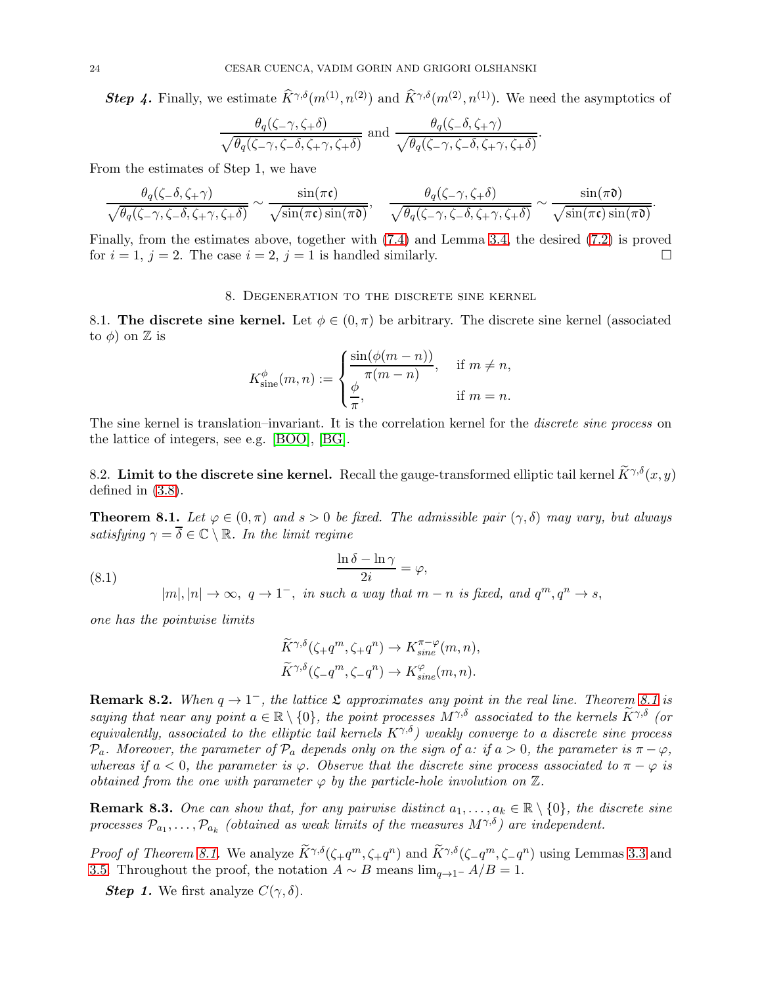**Step 4.** Finally, we estimate  $\widehat{K}^{\gamma,\delta}(m^{(1)}, n^{(2)})$  and  $\widehat{K}^{\gamma,\delta}(m^{(2)}, n^{(1)})$ . We need the asymptotics of

.

$$
\frac{\theta_q(\zeta-\gamma,\zeta+\delta)}{\sqrt{\theta_q(\zeta-\gamma,\zeta-\delta,\zeta+\gamma,\zeta+\delta)}} \text{ and } \frac{\theta_q(\zeta-\delta,\zeta+\gamma)}{\sqrt{\theta_q(\zeta-\gamma,\zeta-\delta,\zeta+\gamma,\zeta+\delta)}}
$$

From the estimates of Step 1, we have

$$
\frac{\theta_q(\zeta-\delta,\zeta+\gamma)}{\sqrt{\theta_q(\zeta-\gamma,\zeta-\delta,\zeta+\gamma,\zeta+\delta)}}\sim \frac{\sin(\pi\mathfrak{c})}{\sqrt{\sin(\pi\mathfrak{c})\sin(\pi\mathfrak{d})}},\quad \frac{\theta_q(\zeta-\gamma,\zeta+\delta)}{\sqrt{\theta_q(\zeta-\gamma,\zeta-\delta,\zeta+\gamma,\zeta+\delta)}}\sim \frac{\sin(\pi\mathfrak{d})}{\sqrt{\sin(\pi\mathfrak{c})\sin(\pi\mathfrak{d})}}.
$$

<span id="page-23-0"></span>Finally, from the estimates above, together with [\(7.4\)](#page-22-0) and Lemma [3.4,](#page-8-5) the desired [\(7.2\)](#page-21-4) is proved for  $i = 1$ ,  $j = 2$ . The case  $i = 2$ ,  $j = 1$  is handled similarly.

### 8. Degeneration to the discrete sine kernel

8.1. The discrete sine kernel. Let  $\phi \in (0, \pi)$  be arbitrary. The discrete sine kernel (associated to  $\phi$ ) on  $\mathbb Z$  is

$$
K_{\text{sine}}^{\phi}(m, n) := \begin{cases} \frac{\sin(\phi(m - n))}{\pi(m - n)}, & \text{if } m \neq n, \\ \frac{\phi}{\pi}, & \text{if } m = n. \end{cases}
$$

The sine kernel is translation–invariant. It is the correlation kernel for the *discrete sine process* on the lattice of integers, see e.g. [\[BOO\]](#page-26-6), [\[BG\]](#page-26-13).

8.2. Limit to the discrete sine kernel. Recall the gauge-transformed elliptic tail kernel  $\tilde{K}^{\gamma,\delta}(x, y)$ defined in [\(3.8\)](#page-7-5).

<span id="page-23-1"></span>**Theorem 8.1.** Let  $\varphi \in (0, \pi)$  and  $s > 0$  be fixed. The admissible pair  $(\gamma, \delta)$  may vary, but always satisfying  $\gamma = \overline{\delta} \in \mathbb{C} \setminus \mathbb{R}$ . In the limit regime

(8.1) 
$$
\frac{\ln \delta - \ln \gamma}{2i} = \varphi,
$$

<span id="page-23-2"></span> $|m|, |n| \to \infty$ ,  $q \to 1^-$ , in such a way that  $m - n$  is fixed, and  $q^m, q^n \to s$ ,

one has the pointwise limits

$$
\widetilde{K}^{\gamma,\delta}(\zeta_{+}q^{m}, \zeta_{+}q^{n}) \to K^{\pi-\varphi}_{sine}(m,n),
$$
  

$$
\widetilde{K}^{\gamma,\delta}(\zeta_{-}q^{m}, \zeta_{-}q^{n}) \to K^{\varphi}_{sine}(m,n).
$$

**Remark 8.2.** When  $q \to 1^-$ , the lattice  $\mathfrak L$  approximates any point in the real line. Theorem [8.1](#page-23-1) is saying that near any point  $a \in \mathbb{R} \setminus \{0\}$ , the point processes  $M^{\gamma,\delta}$  associated to the kernels  $\widetilde{K}^{\gamma,\delta}$  (or equivalently, associated to the elliptic tail kernels  $K^{\gamma,\delta}$ ) weakly converge to a discrete sine process  $\mathcal{P}_a$ . Moreover, the parameter of  $\mathcal{P}_a$  depends only on the sign of a: if  $a > 0$ , the parameter is  $\pi - \varphi$ , whereas if  $a < 0$ , the parameter is  $\varphi$ . Observe that the discrete sine process associated to  $\pi - \varphi$  is obtained from the one with parameter  $\varphi$  by the particle-hole involution on  $\mathbb{Z}$ .

**Remark 8.3.** One can show that, for any pairwise distinct  $a_1, \ldots, a_k \in \mathbb{R} \setminus \{0\}$ , the discrete sine processes  $\mathcal{P}_{a_1}, \ldots, \mathcal{P}_{a_k}$  (obtained as weak limits of the measures  $M^{\gamma,\delta}$ ) are independent.

*Proof of Theorem [8.1.](#page-23-1)* We analyze  $K^{\gamma,\delta}(\zeta,q^m,\zeta,q^n)$  and  $K^{\gamma,\delta}(\zeta-q^m,\zeta-q^n)$  using Lemmas [3.3](#page-8-3) and [3.5.](#page-8-4) Throughout the proof, the notation  $A \sim B$  means  $\lim_{a \to 1^-} A/B = 1$ .

**Step 1.** We first analyze  $C(\gamma, \delta)$ .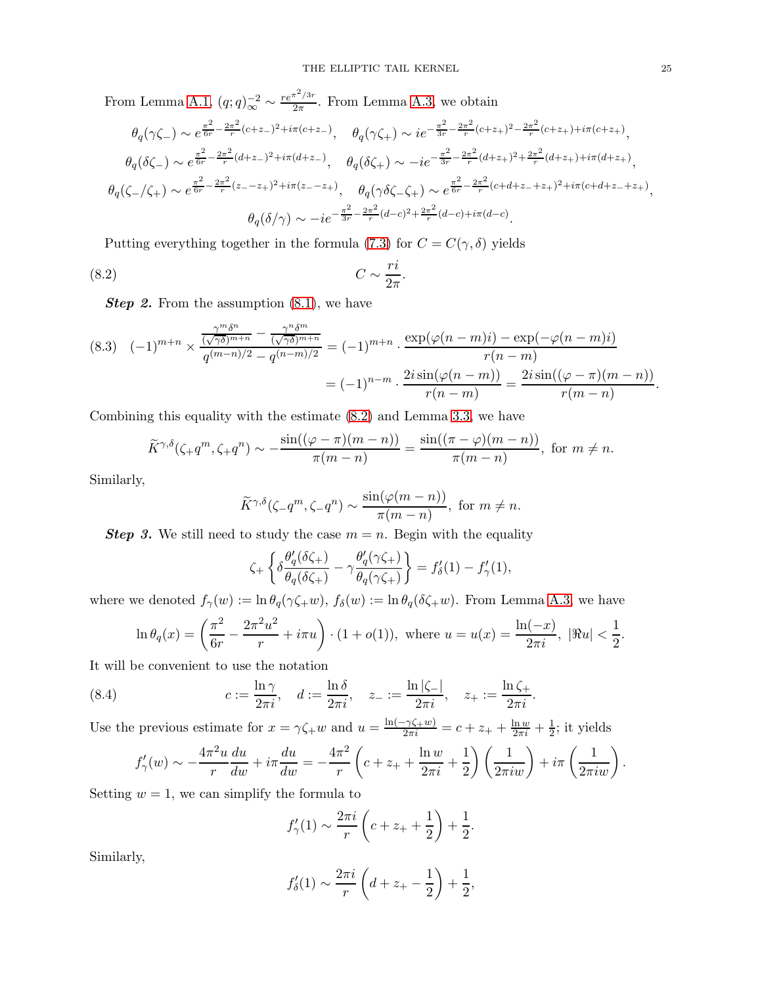From Lemma [A.1,](#page-25-1)  $(q;q)_{\infty}^{-2} \sim \frac{re^{\pi^2/3r}}{2\pi}$  $\frac{1}{2\pi}$ . From Lemma [A.3,](#page-26-11) we obtain

$$
\theta_q(\gamma \zeta_-) \sim e^{\frac{\pi^2}{6r} - \frac{2\pi^2}{r}(c+z_-)^2 + i\pi(c+z_-)}, \quad \theta_q(\gamma \zeta_+) \sim i e^{-\frac{\pi^2}{3r} - \frac{2\pi^2}{r}(c+z_+)^2 - \frac{2\pi^2}{r}(c+z_+) + i\pi(c+z_)}},
$$
  
\n
$$
\theta_q(\delta \zeta_-) \sim e^{\frac{\pi^2}{6r} - \frac{2\pi^2}{r}(d+z_-)^2 + i\pi(d+z_-)}, \quad \theta_q(\delta \zeta_+) \sim -ie^{-\frac{\pi^2}{3r} - \frac{2\pi^2}{r}(d+z_+)^2 + \frac{2\pi^2}{r}(d+z_+) + i\pi(d+z_)}},
$$
  
\n
$$
\theta_q(\zeta_-/\zeta_+) \sim e^{\frac{\pi^2}{6r} - \frac{2\pi^2}{r}(z-z_+)^2 + i\pi(z-z_+)}, \quad \theta_q(\gamma \delta \zeta_-\zeta_+) \sim e^{\frac{\pi^2}{6r} - \frac{2\pi^2}{r}(c+d+z_-+z_+)^2 + i\pi(c+d+z_-+z_)}},
$$
  
\n
$$
\theta_q(\delta/\gamma) \sim -ie^{-\frac{\pi^2}{3r} - \frac{2\pi^2}{r}(d-c)^2 + \frac{2\pi^2}{r}(d-c) + i\pi(d-c)}.
$$

Putting everything together in the formula [\(7.3\)](#page-21-3) for  $C = C(\gamma, \delta)$  yields

$$
(8.2)\t\t C \sim \frac{ri}{2\pi}.
$$

**Step 2.** From the assumption  $(8.1)$ , we have

$$
(8.3) \quad (-1)^{m+n} \times \frac{\frac{\gamma^m \delta^n}{(\sqrt{\gamma \delta})^{m+n}} - \frac{\gamma^n \delta^m}{(\sqrt{\gamma \delta})^{m+n}}}{q^{(m-n)/2} - q^{(n-m)/2}} = (-1)^{m+n} \cdot \frac{\exp(\varphi(n-m)i) - \exp(-\varphi(n-m)i)}{r(n-m)} = (-1)^{n-m} \cdot \frac{2i \sin(\varphi(n-m))}{r(n-m)} = \frac{2i \sin((\varphi - \pi)(m-n))}{r(m-n)}.
$$

Combining this equality with the estimate [\(8.2\)](#page-24-0) and Lemma [3.3,](#page-8-3) we have

$$
\widetilde{K}^{\gamma,\delta}(\zeta+q^m,\zeta+q^n) \sim -\frac{\sin((\varphi-\pi)(m-n))}{\pi(m-n)} = \frac{\sin((\pi-\varphi)(m-n))}{\pi(m-n)}, \text{ for } m \neq n.
$$

Similarly,

<span id="page-24-0"></span>
$$
\widetilde{K}^{\gamma,\delta}(\zeta-q^m,\zeta-q^n) \sim \frac{\sin(\varphi(m-n))}{\pi(m-n)}, \text{ for } m \neq n.
$$

**Step 3.** We still need to study the case  $m = n$ . Begin with the equality

$$
\zeta_+ \left\{ \delta \frac{\theta_q'(\delta \zeta_+)}{\theta_q(\delta \zeta_+)} - \gamma \frac{\theta_q'(\gamma \zeta_+)}{\theta_q(\gamma \zeta_+)} \right\} = f_\delta'(1) - f_\gamma'(1),
$$

where we denoted  $f_{\gamma}(w) := \ln \theta_q(\gamma \zeta_+ w)$ ,  $f_{\delta}(w) := \ln \theta_q(\delta \zeta_+ w)$ . From Lemma [A.3,](#page-26-11) we have

$$
\ln \theta_q(x) = \left(\frac{\pi^2}{6r} - \frac{2\pi^2 u^2}{r} + i\pi u\right) \cdot (1 + o(1)), \text{ where } u = u(x) = \frac{\ln(-x)}{2\pi i}, \ |\Re u| < \frac{1}{2}.
$$

It will be convenient to use the notation

(8.4) 
$$
c := \frac{\ln \gamma}{2\pi i}, \quad d := \frac{\ln \delta}{2\pi i}, \quad z_- := \frac{\ln |\zeta_-|}{2\pi i}, \quad z_+ := \frac{\ln \zeta_+}{2\pi i}.
$$

Use the previous estimate for  $x = \gamma \zeta_+ w$  and  $u = \frac{\ln(-\gamma \zeta_+ w)}{2\pi i} = c + z_+ + \frac{\ln w}{2\pi i} + \frac{1}{2}$  $\frac{1}{2}$ ; it yields

$$
f'_{\gamma}(w) \sim -\frac{4\pi^2 u}{r} \frac{du}{dw} + i\pi \frac{du}{dw} = -\frac{4\pi^2}{r} \left( c + z_+ + \frac{\ln w}{2\pi i} + \frac{1}{2} \right) \left( \frac{1}{2\pi i w} \right) + i\pi \left( \frac{1}{2\pi i w} \right).
$$

Setting  $w = 1$ , we can simplify the formula to

$$
f'_{\gamma}(1) \sim \frac{2\pi i}{r} \left( c + z_+ + \frac{1}{2} \right) + \frac{1}{2}.
$$

Similarly,

$$
f'_{\delta}(1) \sim \frac{2\pi i}{r} \left( d + z_{+} - \frac{1}{2} \right) + \frac{1}{2},
$$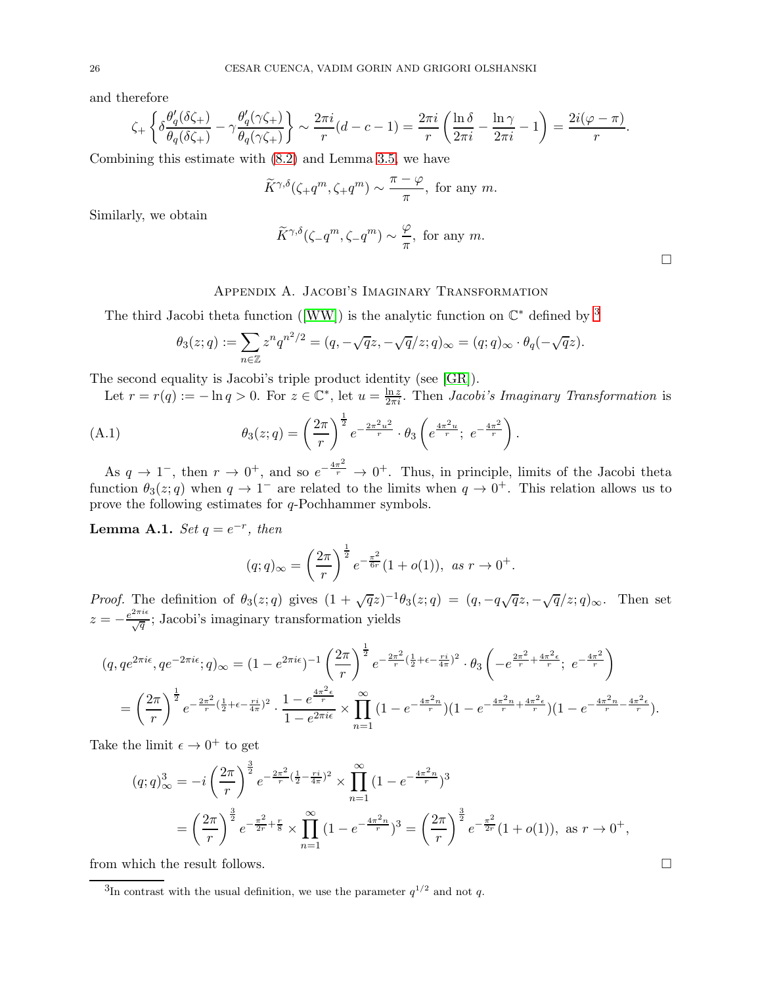and therefore

$$
\zeta_+ \left\{ \delta \frac{\theta_q'(\delta \zeta_+)}{\theta_q(\delta \zeta_+)} - \gamma \frac{\theta_q'(\gamma \zeta_+)}{\theta_q(\gamma \zeta_+)} \right\} \sim \frac{2\pi i}{r} (d - c - 1) = \frac{2\pi i}{r} \left( \frac{\ln \delta}{2\pi i} - \frac{\ln \gamma}{2\pi i} - 1 \right) = \frac{2i(\varphi - \pi)}{r}.
$$

Combining this estimate with [\(8.2\)](#page-24-0) and Lemma [3.5,](#page-8-4) we have

$$
\widetilde{K}^{\gamma,\delta}(\zeta_{+}q^{m},\zeta_{+}q^{m}) \sim \frac{\pi-\varphi}{\pi}
$$
, for any m.

Similarly, we obtain

$$
\widetilde{K}^{\gamma,\delta}(\zeta-q^m,\zeta-q^m) \sim \frac{\varphi}{\pi}
$$
, for any m.

# Appendix A. Jacobi's Imaginary Transformation

<span id="page-25-0"></span>The third Jacobi theta function ([\[WW\]](#page-27-22)) is the analytic function on  $\mathbb{C}^*$  defined by <sup>[3](#page-25-2)</sup>

$$
\theta_3(z;q) := \sum_{n \in \mathbb{Z}} z^n q^{n^2/2} = (q, -\sqrt{q}z, -\sqrt{q}/z; q)_{\infty} = (q; q)_{\infty} \cdot \theta_q(-\sqrt{q}z).
$$

The second equality is Jacobi's triple product identity (see [\[GR\]](#page-27-18)).

Let  $r = r(q) := -\ln q > 0$ . For  $z \in \mathbb{C}^*$ , let  $u = \frac{\ln z}{2\pi i}$ . Then *Jacobi's Imaginary Transformation* is

(A.1) 
$$
\theta_3(z;q) = \left(\frac{2\pi}{r}\right)^{\frac{1}{2}} e^{-\frac{2\pi^2 u^2}{r}} \cdot \theta_3 \left(e^{\frac{4\pi^2 u}{r}}; e^{-\frac{4\pi^2}{r}}\right).
$$

As  $q \to 1^-$ , then  $r \to 0^+$ , and so  $e^{-\frac{4\pi^2}{r}} \to 0^+$ . Thus, in principle, limits of the Jacobi theta function  $\theta_3(z;q)$  when  $q \to 1^-$  are related to the limits when  $q \to 0^+$ . This relation allows us to prove the following estimates for q-Pochhammer symbols.

<span id="page-25-1"></span>**Lemma A.1.** Set  $q = e^{-r}$ , then

$$
(q;q)_{\infty} = \left(\frac{2\pi}{r}\right)^{\frac{1}{2}} e^{-\frac{\pi^2}{6r}} (1+o(1)), \text{ as } r \to 0^+.
$$

Proof. The definition of  $\theta_3(z;q)$  gives  $(1+\sqrt{q}z)^{-1}\theta_3(z;q) = (q, -q\sqrt{q}z, -\sqrt{q}/z; q)_{\infty}$ . Then set  $z = -\frac{e^{2\pi i \epsilon}}{\sqrt{q}}$ ; Jacobi's imaginary transformation yields

$$
(q, q e^{2\pi i\epsilon}, q e^{-2\pi i\epsilon}; q)_{\infty} = (1 - e^{2\pi i\epsilon})^{-1} \left(\frac{2\pi}{r}\right)^{\frac{1}{2}} e^{-\frac{2\pi^2}{r} \left(\frac{1}{2} + \epsilon - \frac{ri}{4\pi}\right)^2} \cdot \theta_3 \left(-e^{\frac{2\pi^2}{r} + \frac{4\pi^2\epsilon}{r}}; e^{-\frac{4\pi^2}{r}}\right)
$$

$$
= \left(\frac{2\pi}{r}\right)^{\frac{1}{2}} e^{-\frac{2\pi^2}{r} \left(\frac{1}{2} + \epsilon - \frac{ri}{4\pi}\right)^2} \cdot \frac{1 - e^{\frac{4\pi^2\epsilon}{r}}}{1 - e^{2\pi i\epsilon}} \times \prod_{n=1}^{\infty} (1 - e^{-\frac{4\pi^2n}{r}}) (1 - e^{-\frac{4\pi^2n}{r} + \frac{4\pi^2\epsilon}{r}}) (1 - e^{-\frac{4\pi^2n}{r} - \frac{4\pi^2n}{r}}).
$$

Take the limit  $\epsilon \to 0^+$  to get

$$
(q;q)_{\infty}^{3} = -i\left(\frac{2\pi}{r}\right)^{\frac{3}{2}}e^{-\frac{2\pi^{2}}{r}(\frac{1}{2}-\frac{ri}{4\pi})^{2}} \times \prod_{n=1}^{\infty} (1 - e^{-\frac{4\pi^{2}n}{r}})^{3}
$$
  
=  $\left(\frac{2\pi}{r}\right)^{\frac{3}{2}}e^{-\frac{\pi^{2}}{2r} + \frac{r}{8}} \times \prod_{n=1}^{\infty} (1 - e^{-\frac{4\pi^{2}n}{r}})^{3} = \left(\frac{2\pi}{r}\right)^{\frac{3}{2}}e^{-\frac{\pi^{2}}{2r}}(1 + o(1)), \text{ as } r \to 0^{+},$ 

from which the result follows.

 $\Box$ 

<span id="page-25-2"></span><sup>&</sup>lt;sup>3</sup>In contrast with the usual definition, we use the parameter  $q^{1/2}$  and not q.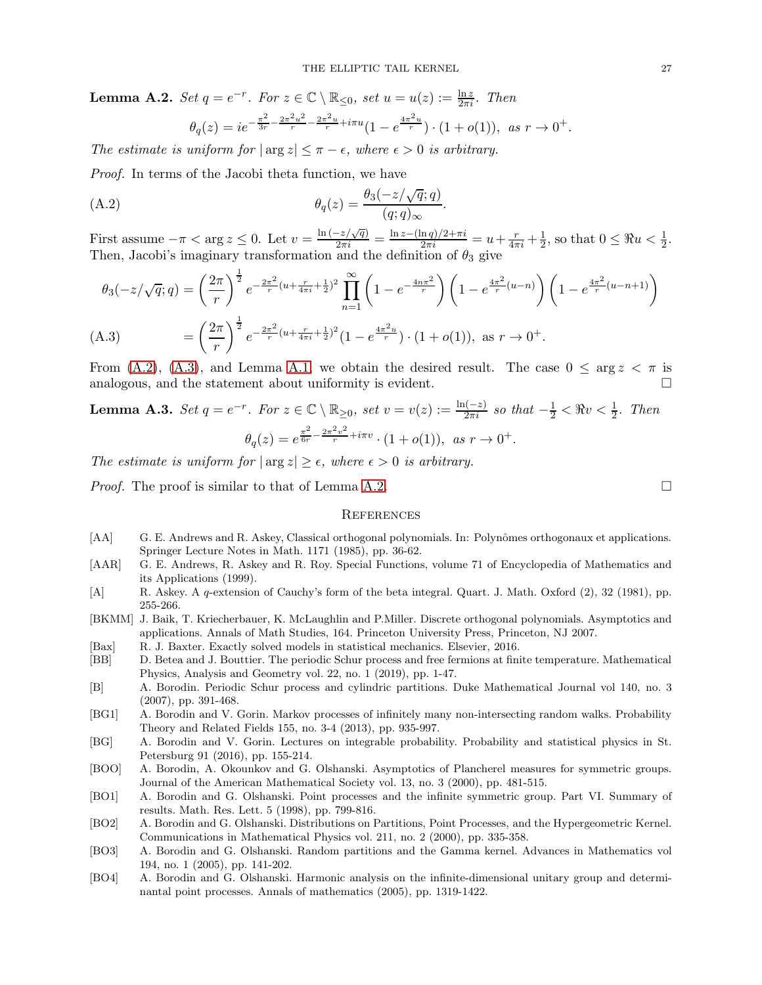<span id="page-26-12"></span>**Lemma A.2.** Set  $q = e^{-r}$ . For  $z \in \mathbb{C} \setminus \mathbb{R}_{\leq 0}$ , set  $u = u(z) := \frac{\ln z}{2\pi i}$ . Then

<span id="page-26-14"></span>
$$
\theta_q(z)=ie^{-\frac{\pi^2}{3r}-\frac{2\pi^2u^2}{r}-\frac{2\pi^2u}{r}+i\pi u}(1-e^{\frac{4\pi^2u}{r}})\cdot(1+o(1)),\ \ as\ r\to 0^+.
$$

The estimate is uniform for  $|\arg z| \leq \pi - \epsilon$ , where  $\epsilon > 0$  is arbitrary.

Proof. In terms of the Jacobi theta function, we have

(A.2) 
$$
\theta_q(z) = \frac{\theta_3(-z/\sqrt{q};q)}{(q;q)_{\infty}}.
$$

First assume  $-\pi < \arg z \leq 0$ . Let  $v = \frac{\ln(-z/\sqrt{q})}{2\pi i} = \frac{\ln z - (\ln q)/2 + \pi i}{2\pi i} = u + \frac{r}{4\pi i} + \frac{1}{2}$ , so that  $0 \leq \Re u < \frac{1}{2}$ . Then, Jacobi's imaginary transformation and the definition of  $\theta_3$  give

$$
\theta_3(-z/\sqrt{q};q) = \left(\frac{2\pi}{r}\right)^{\frac{1}{2}} e^{-\frac{2\pi^2}{r}(u+\frac{r}{4\pi i}+\frac{1}{2})^2} \prod_{n=1}^{\infty} \left(1 - e^{-\frac{4n\pi^2}{r}}\right) \left(1 - e^{\frac{4\pi^2}{r}(u-n)}\right) \left(1 - e^{\frac{4\pi^2}{r}(u-n)}\right)
$$
\n(A.3)\n
$$
= \left(\frac{2\pi}{r}\right)^{\frac{1}{2}} e^{-\frac{2\pi^2}{r}(u+\frac{r}{4\pi i}+\frac{1}{2})^2} (1 - e^{\frac{4\pi^2 u}{r}}) \cdot (1 + o(1)), \text{ as } r \to 0^+.
$$

<span id="page-26-15"></span>From [\(A.2\)](#page-26-14), [\(A.3\)](#page-26-15), and Lemma [A.1,](#page-25-1) we obtain the desired result. The case  $0 \le \arg z < \pi$  is analogous, and the statement about uniformity is evident.

<span id="page-26-11"></span>**Lemma A.3.** Set  $q = e^{-r}$ . For  $z \in \mathbb{C} \setminus \mathbb{R}_{\geq 0}$ , set  $v = v(z) := \frac{\ln(-z)}{2\pi i}$  so that  $-\frac{1}{2} < \Re v < \frac{1}{2}$ . Then  $\theta_q(z) = e^{\frac{\pi^2}{6r} - \frac{2\pi^2 v^2}{r} + i\pi v} \cdot (1 + o(1)), \text{ as } r \to 0^+.$ 

The estimate is uniform for  $|\arg z| \geq \epsilon$ , where  $\epsilon > 0$  is arbitrary.

*Proof.* The proof is similar to that of Lemma [A.2.](#page-26-12)  $\Box$ 

#### <span id="page-26-0"></span>**REFERENCES**

- [AA] G. E. Andrews and R. Askey, Classical orthogonal polynomials. In: Polynômes orthogonaux et applications. Springer Lecture Notes in Math. 1171 (1985), pp. 36-62.
- [AAR] G. E. Andrews, R. Askey and R. Roy. Special Functions, volume 71 of Encyclopedia of Mathematics and its Applications (1999).
- [A] R. Askey. A q-extension of Cauchy's form of the beta integral. Quart. J. Math. Oxford (2), 32 (1981), pp. 255-266.
- <span id="page-26-7"></span>[BKMM] J. Baik, T. Kriecherbauer, K. McLaughlin and P.Miller. Discrete orthogonal polynomials. Asymptotics and applications. Annals of Math Studies, 164. Princeton University Press, Princeton, NJ 2007.
- <span id="page-26-10"></span>[Bax] R. J. Baxter. Exactly solved models in statistical mechanics. Elsevier, 2016.
- <span id="page-26-9"></span>[BB] D. Betea and J. Bouttier. The periodic Schur process and free fermions at finite temperature. Mathematical Physics, Analysis and Geometry vol. 22, no. 1 (2019), pp. 1-47.
- <span id="page-26-8"></span>[B] A. Borodin. Periodic Schur process and cylindric partitions. Duke Mathematical Journal vol 140, no. 3 (2007), pp. 391-468.
- <span id="page-26-5"></span>[BG1] A. Borodin and V. Gorin. Markov processes of infinitely many non-intersecting random walks. Probability Theory and Related Fields 155, no. 3-4 (2013), pp. 935-997.
- <span id="page-26-13"></span>[BG] A. Borodin and V. Gorin. Lectures on integrable probability. Probability and statistical physics in St. Petersburg 91 (2016), pp. 155-214.
- <span id="page-26-6"></span>[BOO] A. Borodin, A. Okounkov and G. Olshanski. Asymptotics of Plancherel measures for symmetric groups. Journal of the American Mathematical Society vol. 13, no. 3 (2000), pp. 481-515.
- <span id="page-26-1"></span>[BO1] A. Borodin and G. Olshanski. Point processes and the infinite symmetric group. Part VI. Summary of results. Math. Res. Lett. 5 (1998), pp. 799-816.
- <span id="page-26-2"></span>[BO2] A. Borodin and G. Olshanski. Distributions on Partitions, Point Processes, and the Hypergeometric Kernel. Communications in Mathematical Physics vol. 211, no. 2 (2000), pp. 335-358.
- <span id="page-26-3"></span>[BO3] A. Borodin and G. Olshanski. Random partitions and the Gamma kernel. Advances in Mathematics vol 194, no. 1 (2005), pp. 141-202.
- <span id="page-26-4"></span>[BO4] A. Borodin and G. Olshanski. Harmonic analysis on the infinite-dimensional unitary group and determinantal point processes. Annals of mathematics (2005), pp. 1319-1422.